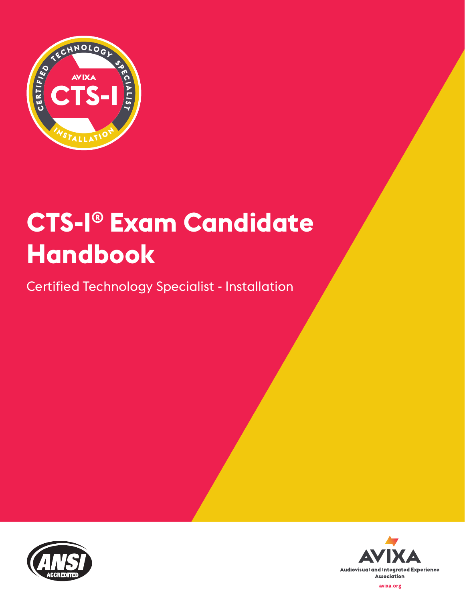

# **CTS-I® Exam Candidate Handbook**

Certified Technology Specialist - Installation



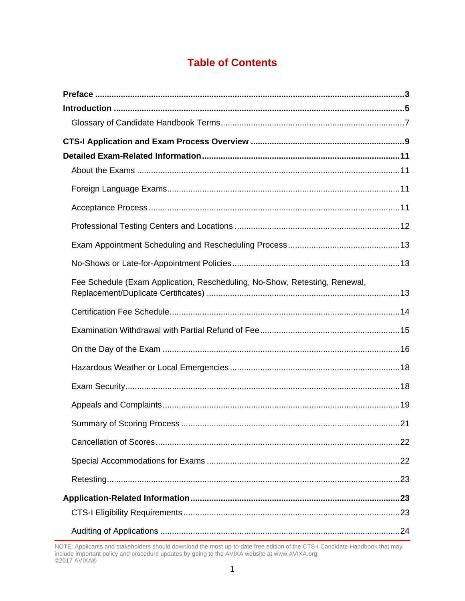# **Table of Contents**

| Fee Schedule (Exam Application, Rescheduling, No-Show, Retesting, Renewal, |  |
|----------------------------------------------------------------------------|--|
|                                                                            |  |
|                                                                            |  |
|                                                                            |  |
|                                                                            |  |
|                                                                            |  |
|                                                                            |  |
|                                                                            |  |
|                                                                            |  |
|                                                                            |  |
|                                                                            |  |
|                                                                            |  |
|                                                                            |  |
|                                                                            |  |

NOTE: Applicants and stakeholders should download the most up-to-date free edition of the CTS-I Candidate Handbook that may include important policy and procedure updates by going to the AVIXA website at www.AVIXA.org.<br>©2017 AVIXA®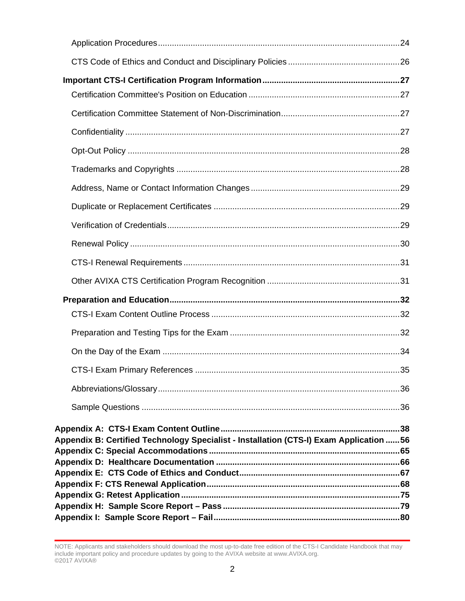| Appendix B: Certified Technology Specialist - Installation (CTS-I) Exam Application 56<br>Appendix C: Special Accommodations ……………………………………………………………………………………65 |  |
|-----------------------------------------------------------------------------------------------------------------------------------------------------------------|--|
|                                                                                                                                                                 |  |
|                                                                                                                                                                 |  |
|                                                                                                                                                                 |  |
|                                                                                                                                                                 |  |
|                                                                                                                                                                 |  |
|                                                                                                                                                                 |  |
|                                                                                                                                                                 |  |
|                                                                                                                                                                 |  |
|                                                                                                                                                                 |  |
|                                                                                                                                                                 |  |
|                                                                                                                                                                 |  |
|                                                                                                                                                                 |  |
|                                                                                                                                                                 |  |
|                                                                                                                                                                 |  |
|                                                                                                                                                                 |  |
|                                                                                                                                                                 |  |
|                                                                                                                                                                 |  |
|                                                                                                                                                                 |  |
|                                                                                                                                                                 |  |
|                                                                                                                                                                 |  |

NOTE: Applicants and stakeholders should download the most up-to-date free edition of the CTS-I Candidate Handbook that may include important policy and procedure updates by going to the AVIXA website at www.AVIXA.org. ©2017 AVIXA®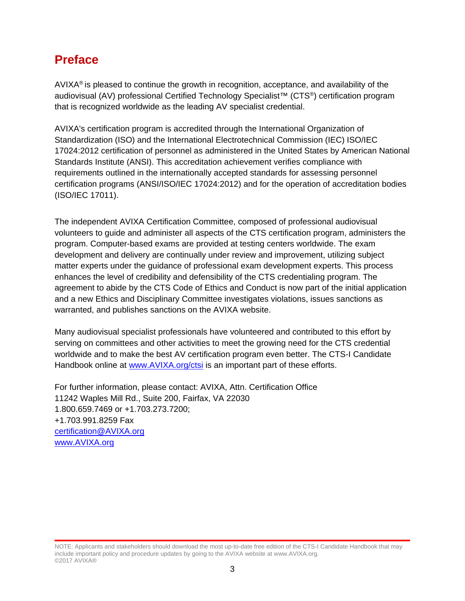# <span id="page-3-0"></span>**Preface**

AVIXA<sup>®</sup> is pleased to continue the growth in recognition, acceptance, and availability of the audiovisual (AV) professional Certified Technology Specialist™ (CTS®) certification program that is recognized worldwide as the leading AV specialist credential.

AVIXA's certification program is accredited through the International Organization of Standardization (ISO) and the International Electrotechnical Commission (IEC) ISO/IEC 17024:2012 certification of personnel as administered in the United States by American National Standards Institute (ANSI). This accreditation achievement verifies compliance with requirements outlined in the internationally accepted standards for assessing personnel certification programs (ANSI/ISO/IEC 17024:2012) and for the operation of accreditation bodies (ISO/IEC 17011).

The independent AVIXA Certification Committee, composed of professional audiovisual volunteers to guide and administer all aspects of the CTS certification program, administers the program. Computer-based exams are provided at testing centers worldwide. The exam development and delivery are continually under review and improvement, utilizing subject matter experts under the guidance of professional exam development experts. This process enhances the level of credibility and defensibility of the CTS credentialing program. The agreement to abide by the CTS Code of Ethics and Conduct is now part of the initial application and a new Ethics and Disciplinary Committee investigates violations, issues sanctions as warranted, and publishes sanctions on the AVIXA website.

Many audiovisual specialist professionals have volunteered and contributed to this effort by serving on committees and other activities to meet the growing need for the CTS credential worldwide and to make the best AV certification program even better. The CTS-I Candidate Handbook online at [www.AVIXA.org/ctsi](https://www.avixa.org/training-certification/certification/cts-i) is an important part of these efforts.

For further information, please contact: AVIXA, Attn. Certification Office 11242 Waples Mill Rd., Suite 200, Fairfax, VA 22030 1.800.659.7469 or +1.703.273.7200; +1.703.991.8259 Fax [certification@AVIXA.org](mailto:certification@infocomm.org) [www.AVIXA.org](http://www.infocomm.org/)

NOTE: Applicants and stakeholders should download the most up-to-date free edition of the CTS-I Candidate Handbook that may include important policy and procedure updates by going to the AVIXA website at www.AVIXA.org. ©2017 AVIXA®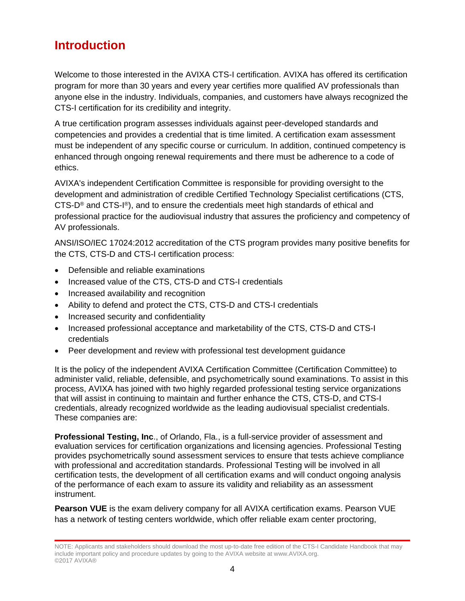# <span id="page-4-0"></span>**Introduction**

Welcome to those interested in the AVIXA CTS-I certification. AVIXA has offered its certification program for more than 30 years and every year certifies more qualified AV professionals than anyone else in the industry. Individuals, companies, and customers have always recognized the CTS-I certification for its credibility and integrity.

A true certification program assesses individuals against peer-developed standards and competencies and provides a credential that is time limited. A certification exam assessment must be independent of any specific course or curriculum. In addition, continued competency is enhanced through ongoing renewal requirements and there must be adherence to a code of ethics.

AVIXA's independent Certification Committee is responsible for providing oversight to the development and administration of credible Certified Technology Specialist certifications (CTS, CTS-D<sup>®</sup> and CTS-I<sup>®</sup>), and to ensure the credentials meet high standards of ethical and professional practice for the audiovisual industry that assures the proficiency and competency of AV professionals.

ANSI/ISO/IEC 17024:2012 accreditation of the CTS program provides many positive benefits for the CTS, CTS-D and CTS-I certification process:

- Defensible and reliable examinations
- Increased value of the CTS, CTS-D and CTS-I credentials
- Increased availability and recognition
- Ability to defend and protect the CTS, CTS-D and CTS-I credentials
- Increased security and confidentiality
- Increased professional acceptance and marketability of the CTS, CTS-D and CTS-I credentials
- Peer development and review with professional test development guidance

It is the policy of the independent AVIXA Certification Committee (Certification Committee) to administer valid, reliable, defensible, and psychometrically sound examinations. To assist in this process, AVIXA has joined with two highly regarded professional testing service organizations that will assist in continuing to maintain and further enhance the CTS, CTS-D, and CTS-I credentials, already recognized worldwide as the leading audiovisual specialist credentials. These companies are:

**Professional Testing, Inc**., of Orlando, Fla., is a full-service provider of assessment and evaluation services for certification organizations and licensing agencies. Professional Testing provides psychometrically sound assessment services to ensure that tests achieve compliance with professional and accreditation standards. Professional Testing will be involved in all certification tests, the development of all certification exams and will conduct ongoing analysis of the performance of each exam to assure its validity and reliability as an assessment instrument.

**Pearson VUE** is the exam delivery company for all AVIXA certification exams. Pearson VUE has a network of testing centers worldwide, which offer reliable exam center proctoring,

NOTE: Applicants and stakeholders should download the most up-to-date free edition of the CTS-I Candidate Handbook that may include important policy and procedure updates by going to the AVIXA website at www.AVIXA.org. ©2017 AVIXA®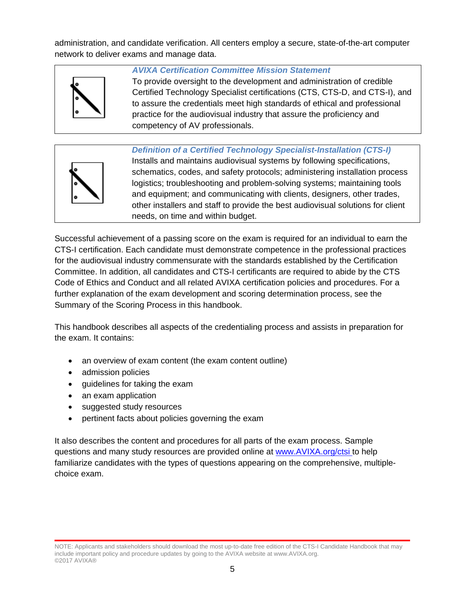administration, and candidate verification. All centers employ a secure, state-of-the-art computer network to deliver exams and manage data.



### *AVIXA Certification Committee Mission Statement*

To provide oversight to the development and administration of credible Certified Technology Specialist certifications (CTS, CTS-D, and CTS-I), and to assure the credentials meet high standards of ethical and professional practice for the audiovisual industry that assure the proficiency and competency of AV professionals.



*Definition of a Certified Technology Specialist-Installation (CTS-I)* Installs and maintains audiovisual systems by following specifications, schematics, codes, and safety protocols; administering installation process logistics; troubleshooting and problem-solving systems; maintaining tools and equipment; and communicating with clients, designers, other trades, other installers and staff to provide the best audiovisual solutions for client needs, on time and within budget.

Successful achievement of a passing score on the exam is required for an individual to earn the CTS-I certification. Each candidate must demonstrate competence in the professional practices for the audiovisual industry commensurate with the standards established by the Certification Committee. In addition, all candidates and CTS-I certificants are required to abide by the CTS Code of Ethics and Conduct and all related AVIXA certification policies and procedures. For a further explanation of the exam development and scoring determination process, see the Summary of the Scoring Process in this handbook.

This handbook describes all aspects of the credentialing process and assists in preparation for the exam. It contains:

- an overview of exam content (the exam content outline)
- admission policies
- guidelines for taking the exam
- an exam application
- suggested study resources
- pertinent facts about policies governing the exam

It also describes the content and procedures for all parts of the exam process. Sample questions and many study resources are provided online at [www.AVIXA.org/ctsi](https://www.avixa.org/training-certification/certification/cts-i) [t](http://www.infocomm.org/cts)o help familiarize candidates with the types of questions appearing on the comprehensive, multiplechoice exam.

NOTE: Applicants and stakeholders should download the most up-to-date free edition of the CTS-I Candidate Handbook that may include important policy and procedure updates by going to the AVIXA website at www.AVIXA.org. ©2017 AVIXA®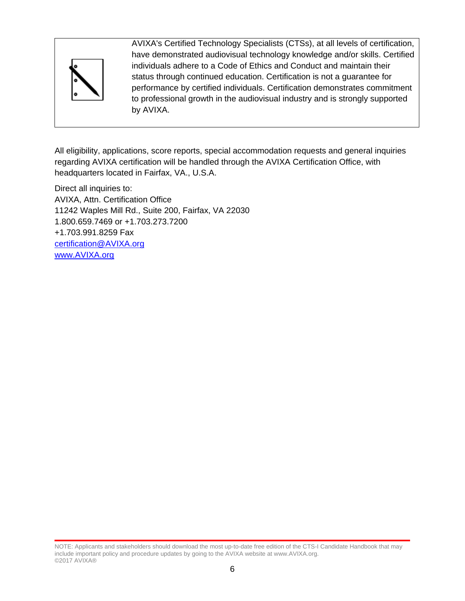

AVIXA's Certified Technology Specialists (CTSs), at all levels of certification, have demonstrated audiovisual technology knowledge and/or skills. Certified individuals adhere to a Code of Ethics and Conduct and maintain their status through continued education. Certification is not a guarantee for performance by certified individuals. Certification demonstrates commitment to professional growth in the audiovisual industry and is strongly supported by AVIXA.

All eligibility, applications, score reports, special accommodation requests and general inquiries regarding AVIXA certification will be handled through the AVIXA Certification Office, with headquarters located in Fairfax, VA., U.S.A.

Direct all inquiries to: AVIXA, Attn. Certification Office 11242 Waples Mill Rd., Suite 200, Fairfax, VA 22030 1.800.659.7469 or +1.703.273.7200 +1.703.991.8259 Fax [certification@AVIXA.org](file://herod/shared/CERTIFICATION/Handbooks/EVO%20in%20Progress/certification@infocomm.org) [www.AVIXA.org](http://www.infocomm.org/)

NOTE: Applicants and stakeholders should download the most up-to-date free edition of the CTS-I Candidate Handbook that may include important policy and procedure updates by going to the AVIXA website at www.AVIXA.org. ©2017 AVIXA®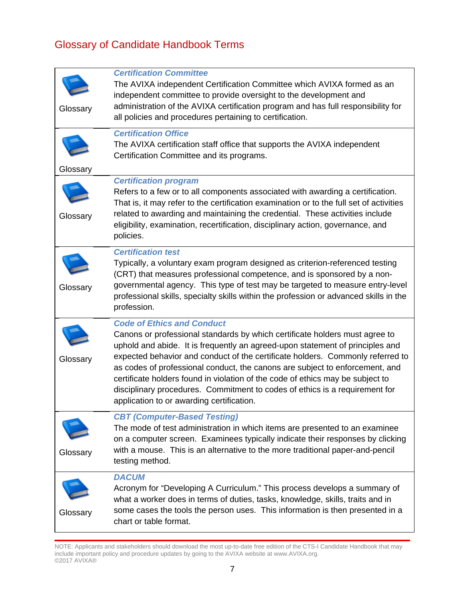# <span id="page-7-0"></span>Glossary of Candidate Handbook Terms

| Glossary | <b>Certification Committee</b><br>The AVIXA independent Certification Committee which AVIXA formed as an<br>independent committee to provide oversight to the development and<br>administration of the AVIXA certification program and has full responsibility for<br>all policies and procedures pertaining to certification.                                                                                                                                                                                                                                                    |
|----------|-----------------------------------------------------------------------------------------------------------------------------------------------------------------------------------------------------------------------------------------------------------------------------------------------------------------------------------------------------------------------------------------------------------------------------------------------------------------------------------------------------------------------------------------------------------------------------------|
| Glossary | <b>Certification Office</b><br>The AVIXA certification staff office that supports the AVIXA independent<br>Certification Committee and its programs.                                                                                                                                                                                                                                                                                                                                                                                                                              |
| Glossary | <b>Certification program</b><br>Refers to a few or to all components associated with awarding a certification.<br>That is, it may refer to the certification examination or to the full set of activities<br>related to awarding and maintaining the credential. These activities include<br>eligibility, examination, recertification, disciplinary action, governance, and<br>policies.                                                                                                                                                                                         |
| Glossary | <b>Certification test</b><br>Typically, a voluntary exam program designed as criterion-referenced testing<br>(CRT) that measures professional competence, and is sponsored by a non-<br>governmental agency. This type of test may be targeted to measure entry-level<br>professional skills, specialty skills within the profession or advanced skills in the<br>profession.                                                                                                                                                                                                     |
| Glossary | <b>Code of Ethics and Conduct</b><br>Canons or professional standards by which certificate holders must agree to<br>uphold and abide. It is frequently an agreed-upon statement of principles and<br>expected behavior and conduct of the certificate holders. Commonly referred to<br>as codes of professional conduct, the canons are subject to enforcement, and<br>certificate holders found in violation of the code of ethics may be subject to<br>disciplinary procedures. Commitment to codes of ethics is a requirement for<br>application to or awarding certification. |
| Glossary | <b>CBT (Computer-Based Testing)</b><br>The mode of test administration in which items are presented to an examinee<br>on a computer screen. Examinees typically indicate their responses by clicking<br>with a mouse. This is an alternative to the more traditional paper-and-pencil<br>testing method.                                                                                                                                                                                                                                                                          |
| Glossary | <b>DACUM</b><br>Acronym for "Developing A Curriculum." This process develops a summary of<br>what a worker does in terms of duties, tasks, knowledge, skills, traits and in<br>some cases the tools the person uses. This information is then presented in a<br>chart or table format.                                                                                                                                                                                                                                                                                            |

NOTE: Applicants and stakeholders should download the most up-to-date free edition of the CTS-I Candidate Handbook that may include important policy and procedure updates by going to the AVIXA website at www.AVIXA.org. ©2017 AVIXA®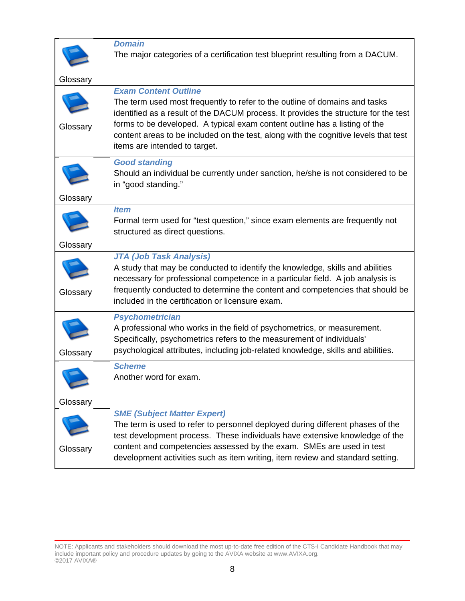

### *Domain* The major categories of a certification test blueprint resulting from a DACUM.

| Glossary |                                                                                                                                                                                                                                                                                                                                                                                                        |
|----------|--------------------------------------------------------------------------------------------------------------------------------------------------------------------------------------------------------------------------------------------------------------------------------------------------------------------------------------------------------------------------------------------------------|
| Glossary | <b>Exam Content Outline</b><br>The term used most frequently to refer to the outline of domains and tasks<br>identified as a result of the DACUM process. It provides the structure for the test<br>forms to be developed. A typical exam content outline has a listing of the<br>content areas to be included on the test, along with the cognitive levels that test<br>items are intended to target. |
| Glossary | <b>Good standing</b><br>Should an individual be currently under sanction, he/she is not considered to be<br>in "good standing."                                                                                                                                                                                                                                                                        |
| Glossary | <b>Item</b><br>Formal term used for "test question," since exam elements are frequently not<br>structured as direct questions.                                                                                                                                                                                                                                                                         |
| Glossary | <b>JTA (Job Task Analysis)</b><br>A study that may be conducted to identify the knowledge, skills and abilities<br>necessary for professional competence in a particular field. A job analysis is<br>frequently conducted to determine the content and competencies that should be<br>included in the certification or licensure exam.                                                                 |
| Glossary | <b>Psychometrician</b><br>A professional who works in the field of psychometrics, or measurement.<br>Specifically, psychometrics refers to the measurement of individuals'<br>psychological attributes, including job-related knowledge, skills and abilities.                                                                                                                                         |
| Glossary | <b>Scheme</b><br>Another word for exam.                                                                                                                                                                                                                                                                                                                                                                |
| Glossary | <b>SME (Subject Matter Expert)</b><br>The term is used to refer to personnel deployed during different phases of the<br>test development process. These individuals have extensive knowledge of the<br>content and competencies assessed by the exam. SMEs are used in test<br>development activities such as item writing, item review and standard setting.                                          |

NOTE: Applicants and stakeholders should download the most up-to-date free edition of the CTS-I Candidate Handbook that may include important policy and procedure updates by going to the AVIXA website at www.AVIXA.org. ©2017 AVIXA®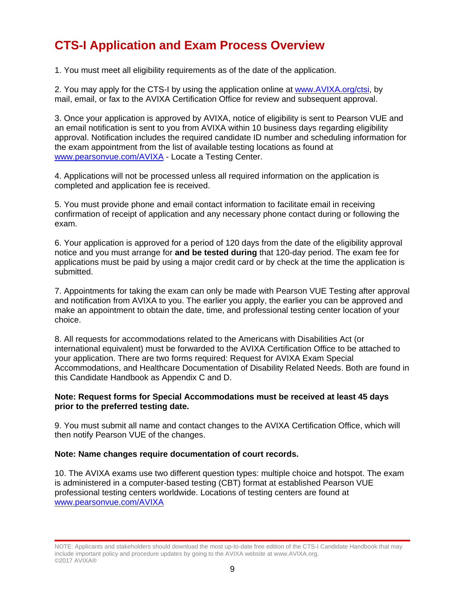# <span id="page-9-0"></span>**CTS-I Application and Exam Process Overview**

1. You must meet all eligibility requirements as of the date of the application.

2. You may apply for the CTS-I by using the application online at [www.AVIXA.org/ctsi,](https://www.avixa.org/training-certification/certification/cts-i) by mail, email, or fax to the AVIXA Certification Office for review and subsequent approval.

3. Once your application is approved by AVIXA, notice of eligibility is sent to Pearson VUE and an email notification is sent to you from AVIXA within 10 business days regarding eligibility approval. Notification includes the required candidate ID number and scheduling information for the exam appointment from the list of available testing locations as found at [www.pearsonvue.com/AVIXA](http://www.pearsonvue.com/infocomm) - Locate a Testing Center.

4. Applications will not be processed unless all required information on the application is completed and application fee is received.

5. You must provide phone and email contact information to facilitate email in receiving confirmation of receipt of application and any necessary phone contact during or following the exam.

6. Your application is approved for a period of 120 days from the date of the eligibility approval notice and you must arrange for **and be tested during** that 120-day period. The exam fee for applications must be paid by using a major credit card or by check at the time the application is submitted.

7. Appointments for taking the exam can only be made with Pearson VUE Testing after approval and notification from AVIXA to you. The earlier you apply, the earlier you can be approved and make an appointment to obtain the date, time, and professional testing center location of your choice.

8. All requests for accommodations related to the Americans with Disabilities Act (or international equivalent) must be forwarded to the AVIXA Certification Office to be attached to your application. There are two forms required: Request for AVIXA Exam Special Accommodations, and Healthcare Documentation of Disability Related Needs. Both are found in this Candidate Handbook as Appendix C and D.

#### **Note: Request forms for Special Accommodations must be received at least 45 days prior to the preferred testing date.**

9. You must submit all name and contact changes to the AVIXA Certification Office, which will then notify Pearson VUE of the changes.

#### **Note: Name changes require documentation of court records.**

10. The AVIXA exams use two different question types: multiple choice and hotspot. The exam is administered in a computer-based testing (CBT) format at established Pearson VUE professional testing centers worldwide. Locations of testing centers are found at [www.pearsonvue.com/AVIXA](http://www.pearsonvue.com/infocomm)

NOTE: Applicants and stakeholders should download the most up-to-date free edition of the CTS-I Candidate Handbook that may include important policy and procedure updates by going to the AVIXA website at www.AVIXA.org. ©2017 AVIXA®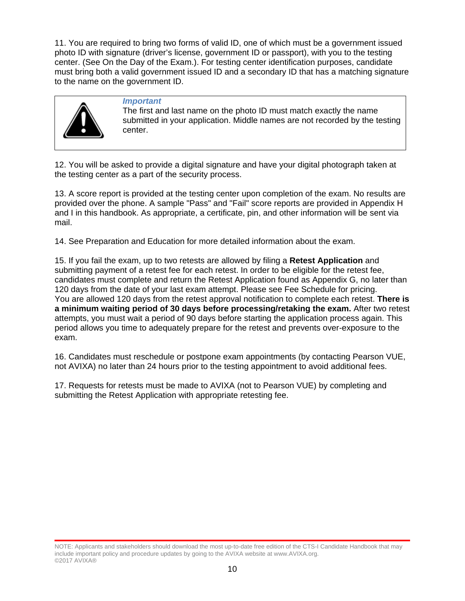11. You are required to bring two forms of valid ID, one of which must be a government issued photo ID with signature (driver's license, government ID or passport), with you to the testing center. (See On the Day of the Exam.). For testing center identification purposes, candidate must bring both a valid government issued ID and a secondary ID that has a matching signature to the name on the government ID.



#### *Important*

The first and last name on the photo ID must match exactly the name submitted in your application. Middle names are not recorded by the testing center.

12. You will be asked to provide a digital signature and have your digital photograph taken at the testing center as a part of the security process.

13. A score report is provided at the testing center upon completion of the exam. No results are provided over the phone. A sample "Pass" and "Fail" score reports are provided in Appendix H and I in this handbook. As appropriate, a certificate, pin, and other information will be sent via mail.

14. See Preparation and Education for more detailed information about the exam.

15. If you fail the exam, up to two retests are allowed by filing a **Retest Application** and submitting payment of a retest fee for each retest. In order to be eligible for the retest fee, candidates must complete and return the Retest Application found as Appendix G, no later than 120 days from the date of your last exam attempt. Please see Fee Schedule for pricing. You are allowed 120 days from the retest approval notification to complete each retest. **There is a minimum waiting period of 30 days before processing/retaking the exam.** After two retest attempts, you must wait a period of 90 days before starting the application process again. This period allows you time to adequately prepare for the retest and prevents over-exposure to the exam.

16. Candidates must reschedule or postpone exam appointments (by contacting Pearson VUE, not AVIXA) no later than 24 hours prior to the testing appointment to avoid additional fees.

17. Requests for retests must be made to AVIXA (not to Pearson VUE) by completing and submitting the Retest Application with appropriate retesting fee.

NOTE: Applicants and stakeholders should download the most up-to-date free edition of the CTS-I Candidate Handbook that may include important policy and procedure updates by going to the AVIXA website at www.AVIXA.org. ©2017 AVIXA®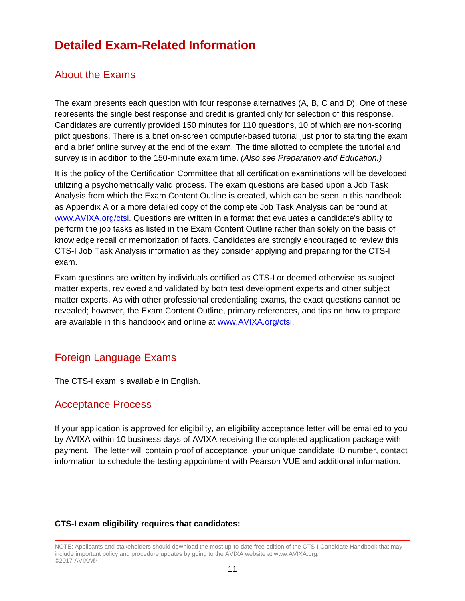# <span id="page-11-0"></span>**Detailed Exam-Related Information**

### <span id="page-11-1"></span>About the Exams

The exam presents each question with four response alternatives (A, B, C and D). One of these represents the single best response and credit is granted only for selection of this response. Candidates are currently provided 150 minutes for 110 questions, 10 of which are non-scoring pilot questions. There is a brief on-screen computer-based tutorial just prior to starting the exam and a brief online survey at the end of the exam. The time allotted to complete the tutorial and survey is in addition to the 150-minute exam time. *(Also see [Preparation and Education.](javascript:%20if%20(%20typeof(NewPage)%20!=%20))*

It is the policy of the Certification Committee that all certification examinations will be developed utilizing a psychometrically valid process. The exam questions are based upon a Job Task Analysis from which the Exam Content Outline is created, which can be seen in this handbook as Appendix A or a more detailed copy of the complete Job Task Analysis can be found at [www.AVIXA.org/ctsi.](https://www.avixa.org/training-certification/certification/cts-i) Questions are written in a format that evaluates a candidate's ability to perform the job tasks as listed in the Exam Content Outline rather than solely on the basis of knowledge recall or memorization of facts. Candidates are strongly encouraged to review this CTS-I Job Task Analysis information as they consider applying and preparing for the CTS-I exam.

Exam questions are written by individuals certified as CTS-I or deemed otherwise as subject matter experts, reviewed and validated by both test development experts and other subject matter experts. As with other professional credentialing exams, the exact questions cannot be revealed; however, the Exam Content Outline, primary references, and tips on how to prepare are available in this handbook and online at [www.AVIXA.org/ctsi.](https://www.avixa.org/training-certification/certification/cts-i)

### <span id="page-11-2"></span>Foreign Language Exams

The CTS-I exam is available in English.

### <span id="page-11-3"></span>Acceptance Process

If your application is approved for eligibility, an eligibility acceptance letter will be emailed to you by AVIXA within 10 business days of AVIXA receiving the completed application package with payment. The letter will contain proof of acceptance, your unique candidate ID number, contact information to schedule the testing appointment with Pearson VUE and additional information.

### **CTS-I exam eligibility requires that candidates:**

NOTE: Applicants and stakeholders should download the most up-to-date free edition of the CTS-I Candidate Handbook that may include important policy and procedure updates by going to the AVIXA website at www.AVIXA.org. ©2017 AVIXA®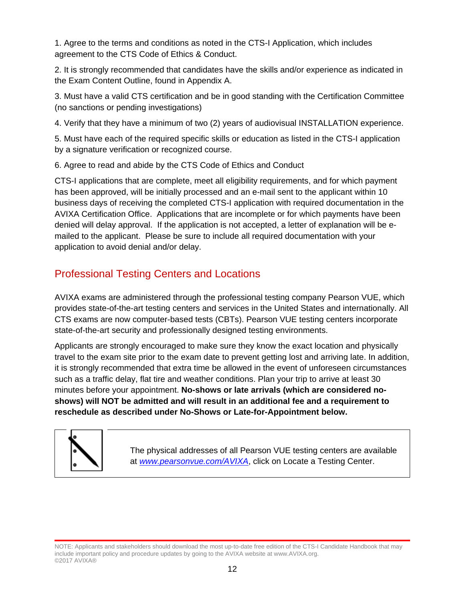1. Agree to the terms and conditions as noted in the CTS-I Application, which includes agreement to the CTS Code of Ethics & Conduct.

2. It is strongly recommended that candidates have the skills and/or experience as indicated in the Exam Content Outline, found in Appendix A.

3. Must have a valid CTS certification and be in good standing with the Certification Committee (no sanctions or pending investigations)

4. Verify that they have a minimum of two (2) years of audiovisual INSTALLATION experience.

5. Must have each of the required specific skills or education as listed in the CTS-I application by a signature verification or recognized course.

6. Agree to read and abide by the CTS Code of Ethics and Conduct

CTS-I applications that are complete, meet all eligibility requirements, and for which payment has been approved, will be initially processed and an e-mail sent to the applicant within 10 business days of receiving the completed CTS-I application with required documentation in the AVIXA Certification Office. Applications that are incomplete or for which payments have been denied will delay approval. If the application is not accepted, a letter of explanation will be emailed to the applicant. Please be sure to include all required documentation with your application to avoid denial and/or delay.

# <span id="page-12-0"></span>Professional Testing Centers and Locations

AVIXA exams are administered through the professional testing company Pearson VUE, which provides state-of-the-art testing centers and services in the United States and internationally. All CTS exams are now computer-based tests (CBTs). Pearson VUE testing centers incorporate state-of-the-art security and professionally designed testing environments.

Applicants are strongly encouraged to make sure they know the exact location and physically travel to the exam site prior to the exam date to prevent getting lost and arriving late. In addition, it is strongly recommended that extra time be allowed in the event of unforeseen circumstances such as a traffic delay, flat tire and weather conditions. Plan your trip to arrive at least 30 minutes before your appointment. **No-shows or late arrivals (which are considered noshows) will NOT be admitted and will result in an additional fee and a requirement to reschedule as described under No-Shows or Late-for-Appointment below.** 



The physical addresses of all Pearson VUE testing centers are available at *[www.pearsonvue.com/AVIXA](http://www.pearsonvue.com/infocomm)*, click on Locate a Testing Center.

NOTE: Applicants and stakeholders should download the most up-to-date free edition of the CTS-I Candidate Handbook that may include important policy and procedure updates by going to the AVIXA website at www.AVIXA.org. ©2017 AVIXA®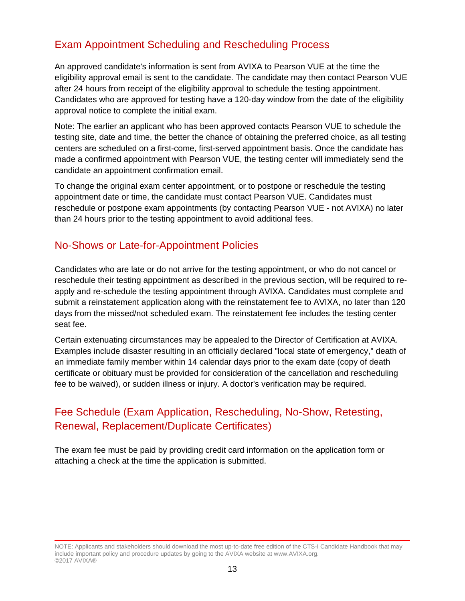# <span id="page-13-0"></span>Exam Appointment Scheduling and Rescheduling Process

An approved candidate's information is sent from AVIXA to Pearson VUE at the time the eligibility approval email is sent to the candidate. The candidate may then contact Pearson VUE after 24 hours from receipt of the eligibility approval to schedule the testing appointment. Candidates who are approved for testing have a 120-day window from the date of the eligibility approval notice to complete the initial exam.

Note: The earlier an applicant who has been approved contacts Pearson VUE to schedule the testing site, date and time, the better the chance of obtaining the preferred choice, as all testing centers are scheduled on a first-come, first-served appointment basis. Once the candidate has made a confirmed appointment with Pearson VUE, the testing center will immediately send the candidate an appointment confirmation email.

To change the original exam center appointment, or to postpone or reschedule the testing appointment date or time, the candidate must contact Pearson VUE. Candidates must reschedule or postpone exam appointments (by contacting Pearson VUE - not AVIXA) no later than 24 hours prior to the testing appointment to avoid additional fees.

### <span id="page-13-1"></span>No-Shows or Late-for-Appointment Policies

Candidates who are late or do not arrive for the testing appointment, or who do not cancel or reschedule their testing appointment as described in the previous section, will be required to reapply and re-schedule the testing appointment through AVIXA. Candidates must complete and submit a reinstatement application along with the reinstatement fee to AVIXA, no later than 120 days from the missed/not scheduled exam. The reinstatement fee includes the testing center seat fee.

Certain extenuating circumstances may be appealed to the Director of Certification at AVIXA. Examples include disaster resulting in an officially declared "local state of emergency," death of an immediate family member within 14 calendar days prior to the exam date (copy of death certificate or obituary must be provided for consideration of the cancellation and rescheduling fee to be waived), or sudden illness or injury. A doctor's verification may be required.

### <span id="page-13-2"></span>Fee Schedule (Exam Application, Rescheduling, No-Show, Retesting, Renewal, Replacement/Duplicate Certificates)

The exam fee must be paid by providing credit card information on the application form or attaching a check at the time the application is submitted.

NOTE: Applicants and stakeholders should download the most up-to-date free edition of the CTS-I Candidate Handbook that may include important policy and procedure updates by going to the AVIXA website at www.AVIXA.org. ©2017 AVIXA®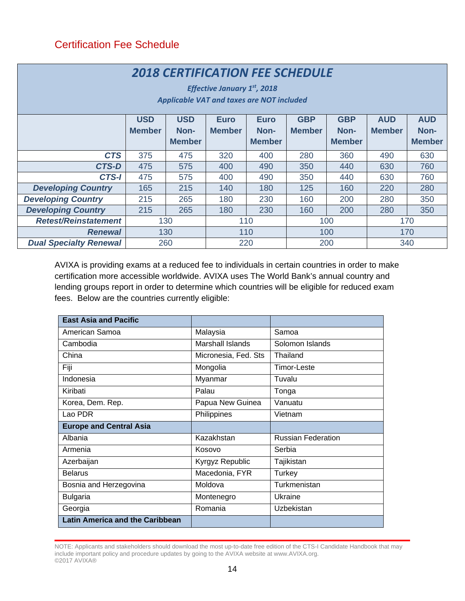### <span id="page-14-0"></span>Certification Fee Schedule

| <b>2018 CERTIFICATION FEE SCHEDULE</b><br>Effective January $1st$ , 2018<br><b>Applicable VAT and taxes are NOT included</b> |               |                       |               |                       |               |                       |               |                       |
|------------------------------------------------------------------------------------------------------------------------------|---------------|-----------------------|---------------|-----------------------|---------------|-----------------------|---------------|-----------------------|
|                                                                                                                              | <b>USD</b>    | <b>USD</b>            | <b>Euro</b>   | <b>Euro</b>           | <b>GBP</b>    | <b>GBP</b>            | <b>AUD</b>    | <b>AUD</b>            |
|                                                                                                                              | <b>Member</b> | Non-<br><b>Member</b> | <b>Member</b> | Non-<br><b>Member</b> | <b>Member</b> | Non-<br><b>Member</b> | <b>Member</b> | Non-<br><b>Member</b> |
|                                                                                                                              |               |                       |               |                       |               |                       |               |                       |
| <b>CTS</b>                                                                                                                   | 375           | 475                   | 320           | 400                   | 280           | 360                   | 490           | 630                   |
| <b>CTS-D</b>                                                                                                                 | 475           | 575                   | 400           | 490                   | 350           | 440                   | 630           | 760                   |
| CTS-I                                                                                                                        | 475           | 575                   | 400           | 490                   | 350           | 440                   | 630           | 760                   |
| <b>Developing Country</b>                                                                                                    | 165           | 215                   | 140           | 180                   | 125           | 160                   | 220           | 280                   |
| <b>Developing Country</b>                                                                                                    | 215           | 265                   | 180           | 230                   | 160           | 200                   | 280           | 350                   |
| <b>Developing Country</b>                                                                                                    | 215           | 265                   | 180           | 230                   | 160           | 200                   | 280           | 350                   |
| <b>Retest/Reinstatement</b>                                                                                                  | 130           |                       | 110           |                       | 100           |                       | 170           |                       |
| <b>Renewal</b>                                                                                                               |               | 130                   |               | 110                   |               | 100                   | 170           |                       |
| <b>Dual Specialty Renewal</b>                                                                                                |               | 260                   | 220           |                       |               | 200                   | 340           |                       |

AVIXA is providing exams at a reduced fee to individuals in certain countries in order to make certification more accessible worldwide. AVIXA uses The World Bank's annual country and lending groups report in order to determine which countries will be eligible for reduced exam fees. Below are the countries currently eligible:

| <b>East Asia and Pacific</b>           |                      |                           |
|----------------------------------------|----------------------|---------------------------|
| American Samoa                         | Malaysia             | Samoa                     |
| Cambodia                               | Marshall Islands     | Solomon Islands           |
| China                                  | Micronesia, Fed. Sts | Thailand                  |
| Fiji                                   | Mongolia             | Timor-Leste               |
| Indonesia                              | Myanmar              | Tuvalu                    |
| Kiribati                               | Palau                | Tonga                     |
| Korea, Dem. Rep.                       | Papua New Guinea     | Vanuatu                   |
| Lao PDR                                | Philippines          | Vietnam                   |
| <b>Europe and Central Asia</b>         |                      |                           |
| Albania                                | Kazakhstan           | <b>Russian Federation</b> |
| Armenia                                | Kosovo               | Serbia                    |
| Azerbaijan                             | Kyrgyz Republic      | Tajikistan                |
| <b>Belarus</b>                         | Macedonia, FYR       | <b>Turkey</b>             |
| Bosnia and Herzegovina                 | Moldova              | Turkmenistan              |
| <b>Bulgaria</b>                        | Montenegro           | Ukraine                   |
| Georgia                                | Romania              | Uzbekistan                |
| <b>Latin America and the Caribbean</b> |                      |                           |

NOTE: Applicants and stakeholders should download the most up-to-date free edition of the CTS-I Candidate Handbook that may include important policy and procedure updates by going to the AVIXA website at www.AVIXA.org. ©2017 AVIXA®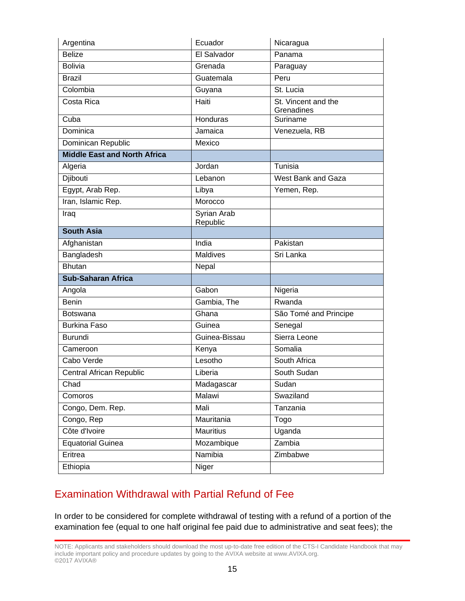| Argentina                           | Ecuador                 | Nicaragua                         |
|-------------------------------------|-------------------------|-----------------------------------|
| <b>Belize</b>                       | El Salvador             | Panama                            |
| <b>Bolivia</b>                      | Grenada                 | Paraguay                          |
| <b>Brazil</b>                       | Guatemala               | Peru                              |
| Colombia                            | Guyana                  | St. Lucia                         |
| Costa Rica                          | Haiti                   | St. Vincent and the<br>Grenadines |
| Cuba                                | Honduras                | Suriname                          |
| Dominica                            | Jamaica                 | Venezuela, RB                     |
| Dominican Republic                  | Mexico                  |                                   |
| <b>Middle East and North Africa</b> |                         |                                   |
| Algeria                             | Jordan                  | Tunisia                           |
| Djibouti                            | Lebanon                 | West Bank and Gaza                |
| Egypt, Arab Rep.                    | Libya                   | Yemen, Rep.                       |
| Iran, Islamic Rep.                  | Morocco                 |                                   |
| Iraq                                | Syrian Arab<br>Republic |                                   |
| <b>South Asia</b>                   |                         |                                   |
| Afghanistan                         | India                   | Pakistan                          |
| Bangladesh                          | <b>Maldives</b>         | Sri Lanka                         |
| <b>Bhutan</b>                       | Nepal                   |                                   |
| <b>Sub-Saharan Africa</b>           |                         |                                   |
| Angola                              | Gabon                   | Nigeria                           |
| <b>Benin</b>                        | Gambia, The             | Rwanda                            |
| Botswana                            | Ghana                   | São Tomé and Principe             |
| <b>Burkina Faso</b>                 | Guinea                  | Senegal                           |
| Burundi                             | Guinea-Bissau           | Sierra Leone                      |
| Cameroon                            | Kenya                   | Somalia                           |
| Cabo Verde                          | Lesotho                 | South Africa                      |
| Central African Republic            | Liberia                 | South Sudan                       |
| Chad                                | Madagascar              | Sudan                             |
| Comoros                             | Malawi                  | Swaziland                         |
| Congo, Dem. Rep.                    | Mali                    | Tanzania                          |
| Congo, Rep                          | Mauritania              | Togo                              |
| Côte d'Ivoire                       | <b>Mauritius</b>        | Uganda                            |
| <b>Equatorial Guinea</b>            | Mozambique              | Zambia                            |
| Eritrea                             | Namibia                 | Zimbabwe                          |
| Ethiopia                            | Niger                   |                                   |

# <span id="page-15-0"></span>Examination Withdrawal with Partial Refund of Fee

In order to be considered for complete withdrawal of testing with a refund of a portion of the examination fee (equal to one half original fee paid due to administrative and seat fees); the

NOTE: Applicants and stakeholders should download the most up-to-date free edition of the CTS-I Candidate Handbook that may include important policy and procedure updates by going to the AVIXA website at www.AVIXA.org. ©2017 AVIXA®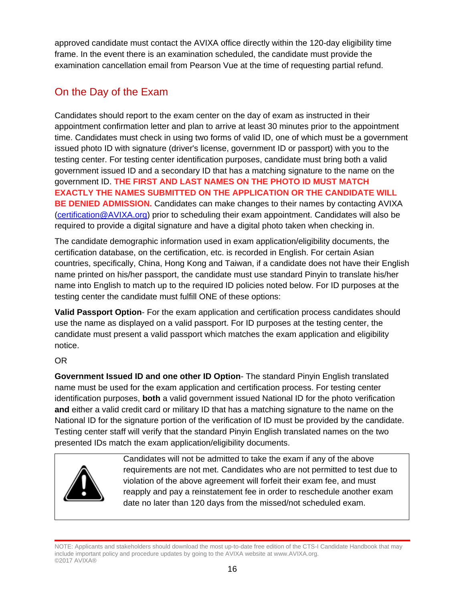approved candidate must contact the AVIXA office directly within the 120-day eligibility time frame. In the event there is an examination scheduled, the candidate must provide the examination cancellation email from Pearson Vue at the time of requesting partial refund.

# <span id="page-16-0"></span>On the Day of the Exam

Candidates should report to the exam center on the day of exam as instructed in their appointment confirmation letter and plan to arrive at least 30 minutes prior to the appointment time. Candidates must check in using two forms of valid ID, one of which must be a government issued photo ID with signature (driver's license, government ID or passport) with you to the testing center. For testing center identification purposes, candidate must bring both a valid government issued ID and a secondary ID that has a matching signature to the name on the government ID. **THE FIRST AND LAST NAMES ON THE PHOTO ID MUST MATCH EXACTLY THE NAMES SUBMITTED ON THE APPLICATION OR THE CANDIDATE WILL BE DENIED ADMISSION.** Candidates can make changes to their names by contacting AVIXA [\(certification@AVIXA.org\)](mailto:certification@infocomm.org) prior to scheduling their exam appointment. Candidates will also be required to provide a digital signature and have a digital photo taken when checking in.

The candidate demographic information used in exam application/eligibility documents, the certification database, on the certification, etc. is recorded in English. For certain Asian countries, specifically, China, Hong Kong and Taiwan, if a candidate does not have their English name printed on his/her passport, the candidate must use standard Pinyin to translate his/her name into English to match up to the required ID policies noted below. For ID purposes at the testing center the candidate must fulfill ONE of these options:

**Valid Passport Option**- For the exam application and certification process candidates should use the name as displayed on a valid passport. For ID purposes at the testing center, the candidate must present a valid passport which matches the exam application and eligibility notice.

### OR

**Government Issued ID and one other ID Option**- The standard Pinyin English translated name must be used for the exam application and certification process. For testing center identification purposes, **both** a valid government issued National ID for the photo verification **and** either a valid credit card or military ID that has a matching signature to the name on the National ID for the signature portion of the verification of ID must be provided by the candidate. Testing center staff will verify that the standard Pinyin English translated names on the two presented IDs match the exam application/eligibility documents.



Candidates will not be admitted to take the exam if any of the above requirements are not met. Candidates who are not permitted to test due to violation of the above agreement will forfeit their exam fee, and must reapply and pay a reinstatement fee in order to reschedule another exam date no later than 120 days from the missed/not scheduled exam.

NOTE: Applicants and stakeholders should download the most up-to-date free edition of the CTS-I Candidate Handbook that may include important policy and procedure updates by going to the AVIXA website at www.AVIXA.org. ©2017 AVIXA®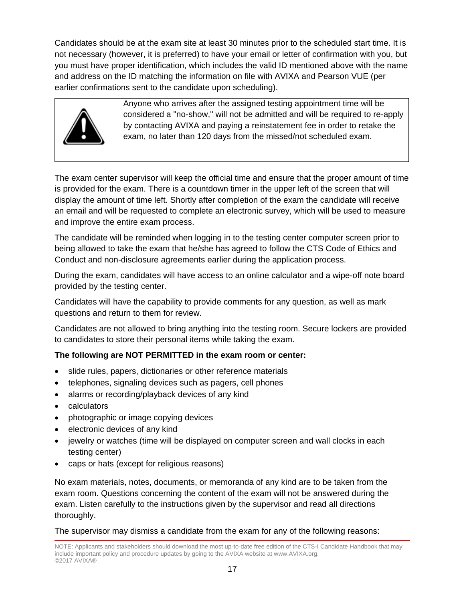Candidates should be at the exam site at least 30 minutes prior to the scheduled start time. It is not necessary (however, it is preferred) to have your email or letter of confirmation with you, but you must have proper identification, which includes the valid ID mentioned above with the name and address on the ID matching the information on file with AVIXA and Pearson VUE (per earlier confirmations sent to the candidate upon scheduling).



Anyone who arrives after the assigned testing appointment time will be considered a "no-show," will not be admitted and will be required to re-apply by contacting AVIXA and paying a reinstatement fee in order to retake the exam, no later than 120 days from the missed/not scheduled exam.

The exam center supervisor will keep the official time and ensure that the proper amount of time is provided for the exam. There is a countdown timer in the upper left of the screen that will display the amount of time left. Shortly after completion of the exam the candidate will receive an email and will be requested to complete an electronic survey, which will be used to measure and improve the entire exam process.

The candidate will be reminded when logging in to the testing center computer screen prior to being allowed to take the exam that he/she has agreed to follow the CTS Code of Ethics and Conduct and non-disclosure agreements earlier during the application process.

During the exam, candidates will have access to an online calculator and a wipe-off note board provided by the testing center.

Candidates will have the capability to provide comments for any question, as well as mark questions and return to them for review.

Candidates are not allowed to bring anything into the testing room. Secure lockers are provided to candidates to store their personal items while taking the exam.

### **The following are NOT PERMITTED in the exam room or center:**

- slide rules, papers, dictionaries or other reference materials
- telephones, signaling devices such as pagers, cell phones
- alarms or recording/playback devices of any kind
- calculators
- photographic or image copying devices
- electronic devices of any kind
- jewelry or watches (time will be displayed on computer screen and wall clocks in each testing center)
- caps or hats (except for religious reasons)

No exam materials, notes, documents, or memoranda of any kind are to be taken from the exam room. Questions concerning the content of the exam will not be answered during the exam. Listen carefully to the instructions given by the supervisor and read all directions thoroughly.

The supervisor may dismiss a candidate from the exam for any of the following reasons: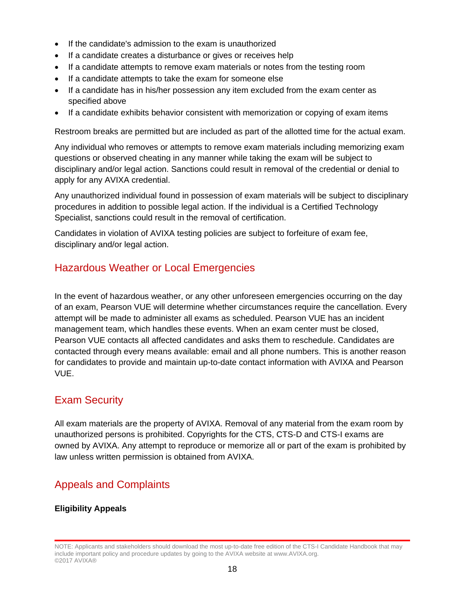- If the candidate's admission to the exam is unauthorized
- If a candidate creates a disturbance or gives or receives help
- If a candidate attempts to remove exam materials or notes from the testing room
- If a candidate attempts to take the exam for someone else
- If a candidate has in his/her possession any item excluded from the exam center as specified above
- If a candidate exhibits behavior consistent with memorization or copying of exam items

Restroom breaks are permitted but are included as part of the allotted time for the actual exam.

Any individual who removes or attempts to remove exam materials including memorizing exam questions or observed cheating in any manner while taking the exam will be subject to disciplinary and/or legal action. Sanctions could result in removal of the credential or denial to apply for any AVIXA credential.

Any unauthorized individual found in possession of exam materials will be subject to disciplinary procedures in addition to possible legal action. If the individual is a Certified Technology Specialist, sanctions could result in the removal of certification.

Candidates in violation of AVIXA testing policies are subject to forfeiture of exam fee, disciplinary and/or legal action.

# <span id="page-18-0"></span>Hazardous Weather or Local Emergencies

In the event of hazardous weather, or any other unforeseen emergencies occurring on the day of an exam, Pearson VUE will determine whether circumstances require the cancellation. Every attempt will be made to administer all exams as scheduled. Pearson VUE has an incident management team, which handles these events. When an exam center must be closed, Pearson VUE contacts all affected candidates and asks them to reschedule. Candidates are contacted through every means available: email and all phone numbers. This is another reason for candidates to provide and maintain up-to-date contact information with AVIXA and Pearson VUE.

### <span id="page-18-1"></span>Exam Security

All exam materials are the property of AVIXA. Removal of any material from the exam room by unauthorized persons is prohibited. Copyrights for the CTS, CTS-D and CTS-I exams are owned by AVIXA. Any attempt to reproduce or memorize all or part of the exam is prohibited by law unless written permission is obtained from AVIXA.

# <span id="page-18-2"></span>Appeals and Complaints

### **Eligibility Appeals**

NOTE: Applicants and stakeholders should download the most up-to-date free edition of the CTS-I Candidate Handbook that may include important policy and procedure updates by going to the AVIXA website at www.AVIXA.org. ©2017 AVIXA®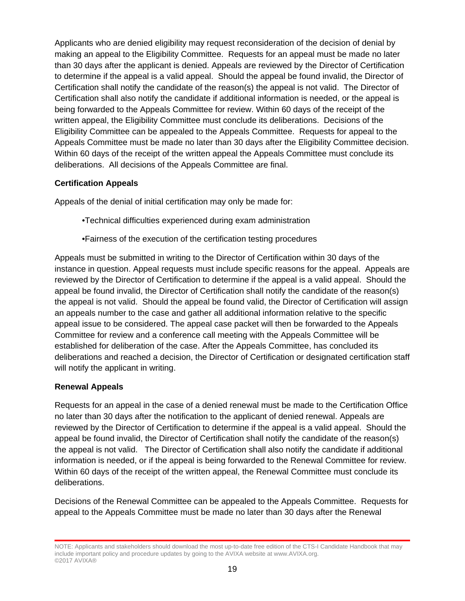Applicants who are denied eligibility may request reconsideration of the decision of denial by making an appeal to the Eligibility Committee. Requests for an appeal must be made no later than 30 days after the applicant is denied. Appeals are reviewed by the Director of Certification to determine if the appeal is a valid appeal. Should the appeal be found invalid, the Director of Certification shall notify the candidate of the reason(s) the appeal is not valid. The Director of Certification shall also notify the candidate if additional information is needed, or the appeal is being forwarded to the Appeals Committee for review. Within 60 days of the receipt of the written appeal, the Eligibility Committee must conclude its deliberations. Decisions of the Eligibility Committee can be appealed to the Appeals Committee. Requests for appeal to the Appeals Committee must be made no later than 30 days after the Eligibility Committee decision. Within 60 days of the receipt of the written appeal the Appeals Committee must conclude its deliberations. All decisions of the Appeals Committee are final.

### **Certification Appeals**

Appeals of the denial of initial certification may only be made for:

- •Technical difficulties experienced during exam administration
- •Fairness of the execution of the certification testing procedures

Appeals must be submitted in writing to the Director of Certification within 30 days of the instance in question. Appeal requests must include specific reasons for the appeal. Appeals are reviewed by the Director of Certification to determine if the appeal is a valid appeal. Should the appeal be found invalid, the Director of Certification shall notify the candidate of the reason(s) the appeal is not valid. Should the appeal be found valid, the Director of Certification will assign an appeals number to the case and gather all additional information relative to the specific appeal issue to be considered. The appeal case packet will then be forwarded to the Appeals Committee for review and a conference call meeting with the Appeals Committee will be established for deliberation of the case. After the Appeals Committee, has concluded its deliberations and reached a decision, the Director of Certification or designated certification staff will notify the applicant in writing.

### **Renewal Appeals**

Requests for an appeal in the case of a denied renewal must be made to the Certification Office no later than 30 days after the notification to the applicant of denied renewal. Appeals are reviewed by the Director of Certification to determine if the appeal is a valid appeal. Should the appeal be found invalid, the Director of Certification shall notify the candidate of the reason(s) the appeal is not valid. The Director of Certification shall also notify the candidate if additional information is needed, or if the appeal is being forwarded to the Renewal Committee for review. Within 60 days of the receipt of the written appeal, the Renewal Committee must conclude its deliberations.

Decisions of the Renewal Committee can be appealed to the Appeals Committee. Requests for appeal to the Appeals Committee must be made no later than 30 days after the Renewal

NOTE: Applicants and stakeholders should download the most up-to-date free edition of the CTS-I Candidate Handbook that may include important policy and procedure updates by going to the AVIXA website at www.AVIXA.org. ©2017 AVIXA®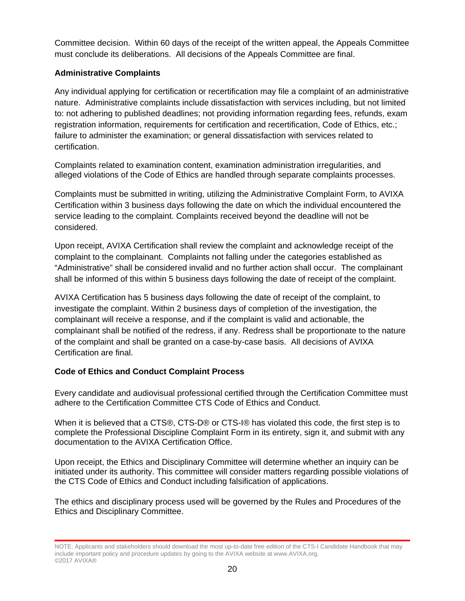Committee decision. Within 60 days of the receipt of the written appeal, the Appeals Committee must conclude its deliberations. All decisions of the Appeals Committee are final.

#### **Administrative Complaints**

Any individual applying for certification or recertification may file a complaint of an administrative nature. Administrative complaints include dissatisfaction with services including, but not limited to: not adhering to published deadlines; not providing information regarding fees, refunds, exam registration information, requirements for certification and recertification, Code of Ethics, etc.; failure to administer the examination; or general dissatisfaction with services related to certification.

Complaints related to examination content, examination administration irregularities, and alleged violations of the Code of Ethics are handled through separate complaints processes.

Complaints must be submitted in writing, utilizing the Administrative Complaint Form, to AVIXA Certification within 3 business days following the date on which the individual encountered the service leading to the complaint. Complaints received beyond the deadline will not be considered.

Upon receipt, AVIXA Certification shall review the complaint and acknowledge receipt of the complaint to the complainant. Complaints not falling under the categories established as "Administrative" shall be considered invalid and no further action shall occur. The complainant shall be informed of this within 5 business days following the date of receipt of the complaint.

AVIXA Certification has 5 business days following the date of receipt of the complaint, to investigate the complaint. Within 2 business days of completion of the investigation, the complainant will receive a response, and if the complaint is valid and actionable, the complainant shall be notified of the redress, if any. Redress shall be proportionate to the nature of the complaint and shall be granted on a case-by-case basis. All decisions of AVIXA Certification are final.

### **Code of Ethics and Conduct Complaint Process**

Every candidate and audiovisual professional certified through the Certification Committee must adhere to the Certification Committee CTS Code of Ethics and Conduct.

When it is believed that a CTS®, CTS-D® or CTS-I® has violated this code, the first step is to complete the Professional Discipline Complaint Form in its entirety, sign it, and submit with any documentation to the AVIXA Certification Office.

Upon receipt, the Ethics and Disciplinary Committee will determine whether an inquiry can be initiated under its authority. This committee will consider matters regarding possible violations of the CTS Code of Ethics and Conduct including falsification of applications.

The ethics and disciplinary process used will be governed by the Rules and Procedures of the Ethics and Disciplinary Committee.

NOTE: Applicants and stakeholders should download the most up-to-date free edition of the CTS-I Candidate Handbook that may include important policy and procedure updates by going to the AVIXA website at www.AVIXA.org. ©2017 AVIXA®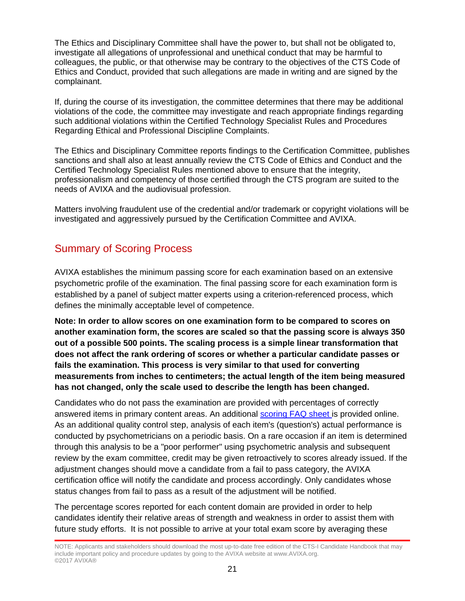The Ethics and Disciplinary Committee shall have the power to, but shall not be obligated to, investigate all allegations of unprofessional and unethical conduct that may be harmful to colleagues, the public, or that otherwise may be contrary to the objectives of the CTS Code of Ethics and Conduct, provided that such allegations are made in writing and are signed by the complainant.

If, during the course of its investigation, the committee determines that there may be additional violations of the code, the committee may investigate and reach appropriate findings regarding such additional violations within the Certified Technology Specialist Rules and Procedures Regarding Ethical and Professional Discipline Complaints.

The Ethics and Disciplinary Committee reports findings to the Certification Committee, publishes sanctions and shall also at least annually review the CTS Code of Ethics and Conduct and the Certified Technology Specialist Rules mentioned above to ensure that the integrity, professionalism and competency of those certified through the CTS program are suited to the needs of AVIXA and the audiovisual profession.

Matters involving fraudulent use of the credential and/or trademark or copyright violations will be investigated and aggressively pursued by the Certification Committee and AVIXA.

### <span id="page-21-0"></span>Summary of Scoring Process

AVIXA establishes the minimum passing score for each examination based on an extensive psychometric profile of the examination. The final passing score for each examination form is established by a panel of subject matter experts using a criterion-referenced process, which defines the minimally acceptable level of competence.

**Note: In order to allow scores on one examination form to be compared to scores on another examination form, the scores are scaled so that the passing score is always 350 out of a possible 500 points. The scaling process is a simple linear transformation that does not affect the rank ordering of scores or whether a particular candidate passes or fails the examination. This process is very similar to that used for converting measurements from inches to centimeters; the actual length of the item being measured has not changed, only the scale used to describe the length has been changed.** 

Candidates who do not pass the examination are provided with percentages of correctly answered items in primary content areas. An additional [scoring FAQ sheet i](https://www.avixa.org/training-certification/certification/cts-i)s provided online. As an additional quality control step, analysis of each item's (question's) actual performance is conducted by psychometricians on a periodic basis. On a rare occasion if an item is determined through this analysis to be a "poor performer" using psychometric analysis and subsequent review by the exam committee, credit may be given retroactively to scores already issued. If the adjustment changes should move a candidate from a fail to pass category, the AVIXA certification office will notify the candidate and process accordingly. Only candidates whose status changes from fail to pass as a result of the adjustment will be notified.

The percentage scores reported for each content domain are provided in order to help candidates identify their relative areas of strength and weakness in order to assist them with future study efforts. It is not possible to arrive at your total exam score by averaging these

NOTE: Applicants and stakeholders should download the most up-to-date free edition of the CTS-I Candidate Handbook that may include important policy and procedure updates by going to the AVIXA website at www.AVIXA.org. ©2017 AVIXA®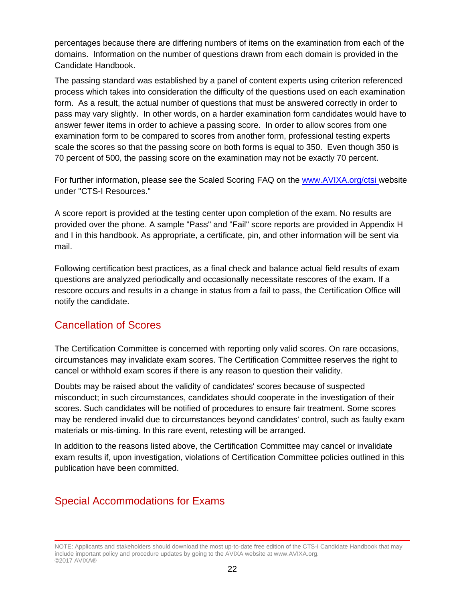percentages because there are differing numbers of items on the examination from each of the domains. Information on the number of questions drawn from each domain is provided in the Candidate Handbook.

The passing standard was established by a panel of content experts using criterion referenced process which takes into consideration the difficulty of the questions used on each examination form. As a result, the actual number of questions that must be answered correctly in order to pass may vary slightly. In other words, on a harder examination form candidates would have to answer fewer items in order to achieve a passing score. In order to allow scores from one examination form to be compared to scores from another form, professional testing experts scale the scores so that the passing score on both forms is equal to 350. Even though 350 is 70 percent of 500, the passing score on the examination may not be exactly 70 percent.

For further information, please see the Scaled Scoring FAQ on the [www.AVIXA.org/ctsi](https://www.avixa.org/training-certification/certification/cts-i) website under "CTS-I Resources."

A score report is provided at the testing center upon completion of the exam. No results are provided over the phone. A sample "Pass" and "Fail" score reports are provided in Appendix H and I in this handbook. As appropriate, a certificate, pin, and other information will be sent via mail.

Following certification best practices, as a final check and balance actual field results of exam questions are analyzed periodically and occasionally necessitate rescores of the exam. If a rescore occurs and results in a change in status from a fail to pass, the Certification Office will notify the candidate.

### <span id="page-22-0"></span>Cancellation of Scores

The Certification Committee is concerned with reporting only valid scores. On rare occasions, circumstances may invalidate exam scores. The Certification Committee reserves the right to cancel or withhold exam scores if there is any reason to question their validity.

Doubts may be raised about the validity of candidates' scores because of suspected misconduct; in such circumstances, candidates should cooperate in the investigation of their scores. Such candidates will be notified of procedures to ensure fair treatment. Some scores may be rendered invalid due to circumstances beyond candidates' control, such as faulty exam materials or mis-timing. In this rare event, retesting will be arranged.

In addition to the reasons listed above, the Certification Committee may cancel or invalidate exam results if, upon investigation, violations of Certification Committee policies outlined in this publication have been committed.

### <span id="page-22-1"></span>Special Accommodations for Exams

NOTE: Applicants and stakeholders should download the most up-to-date free edition of the CTS-I Candidate Handbook that may include important policy and procedure updates by going to the AVIXA website at www.AVIXA.org. ©2017 AVIXA®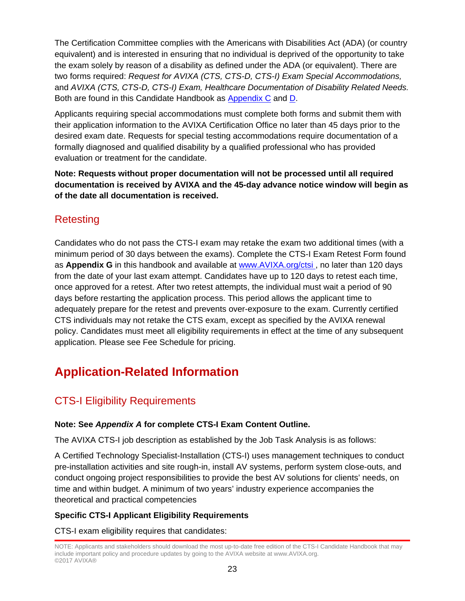The Certification Committee complies with the Americans with Disabilities Act (ADA) (or country equivalent) and is interested in ensuring that no individual is deprived of the opportunity to take the exam solely by reason of a disability as defined under the ADA (or equivalent). There are two forms required: *Request for AVIXA (CTS, CTS-D, CTS-I) Exam Special Accommodations,*  and *AVIXA (CTS, CTS-D, CTS-I) Exam, Healthcare Documentation of Disability Related Needs.*  Both are found in this Candidate Handbook as [Appendix C](javascript:%20if%20(%20typeof(NewPage)%20!=%20) and [D.](javascript:%20if%20(%20typeof(NewPage)%20!=%20)

Applicants requiring special accommodations must complete both forms and submit them with their application information to the AVIXA Certification Office no later than 45 days prior to the desired exam date. Requests for special testing accommodations require documentation of a formally diagnosed and qualified disability by a qualified professional who has provided evaluation or treatment for the candidate.

**Note: Requests without proper documentation will not be processed until all required documentation is received by AVIXA and the 45-day advance notice window will begin as of the date all documentation is received.**

# <span id="page-23-0"></span>Retesting

Candidates who do not pass the CTS-I exam may retake the exam two additional times (with a minimum period of 30 days between the exams). Complete the CTS-I Exam Retest Form found as **Appendix G** in this handbook and available at [www.AVIXA.org/ctsi](https://www.avixa.org/training-certification/certification/cts-i) , no later than 120 days from the date of your last exam attempt. Candidates have up to 120 days to retest each time, once approved for a retest. After two retest attempts, the individual must wait a period of 90 days before restarting the application process. This period allows the applicant time to adequately prepare for the retest and prevents over-exposure to the exam. Currently certified CTS individuals may not retake the CTS exam, except as specified by the AVIXA renewal policy. Candidates must meet all eligibility requirements in effect at the time of any subsequent application. Please see Fee Schedule for pricing.

# <span id="page-23-1"></span>**Application-Related Information**

# <span id="page-23-2"></span>CTS-I Eligibility Requirements

### **Note: See** *Appendix A* **for complete CTS-I Exam Content Outline.**

The AVIXA CTS-I job description as established by the Job Task Analysis is as follows:

A Certified Technology Specialist-Installation (CTS-I) uses management techniques to conduct pre-installation activities and site rough-in, install AV systems, perform system close-outs, and conduct ongoing project responsibilities to provide the best AV solutions for clients' needs, on time and within budget. A minimum of two years' industry experience accompanies the theoretical and practical competencies

### **Specific CTS-I Applicant Eligibility Requirements**

CTS-I exam eligibility requires that candidates:

NOTE: Applicants and stakeholders should download the most up-to-date free edition of the CTS-I Candidate Handbook that may include important policy and procedure updates by going to the AVIXA website at www.AVIXA.org. ©2017 AVIXA®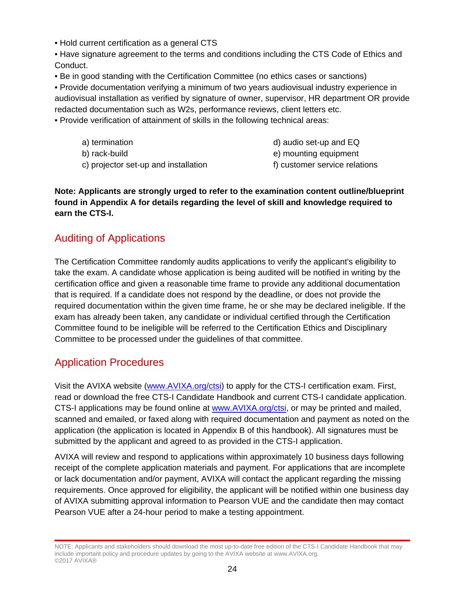- Hold current certification as a general CTS
- Have signature agreement to the terms and conditions including the CTS Code of Ethics and Conduct.
- Be in good standing with the Certification Committee (no ethics cases or sanctions)

• Provide documentation verifying a minimum of two years audiovisual industry experience in audiovisual installation as verified by signature of owner, supervisor, HR department OR provide redacted documentation such as W2s, performance reviews, client letters etc.

- Provide verification of attainment of skills in the following technical areas:
	- a) termination b) rack-build
	- c) projector set-up and installation
- d) audio set-up and EQ
- e) mounting equipment
- f) customer service relations

**Note: Applicants are strongly urged to refer to the examination content outline/blueprint found in Appendix A for details regarding the level of skill and knowledge required to earn the CTS-I.** 

### <span id="page-24-0"></span>Auditing of Applications

The Certification Committee randomly audits applications to verify the applicant's eligibility to take the exam. A candidate whose application is being audited will be notified in writing by the certification office and given a reasonable time frame to provide any additional documentation that is required. If a candidate does not respond by the deadline, or does not provide the required documentation within the given time frame, he or she may be declared ineligible. If the exam has already been taken, any candidate or individual certified through the Certification Committee found to be ineligible will be referred to the Certification Ethics and Disciplinary Committee to be processed under the guidelines of that committee.

# <span id="page-24-1"></span>Application Procedures

Visit the AVIXA website [\(www.AVIXA.org/ctsi\)](https://www.avixa.org/training-certification/certification/cts-i) to apply for the CTS-I certification exam. First, read or download the free CTS-I Candidate Handbook and current CTS-I candidate application. CTS-I applications may be found online at [www.AVIXA.org/ctsi,](https://www.avixa.org/training-certification/certification/cts-i) or may be printed and mailed, scanned and emailed, or faxed along with required documentation and payment as noted on the application (the application is located in Appendix B of this handbook). All signatures must be submitted by the applicant and agreed to as provided in the CTS-I application.

AVIXA will review and respond to applications within approximately 10 business days following receipt of the complete application materials and payment. For applications that are incomplete or lack documentation and/or payment, AVIXA will contact the applicant regarding the missing requirements. Once approved for eligibility, the applicant will be notified within one business day of AVIXA submitting approval information to Pearson VUE and the candidate then may contact Pearson VUE after a 24-hour period to make a testing appointment.

NOTE: Applicants and stakeholders should download the most up-to-date free edition of the CTS-I Candidate Handbook that may include important policy and procedure updates by going to the AVIXA website at www.AVIXA.org. ©2017 AVIXA®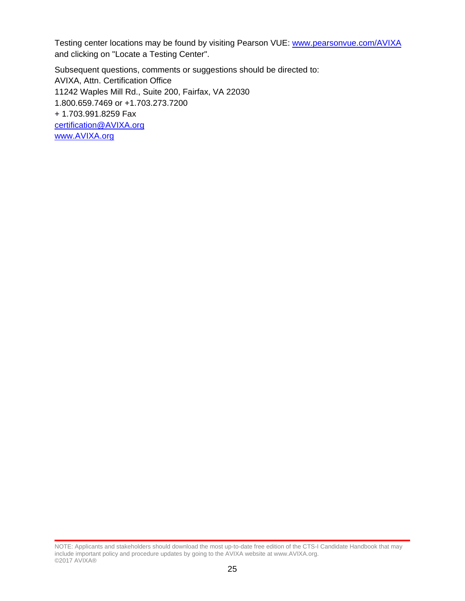Testing center locations may be found by visiting Pearson VUE: [www.pearsonvue.com/AVIXA](http://www.pearsonvue.com/infocomm) and clicking on "Locate a Testing Center".

Subsequent questions, comments or suggestions should be directed to: AVIXA, Attn. Certification Office 11242 Waples Mill Rd., Suite 200, Fairfax, VA 22030 1.800.659.7469 or +1.703.273.7200 + 1.703.991.8259 Fax [certification@AVIXA.org](file://herod/shared/CERTIFICATION/Handbooks/EVO%20in%20Progress/certification@infocomm.org) [www.AVIXA.org](http://www.infocomm.org/)

NOTE: Applicants and stakeholders should download the most up-to-date free edition of the CTS-I Candidate Handbook that may include important policy and procedure updates by going to the AVIXA website at www.AVIXA.org. ©2017 AVIXA®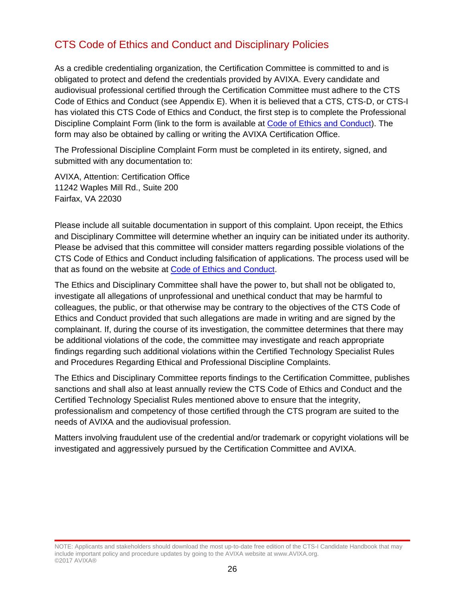# <span id="page-26-0"></span>CTS Code of Ethics and Conduct and Disciplinary Policies

As a credible credentialing organization, the Certification Committee is committed to and is obligated to protect and defend the credentials provided by AVIXA. Every candidate and audiovisual professional certified through the Certification Committee must adhere to the CTS Code of Ethics and Conduct (see Appendix E). When it is believed that a CTS, CTS-D, or CTS-I has violated this CTS Code of Ethics and Conduct, the first step is to complete the Professional Discipline Complaint Form (link to the form is available at [Code of Ethics and Conduct\)](https://www.avixa.org/training-certification/certification/CTS/code-of-ethics-and-conduct). The form may also be obtained by calling or writing the AVIXA Certification Office.

The Professional Discipline Complaint Form must be completed in its entirety, signed, and submitted with any documentation to:

AVIXA, Attention: Certification Office 11242 Waples Mill Rd., Suite 200 Fairfax, VA 22030

Please include all suitable documentation in support of this complaint. Upon receipt, the Ethics and Disciplinary Committee will determine whether an inquiry can be initiated under its authority. Please be advised that this committee will consider matters regarding possible violations of the CTS Code of Ethics and Conduct including falsification of applications. The process used will be that as found on the website at [Code of Ethics and Conduct.](https://www.avixa.org/training-certification/certification/CTS/code-of-ethics-and-conduct)

The Ethics and Disciplinary Committee shall have the power to, but shall not be obligated to, investigate all allegations of unprofessional and unethical conduct that may be harmful to colleagues, the public, or that otherwise may be contrary to the objectives of the CTS Code of Ethics and Conduct provided that such allegations are made in writing and are signed by the complainant. If, during the course of its investigation, the committee determines that there may be additional violations of the code, the committee may investigate and reach appropriate findings regarding such additional violations within the Certified Technology Specialist Rules and Procedures Regarding Ethical and Professional Discipline Complaints.

The Ethics and Disciplinary Committee reports findings to the Certification Committee, publishes sanctions and shall also at least annually review the CTS Code of Ethics and Conduct and the Certified Technology Specialist Rules mentioned above to ensure that the integrity, professionalism and competency of those certified through the CTS program are suited to the needs of AVIXA and the audiovisual profession.

Matters involving fraudulent use of the credential and/or trademark or copyright violations will be investigated and aggressively pursued by the Certification Committee and AVIXA.

NOTE: Applicants and stakeholders should download the most up-to-date free edition of the CTS-I Candidate Handbook that may include important policy and procedure updates by going to the AVIXA website at www.AVIXA.org. ©2017 AVIXA®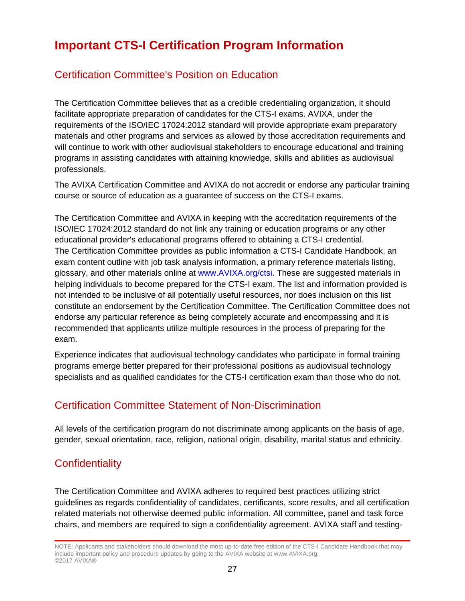# <span id="page-27-0"></span>**Important CTS-I Certification Program Information**

### <span id="page-27-1"></span>Certification Committee's Position on Education

The Certification Committee believes that as a credible credentialing organization, it should facilitate appropriate preparation of candidates for the CTS-I exams. AVIXA, under the requirements of the ISO/IEC 17024:2012 standard will provide appropriate exam preparatory materials and other programs and services as allowed by those accreditation requirements and will continue to work with other audiovisual stakeholders to encourage educational and training programs in assisting candidates with attaining knowledge, skills and abilities as audiovisual professionals.

The AVIXA Certification Committee and AVIXA do not accredit or endorse any particular training course or source of education as a guarantee of success on the CTS-I exams.

The Certification Committee and AVIXA in keeping with the accreditation requirements of the ISO/IEC 17024:2012 standard do not link any training or education programs or any other educational provider's educational programs offered to obtaining a CTS-I credential. The Certification Committee provides as public information a CTS-I Candidate Handbook, an exam content outline with job task analysis information, a primary reference materials listing, glossary, and other materials online at [www.AVIXA.org/ctsi.](https://www.avixa.org/training-certification/certification/cts-i) These are suggested materials in helping individuals to become prepared for the CTS-I exam. The list and information provided is not intended to be inclusive of all potentially useful resources, nor does inclusion on this list constitute an endorsement by the Certification Committee. The Certification Committee does not endorse any particular reference as being completely accurate and encompassing and it is recommended that applicants utilize multiple resources in the process of preparing for the exam.

Experience indicates that audiovisual technology candidates who participate in formal training programs emerge better prepared for their professional positions as audiovisual technology specialists and as qualified candidates for the CTS-I certification exam than those who do not.

# <span id="page-27-2"></span>Certification Committee Statement of Non-Discrimination

All levels of the certification program do not discriminate among applicants on the basis of age, gender, sexual orientation, race, religion, national origin, disability, marital status and ethnicity.

# <span id="page-27-3"></span>**Confidentiality**

The Certification Committee and AVIXA adheres to required best practices utilizing strict guidelines as regards confidentiality of candidates, certificants, score results, and all certification related materials not otherwise deemed public information. All committee, panel and task force chairs, and members are required to sign a confidentiality agreement. AVIXA staff and testing-

NOTE: Applicants and stakeholders should download the most up-to-date free edition of the CTS-I Candidate Handbook that may include important policy and procedure updates by going to the AVIXA website at www.AVIXA.org. ©2017 AVIXA®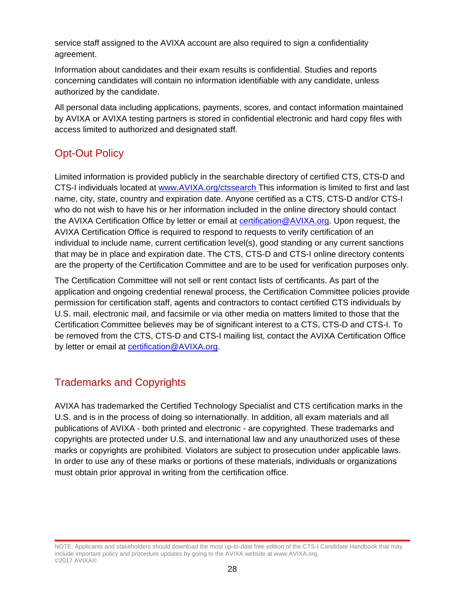service staff assigned to the AVIXA account are also required to sign a confidentiality agreement.

Information about candidates and their exam results is confidential. Studies and reports concerning candidates will contain no information identifiable with any candidate, unless authorized by the candidate.

All personal data including applications, payments, scores, and contact information maintained by AVIXA or AVIXA testing partners is stored in confidential electronic and hard copy files with access limited to authorized and designated staff.

# <span id="page-28-0"></span>Opt-Out Policy

Limited information is provided publicly in the searchable directory of certified CTS, CTS-D and CTS-I individuals located at [www.AVIXA.org/ctssearch](https://www.avixa.org/about-the-avixa-directory/membersearch) [T](http://www.infocomm.org/ctssearch)his information is limited to first and last name, city, state, country and expiration date. Anyone certified as a CTS, CTS-D and/or CTS-I who do not wish to have his or her information included in the online directory should contact the AVIXA Certification Office by letter or email at **certification@AVIXA.org**. Upon request, the AVIXA Certification Office is required to respond to requests to verify certification of an individual to include name, current certification level(s), good standing or any current sanctions that may be in place and expiration date. The CTS, CTS-D and CTS-I online directory contents are the property of the Certification Committee and are to be used for verification purposes only.

The Certification Committee will not sell or rent contact lists of certificants. As part of the application and ongoing credential renewal process, the Certification Committee policies provide permission for certification staff, agents and contractors to contact certified CTS individuals by U.S. mail, electronic mail, and facsimile or via other media on matters limited to those that the Certification Committee believes may be of significant interest to a CTS, CTS-D and CTS-I. To be removed from the CTS, CTS-D and CTS-I mailing list, contact the AVIXA Certification Office by letter or email at [certification@AVIXA.org.](mailto:certification@infocomm.org)

# <span id="page-28-1"></span>Trademarks and Copyrights

AVIXA has trademarked the Certified Technology Specialist and CTS certification marks in the U.S. and is in the process of doing so internationally. In addition, all exam materials and all publications of AVIXA - both printed and electronic - are copyrighted. These trademarks and copyrights are protected under U.S. and international law and any unauthorized uses of these marks or copyrights are prohibited. Violators are subject to prosecution under applicable laws. In order to use any of these marks or portions of these materials, individuals or organizations must obtain prior approval in writing from the certification office.

NOTE: Applicants and stakeholders should download the most up-to-date free edition of the CTS-I Candidate Handbook that may include important policy and procedure updates by going to the AVIXA website at www.AVIXA.org. ©2017 AVIXA®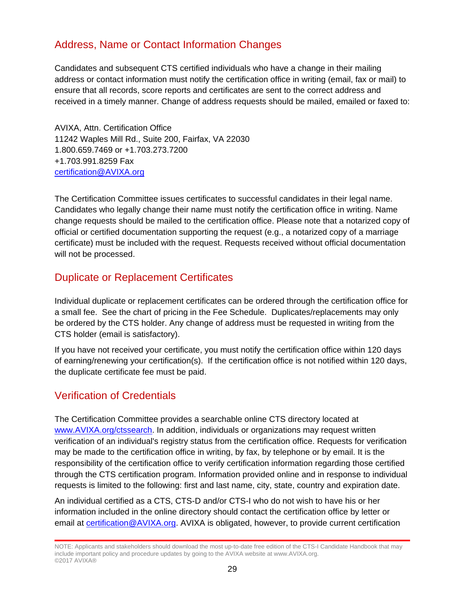## <span id="page-29-0"></span>Address, Name or Contact Information Changes

Candidates and subsequent CTS certified individuals who have a change in their mailing address or contact information must notify the certification office in writing (email, fax or mail) to ensure that all records, score reports and certificates are sent to the correct address and received in a timely manner. Change of address requests should be mailed, emailed or faxed to:

AVIXA, Attn. Certification Office 11242 Waples Mill Rd., Suite 200, Fairfax, VA 22030 1.800.659.7469 or +1.703.273.7200 +1.703.991.8259 Fax [certification@AVIXA.org](mailto:certification@infocomm.org) 

The Certification Committee issues certificates to successful candidates in their legal name. Candidates who legally change their name must notify the certification office in writing. Name change requests should be mailed to the certification office. Please note that a notarized copy of official or certified documentation supporting the request (e.g., a notarized copy of a marriage certificate) must be included with the request. Requests received without official documentation will not be processed.

### <span id="page-29-1"></span>Duplicate or Replacement Certificates

Individual duplicate or replacement certificates can be ordered through the certification office for a small fee. See the chart of pricing in the Fee Schedule. Duplicates/replacements may only be ordered by the CTS holder. Any change of address must be requested in writing from the CTS holder (email is satisfactory).

If you have not received your certificate, you must notify the certification office within 120 days of earning/renewing your certification(s). If the certification office is not notified within 120 days, the duplicate certificate fee must be paid.

# <span id="page-29-2"></span>Verification of Credentials

The Certification Committee provides a searchable online CTS directory located at [www.AVIXA.org/ctssearch.](https://www.avixa.org/about-the-avixa-directory/membersearch) In addition, individuals or organizations may request written verification of an individual's registry status from the certification office. Requests for verification may be made to the certification office in writing, by fax, by telephone or by email. It is the responsibility of the certification office to verify certification information regarding those certified through the CTS certification program. Information provided online and in response to individual requests is limited to the following: first and last name, city, state, country and expiration date.

An individual certified as a CTS, CTS-D and/or CTS-I who do not wish to have his or her information included in the online directory should contact the certification office by letter or email at [certification@AVIXA.org.](mailto:certification@infocomm.org) AVIXA is obligated, however, to provide current certification

NOTE: Applicants and stakeholders should download the most up-to-date free edition of the CTS-I Candidate Handbook that may include important policy and procedure updates by going to the AVIXA website at www.AVIXA.org. ©2017 AVIXA®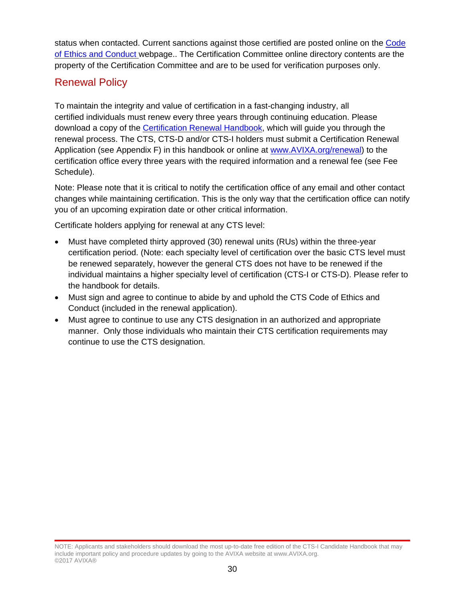status when contacted. Current sanctions against those certified are posted online on the [Code](https://www.avixa.org/training-certification/certification/CTS/code-of-ethics-and-conduct)  [of Ethics and Conduct](https://www.avixa.org/training-certification/certification/CTS/code-of-ethics-and-conduct) webpage.. The Certification Committee online directory contents are the property of the Certification Committee and are to be used for verification purposes only.

# <span id="page-30-0"></span>Renewal Policy

To maintain the integrity and value of certification in a fast-changing industry, all certified individuals must renew every three years through continuing education. Please download a copy of the [Certification Renewal Handbook,](https://www.avixa.org/training-certification/certification/certification-renewal) which will guide you through the renewal process. The CTS, CTS-D and/or CTS-I holders must submit a Certification Renewal Application (see Appendix F) in this handbook or online at [www.AVIXA.org/renewal\)](https://www.avixa.org/training-certification/certification/certification-renewal) to the certification office every three years with the required information and a renewal fee (see Fee Schedule).

Note: Please note that it is critical to notify the certification office of any email and other contact changes while maintaining certification. This is the only way that the certification office can notify you of an upcoming expiration date or other critical information.

Certificate holders applying for renewal at any CTS level:

- Must have completed thirty approved (30) renewal units (RUs) within the three-year certification period. (Note: each specialty level of certification over the basic CTS level must be renewed separately, however the general CTS does not have to be renewed if the individual maintains a higher specialty level of certification (CTS-I or CTS-D). Please refer to the handbook for details.
- Must sign and agree to continue to abide by and uphold the CTS Code of Ethics and Conduct (included in the renewal application).
- Must agree to continue to use any CTS designation in an authorized and appropriate manner. Only those individuals who maintain their CTS certification requirements may continue to use the CTS designation.

NOTE: Applicants and stakeholders should download the most up-to-date free edition of the CTS-I Candidate Handbook that may include important policy and procedure updates by going to the AVIXA website at www.AVIXA.org. ©2017 AVIXA®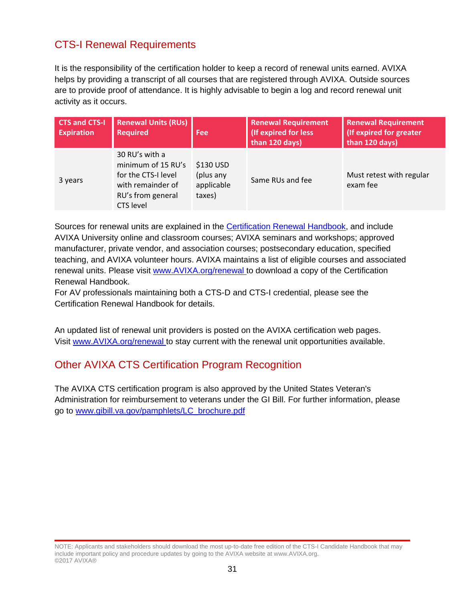# <span id="page-31-0"></span>CTS-I Renewal Requirements

It is the responsibility of the certification holder to keep a record of renewal units earned. AVIXA helps by providing a transcript of all courses that are registered through AVIXA. Outside sources are to provide proof of attendance. It is highly advisable to begin a log and record renewal unit activity as it occurs.

| <b>CTS and CTS-I</b><br><b>Expiration</b> | <b>Renewal Units (RUs)</b><br><b>Required</b>                                                                             | Fee                                            | <b>Renewal Requirement</b><br>(If expired for less<br>than 120 days) | <b>Renewal Requirement</b><br>(If expired for greater<br>than 120 days) |
|-------------------------------------------|---------------------------------------------------------------------------------------------------------------------------|------------------------------------------------|----------------------------------------------------------------------|-------------------------------------------------------------------------|
| 3 years                                   | 30 RU's with a<br>minimum of 15 RU's<br>for the CTS-I level<br>with remainder of<br>RU's from general<br><b>CTS level</b> | \$130 USD<br>(plus any<br>applicable<br>taxes) | Same RUs and fee                                                     | Must retest with regular<br>exam fee                                    |

Sources for renewal units are explained in the [Certification Renewal Handbook,](https://www.avixa.org/training-certification/certification/certification-renewal) and include AVIXA University online and classroom courses; AVIXA seminars and workshops; approved manufacturer, private vendor, and association courses; postsecondary education, specified teaching, and AVIXA volunteer hours. AVIXA maintains a list of eligible courses and associated renewal units. Please visit [www.AVIXA.org/renewal](https://www.avixa.org/training-certification/certification/certification-renewal) [t](http://www.infocomm.org/renewal)o download a copy of the Certification Renewal Handbook.

For AV professionals maintaining both a CTS-D and CTS-I credential, please see the Certification Renewal Handbook for details.

An updated list of renewal unit providers is posted on the AVIXA certification web pages. Visit [www.AVIXA.org/renewal](https://www.avixa.org/training-certification/certification/certification-renewal) to stay current with the renewal unit opportunities available.

### <span id="page-31-1"></span>Other AVIXA CTS Certification Program Recognition

The AVIXA CTS certification program is also approved by the United States Veteran's Administration for reimbursement to veterans under the GI Bill. For further information, please go to [www.gibill.va.gov/pamphlets/LC\\_brochure.pdf](http://www.gibill.va.gov/pamphlets/LC_brochure.pdf)

NOTE: Applicants and stakeholders should download the most up-to-date free edition of the CTS-I Candidate Handbook that may include important policy and procedure updates by going to the AVIXA website at www.AVIXA.org. ©2017 AVIXA®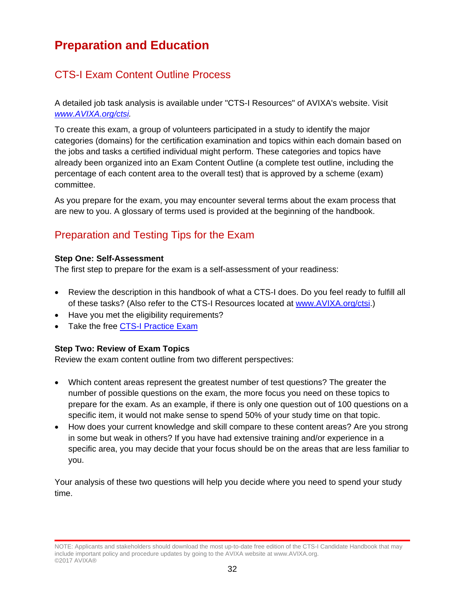# <span id="page-32-0"></span>**Preparation and Education**

# <span id="page-32-1"></span>CTS-I Exam Content Outline Process

A detailed job task analysis is available under "CTS-I Resources" of AVIXA's website. Visit *[www.AVIXA.org/ctsi.](https://www.avixa.org/training-certification/certification/cts-i)* 

To create this exam, a group of volunteers participated in a study to identify the major categories (domains) for the certification examination and topics within each domain based on the jobs and tasks a certified individual might perform. These categories and topics have already been organized into an Exam Content Outline (a complete test outline, including the percentage of each content area to the overall test) that is approved by a scheme (exam) committee.

As you prepare for the exam, you may encounter several terms about the exam process that are new to you. A glossary of terms used is provided at the beginning of the handbook.

# <span id="page-32-2"></span>Preparation and Testing Tips for the Exam

#### **Step One: Self-Assessment**

The first step to prepare for the exam is a self-assessment of your readiness:

- Review the description in this handbook of what a CTS-I does. Do you feel ready to fulfill all of these tasks? (Also refer to the CTS-I Resources located at [www.AVIXA.org/ctsi.](https://www.avixa.org/training-certification/certification/cts-i))
- Have you met the eligibility requirements?
- Take the free [CTS-I Practice Exam](https://www.avixa.org/training-certification/certification/cts-i)

### **Step Two: Review of Exam Topics**

Review the exam content outline from two different perspectives:

- Which content areas represent the greatest number of test questions? The greater the number of possible questions on the exam, the more focus you need on these topics to prepare for the exam. As an example, if there is only one question out of 100 questions on a specific item, it would not make sense to spend 50% of your study time on that topic.
- How does your current knowledge and skill compare to these content areas? Are you strong in some but weak in others? If you have had extensive training and/or experience in a specific area, you may decide that your focus should be on the areas that are less familiar to you.

Your analysis of these two questions will help you decide where you need to spend your study time.

NOTE: Applicants and stakeholders should download the most up-to-date free edition of the CTS-I Candidate Handbook that may include important policy and procedure updates by going to the AVIXA website at www.AVIXA.org. ©2017 AVIXA®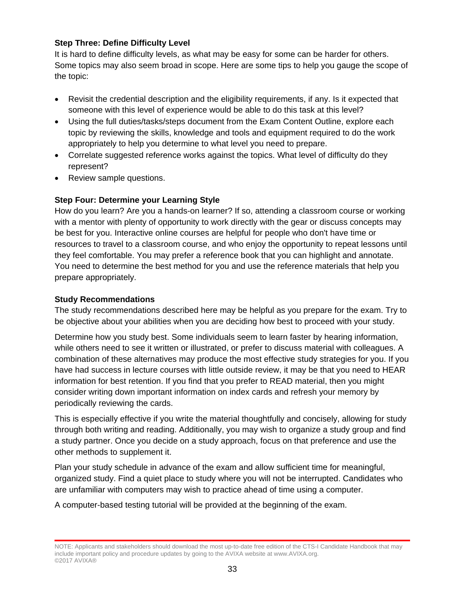### **Step Three: Define Difficulty Level**

It is hard to define difficulty levels, as what may be easy for some can be harder for others. Some topics may also seem broad in scope. Here are some tips to help you gauge the scope of the topic:

- Revisit the credential description and the eligibility requirements, if any. Is it expected that someone with this level of experience would be able to do this task at this level?
- Using the full duties/tasks/steps document from the Exam Content Outline, explore each topic by reviewing the skills, knowledge and tools and equipment required to do the work appropriately to help you determine to what level you need to prepare.
- Correlate suggested reference works against the topics. What level of difficulty do they represent?
- Review sample questions.

### **Step Four: Determine your Learning Style**

How do you learn? Are you a hands-on learner? If so, attending a classroom course or working with a mentor with plenty of opportunity to work directly with the gear or discuss concepts may be best for you. Interactive online courses are helpful for people who don't have time or resources to travel to a classroom course, and who enjoy the opportunity to repeat lessons until they feel comfortable. You may prefer a reference book that you can highlight and annotate. You need to determine the best method for you and use the reference materials that help you prepare appropriately.

#### **Study Recommendations**

The study recommendations described here may be helpful as you prepare for the exam. Try to be objective about your abilities when you are deciding how best to proceed with your study.

Determine how you study best. Some individuals seem to learn faster by hearing information, while others need to see it written or illustrated, or prefer to discuss material with colleagues. A combination of these alternatives may produce the most effective study strategies for you. If you have had success in lecture courses with little outside review, it may be that you need to HEAR information for best retention. If you find that you prefer to READ material, then you might consider writing down important information on index cards and refresh your memory by periodically reviewing the cards.

This is especially effective if you write the material thoughtfully and concisely, allowing for study through both writing and reading. Additionally, you may wish to organize a study group and find a study partner. Once you decide on a study approach, focus on that preference and use the other methods to supplement it.

Plan your study schedule in advance of the exam and allow sufficient time for meaningful, organized study. Find a quiet place to study where you will not be interrupted. Candidates who are unfamiliar with computers may wish to practice ahead of time using a computer.

A computer-based testing tutorial will be provided at the beginning of the exam.

NOTE: Applicants and stakeholders should download the most up-to-date free edition of the CTS-I Candidate Handbook that may include important policy and procedure updates by going to the AVIXA website at www.AVIXA.org. ©2017 AVIXA®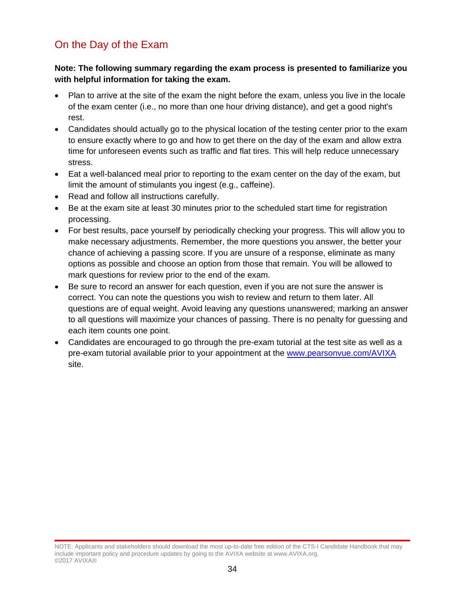# <span id="page-34-0"></span>On the Day of the Exam

### **Note: The following summary regarding the exam process is presented to familiarize you with helpful information for taking the exam.**

- Plan to arrive at the site of the exam the night before the exam, unless you live in the locale of the exam center (i.e., no more than one hour driving distance), and get a good night's rest.
- Candidates should actually go to the physical location of the testing center prior to the exam to ensure exactly where to go and how to get there on the day of the exam and allow extra time for unforeseen events such as traffic and flat tires. This will help reduce unnecessary stress.
- Eat a well-balanced meal prior to reporting to the exam center on the day of the exam, but limit the amount of stimulants you ingest (e.g., caffeine).
- Read and follow all instructions carefully.
- Be at the exam site at least 30 minutes prior to the scheduled start time for registration processing.
- For best results, pace yourself by periodically checking your progress. This will allow you to make necessary adjustments. Remember, the more questions you answer, the better your chance of achieving a passing score. If you are unsure of a response, eliminate as many options as possible and choose an option from those that remain. You will be allowed to mark questions for review prior to the end of the exam.
- Be sure to record an answer for each question, even if you are not sure the answer is correct. You can note the questions you wish to review and return to them later. All questions are of equal weight. Avoid leaving any questions unanswered; marking an answer to all questions will maximize your chances of passing. There is no penalty for guessing and each item counts one point.
- Candidates are encouraged to go through the pre-exam tutorial at the test site as well as a pre-exam tutorial available prior to your appointment at the [www.pearsonvue.com/AVIXA](http://www.pearsonvue.com/infocomm) site.

NOTE: Applicants and stakeholders should download the most up-to-date free edition of the CTS-I Candidate Handbook that may include important policy and procedure updates by going to the AVIXA website at www.AVIXA.org. ©2017 AVIXA®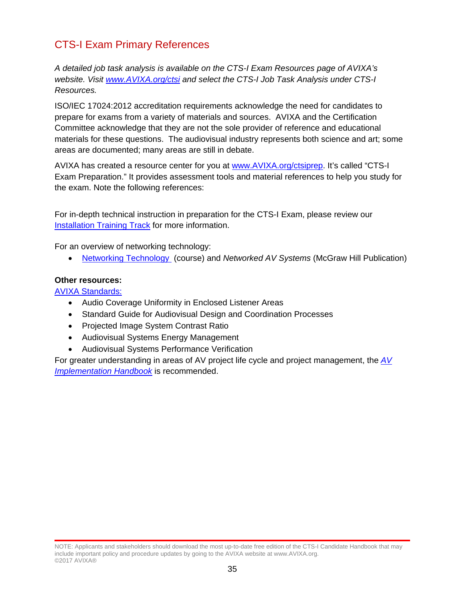# <span id="page-35-0"></span>CTS-I Exam Primary References

*A detailed job task analysis is available on the CTS-I Exam Resources page of AVIXA's website. Visit [www.AVIXA.org/ctsi](https://www.avixa.org/training-certification/certification/cts-i) and select the CTS-I Job Task Analysis under CTS-I Resources.*

ISO/IEC 17024:2012 accreditation requirements acknowledge the need for candidates to prepare for exams from a variety of materials and sources. AVIXA and the Certification Committee acknowledge that they are not the sole provider of reference and educational materials for these questions. The audiovisual industry represents both science and art; some areas are documented; many areas are still in debate.

AVIXA has created a resource center for you at [www.AVIXA.org/ctsiprep.](https://www.avixa.org/training-certification/certification/cts-i) It's called "CTS-I Exam Preparation." It provides assessment tools and material references to help you study for the exam. Note the following references:

For in-depth technical instruction in preparation for the CTS-I Exam, please review our **[Installation Training Track](https://www.avixa.org/training-certification/training/build-expertise/installation) for more information.** 

For an overview of networking technology:

• [Networking Technology](http://www.infocomm.org/cps/rde/xchg/infocomm/hs.xsl/36621.htm) (course) and *Networked AV Systems* (McGraw Hill Publication)

#### **Other resources:**

AVIXA [Standards:](https://www.avixa.org/standards)

- Audio Coverage Uniformity in Enclosed Listener Areas
- Standard Guide for Audiovisual Design and Coordination Processes
- Projected Image System Contrast Ratio
- Audiovisual Systems Energy Management
- Audiovisual Systems Performance Verification

For greater understanding in areas of AV project life cycle and project management, the *[AV](https://avixa.netexam.com/catalog.html#:cs50536)  [Implementation Handbook](https://avixa.netexam.com/catalog.html#:cs50536)* is recommended.

NOTE: Applicants and stakeholders should download the most up-to-date free edition of the CTS-I Candidate Handbook that may include important policy and procedure updates by going to the AVIXA website at www.AVIXA.org. ©2017 AVIXA®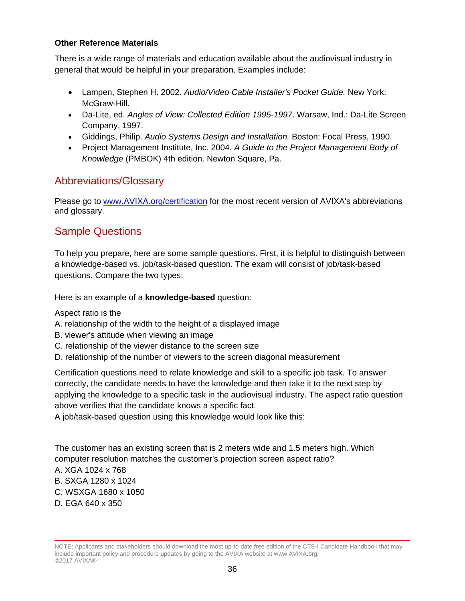## **Other Reference Materials**

There is a wide range of materials and education available about the audiovisual industry in general that would be helpful in your preparation. Examples include:

- Lampen, Stephen H. 2002. *Audio/Video Cable Installer's Pocket Guide.* New York: McGraw-Hill.
- Da-Lite, ed. *Angles of View: Collected Edition 1995-1997*. Warsaw, Ind.: Da-Lite Screen Company, 1997.
- Giddings, Philip. *Audio Systems Design and Installation.* Boston: Focal Press, 1990.
- Project Management Institute, Inc. 2004. *A Guide to the Project Management Body of Knowledge* (PMBOK) 4th edition. Newton Square, Pa.

## Abbreviations/Glossary

Please go to [www.AVIXA.org/certification](https://www.avixa.org/training-certification/certification/about-the-certified-technology-specialist-(cts)-credential) for the most recent version of AVIXA's abbreviations and glossary.

# Sample Questions

To help you prepare, here are some sample questions. First, it is helpful to distinguish between a knowledge-based vs. job/task-based question. The exam will consist of job/task-based questions. Compare the two types:

Here is an example of a **knowledge-based** question:

Aspect ratio is the

- A. relationship of the width to the height of a displayed image
- B. viewer's attitude when viewing an image
- C. relationship of the viewer distance to the screen size
- D. relationship of the number of viewers to the screen diagonal measurement

Certification questions need to relate knowledge and skill to a specific job task. To answer correctly, the candidate needs to have the knowledge and then take it to the next step by applying the knowledge to a specific task in the audiovisual industry. The aspect ratio question above verifies that the candidate knows a specific fact.

A job/task-based question using this knowledge would look like this:

The customer has an existing screen that is 2 meters wide and 1.5 meters high. Which computer resolution matches the customer's projection screen aspect ratio?

- A. XGA 1024 x 768
- B. SXGA 1280 x 1024
- C. WSXGA 1680 x 1050
- D. EGA 640 x 350

NOTE: Applicants and stakeholders should download the most up-to-date free edition of the CTS-I Candidate Handbook that may include important policy and procedure updates by going to the AVIXA website at www.AVIXA.org. ©2017 AVIXA®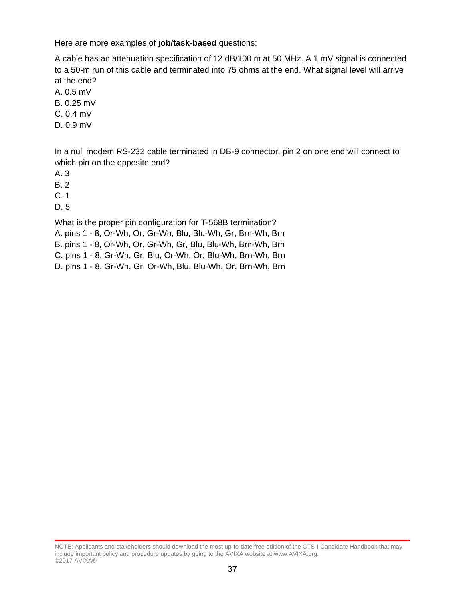Here are more examples of **job/task-based** questions:

A cable has an attenuation specification of 12 dB/100 m at 50 MHz. A 1 mV signal is connected to a 50-m run of this cable and terminated into 75 ohms at the end. What signal level will arrive at the end?

- A. 0.5 mV
- B. 0.25 mV
- C. 0.4 mV
- D. 0.9 mV

In a null modem RS-232 cable terminated in DB-9 connector, pin 2 on one end will connect to which pin on the opposite end?

A. 3

B. 2

C. 1

D. 5

What is the proper pin configuration for T-568B termination?

- A. pins 1 8, Or-Wh, Or, Gr-Wh, Blu, Blu-Wh, Gr, Brn-Wh, Brn
- B. pins 1 8, Or-Wh, Or, Gr-Wh, Gr, Blu, Blu-Wh, Brn-Wh, Brn
- C. pins 1 8, Gr-Wh, Gr, Blu, Or-Wh, Or, Blu-Wh, Brn-Wh, Brn
- D. pins 1 8, Gr-Wh, Gr, Or-Wh, Blu, Blu-Wh, Or, Brn-Wh, Brn

NOTE: Applicants and stakeholders should download the most up-to-date free edition of the CTS-I Candidate Handbook that may include important policy and procedure updates by going to the AVIXA website at www.AVIXA.org. ©2017 AVIXA®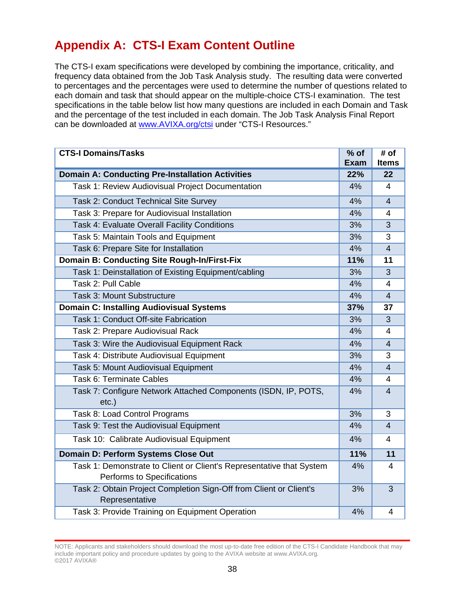# **Appendix A: CTS-I Exam Content Outline**

The CTS-I exam specifications were developed by combining the importance, criticality, and frequency data obtained from the Job Task Analysis study. The resulting data were converted to percentages and the percentages were used to determine the number of questions related to each domain and task that should appear on the multiple-choice CTS-I examination. The test specifications in the table below list how many questions are included in each Domain and Task and the percentage of the test included in each domain. The Job Task Analysis Final Report can be downloaded at [www.AVIXA.org/ctsi](https://www.avixa.org/training-certification/certification/cts-i) under "CTS-I Resources."

| <b>CTS-I Domains/Tasks</b>                                                                         | $%$ of      | # of           |
|----------------------------------------------------------------------------------------------------|-------------|----------------|
|                                                                                                    | <b>Exam</b> | <b>Items</b>   |
| <b>Domain A: Conducting Pre-Installation Activities</b>                                            | 22%         | 22             |
| Task 1: Review Audiovisual Project Documentation                                                   | 4%          | $\overline{4}$ |
| Task 2: Conduct Technical Site Survey                                                              | 4%          | $\overline{4}$ |
| Task 3: Prepare for Audiovisual Installation                                                       | 4%          | 4              |
| Task 4: Evaluate Overall Facility Conditions                                                       | 3%          | 3              |
| Task 5: Maintain Tools and Equipment                                                               | 3%          | 3              |
| Task 6: Prepare Site for Installation                                                              | 4%          | $\overline{4}$ |
| Domain B: Conducting Site Rough-In/First-Fix                                                       | 11%         | 11             |
| Task 1: Deinstallation of Existing Equipment/cabling                                               | 3%          | 3              |
| Task 2: Pull Cable                                                                                 | 4%          | $\overline{4}$ |
| Task 3: Mount Substructure                                                                         | 4%          | $\overline{4}$ |
| <b>Domain C: Installing Audiovisual Systems</b>                                                    | 37%         | 37             |
| Task 1: Conduct Off-site Fabrication                                                               | 3%          | 3              |
| Task 2: Prepare Audiovisual Rack                                                                   | 4%          | 4              |
| Task 3: Wire the Audiovisual Equipment Rack                                                        |             | $\overline{4}$ |
| Task 4: Distribute Audiovisual Equipment                                                           |             | 3              |
| Task 5: Mount Audiovisual Equipment                                                                |             | $\overline{4}$ |
| Task 6: Terminate Cables                                                                           | 4%          | 4              |
| Task 7: Configure Network Attached Components (ISDN, IP, POTS,                                     |             | $\overline{4}$ |
| $etc.$ )                                                                                           |             |                |
| Task 8: Load Control Programs                                                                      | 3%          | 3              |
| Task 9: Test the Audiovisual Equipment                                                             | 4%          | $\overline{4}$ |
| Task 10: Calibrate Audiovisual Equipment                                                           | 4%          | $\overline{4}$ |
| Domain D: Perform Systems Close Out                                                                |             | 11             |
| Task 1: Demonstrate to Client or Client's Representative that System<br>Performs to Specifications | 4%          | $\overline{4}$ |
| Task 2: Obtain Project Completion Sign-Off from Client or Client's<br>Representative               | 3%          | 3              |
| Task 3: Provide Training on Equipment Operation                                                    | 4%          | 4              |

NOTE: Applicants and stakeholders should download the most up-to-date free edition of the CTS-I Candidate Handbook that may include important policy and procedure updates by going to the AVIXA website at www.AVIXA.org. ©2017 AVIXA®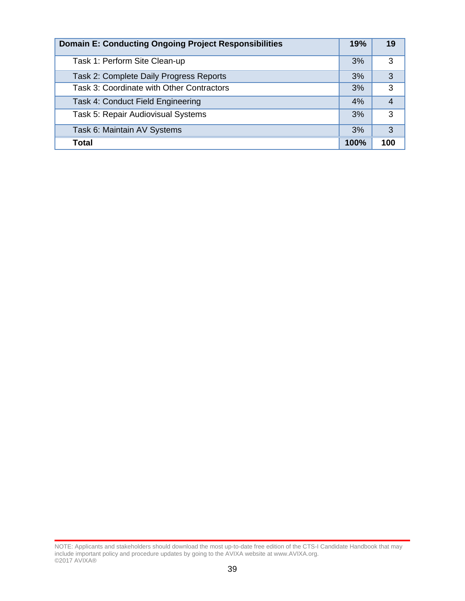| <b>Domain E: Conducting Ongoing Project Responsibilities</b> | 19%  | 19  |
|--------------------------------------------------------------|------|-----|
| Task 1: Perform Site Clean-up                                | 3%   | 3   |
| Task 2: Complete Daily Progress Reports                      | 3%   | 3   |
| Task 3: Coordinate with Other Contractors                    | 3%   | 3   |
| Task 4: Conduct Field Engineering                            | 4%   | 4   |
| Task 5: Repair Audiovisual Systems                           | 3%   | 3   |
| Task 6: Maintain AV Systems                                  | 3%   | 3   |
| Total                                                        | 100% | 100 |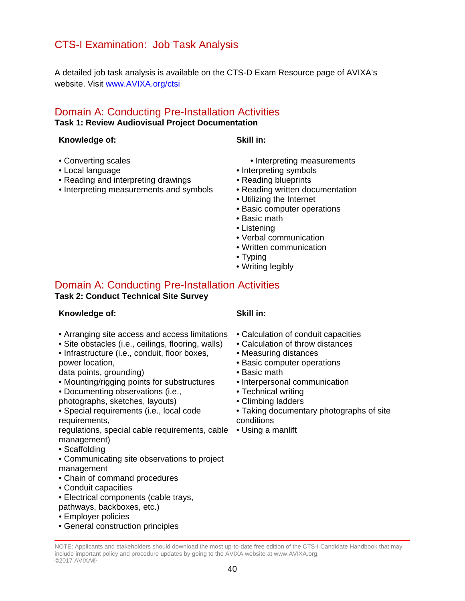# CTS-I Examination: Job Task Analysis

A detailed job task analysis is available on the CTS-D Exam Resource page of AVIXA's website. Visit [www.AVIXA.org/ctsi](https://www.avixa.org/training-certification/certification/cts-i)

### Domain A: Conducting Pre-Installation Activities **Task 1: Review Audiovisual Project Documentation**

### **Knowledge of: Skill in:**

- Converting scales
- Local language
- Reading and interpreting drawings
- Interpreting measurements and symbols
- Interpreting measurements
- Interpreting symbols
- Reading blueprints
- Reading written documentation
- Utilizing the Internet
- Basic computer operations
- Basic math
- Listening
- Verbal communication
- Written communication
- Typing
- Writing legibly

# Domain A: Conducting Pre-Installation Activities

#### **Task 2: Conduct Technical Site Survey**

## **Knowledge of: Skill in:**

- Arranging site access and access limitations
- Site obstacles (i.e., ceilings, flooring, walls)
- Infrastructure (i.e., conduit, floor boxes, power location,

data points, grounding)

- Mounting/rigging points for substructures
- Documenting observations (i.e.,
- photographs, sketches, layouts)
- Special requirements (i.e., local code requirements,

regulations, special cable requirements, cable • Using a manliftmanagement)

- Scaffolding
- Communicating site observations to project management
- Chain of command procedures
- Conduit capacities
- Electrical components (cable trays, pathways, backboxes, etc.)
- Employer policies
- General construction principles

- Calculation of conduit capacities
- Calculation of throw distances
- Measuring distances
- Basic computer operations
- Basic math
- Interpersonal communication
- Technical writing
- Climbing ladders
- Taking documentary photographs of site conditions
-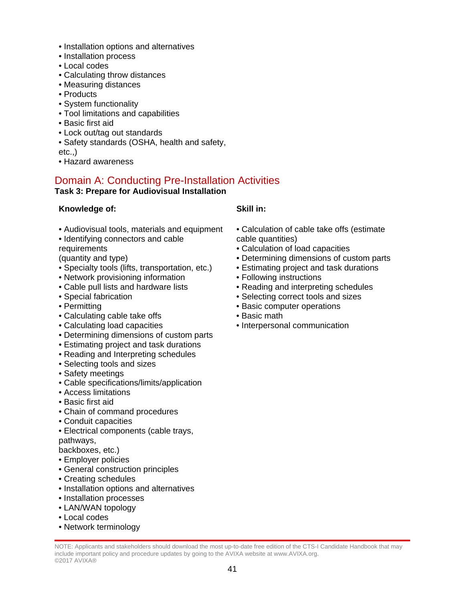- Installation options and alternatives
- Installation process
- Local codes
- Calculating throw distances
- Measuring distances
- Products
- System functionality
- Tool limitations and capabilities
- Basic first aid
- Lock out/tag out standards
- Safety standards (OSHA, health and safety,

 $etc.,$ 

• Hazard awareness

# Domain A: Conducting Pre-Installation Activities

## **Task 3: Prepare for Audiovisual Installation**

## **Knowledge of: Skill in:**

- Audiovisual tools, materials and equipment
- Identifying connectors and cable
- **requirements**

(quantity and type)

- Specialty tools (lifts, transportation, etc.)
- Network provisioning information
- Cable pull lists and hardware lists
- Special fabrication
- Permitting
- Calculating cable take offs
- Calculating load capacities
- Determining dimensions of custom parts
- Estimating project and task durations
- Reading and Interpreting schedules
- Selecting tools and sizes
- Safety meetings
- Cable specifications/limits/application
- Access limitations
- Basic first aid
- Chain of command procedures
- Conduit capacities
- Electrical components (cable trays, pathways,

backboxes, etc.)

- Employer policies
- General construction principles
- Creating schedules
- Installation options and alternatives
- Installation processes
- LAN/WAN topology
- Local codes
- Network terminology

- Calculation of cable take offs (estimate cable quantities)
- Calculation of load capacities
- Determining dimensions of custom parts
- Estimating project and task durations
- Following instructions
- Reading and interpreting schedules
- Selecting correct tools and sizes
- Basic computer operations
- Basic math
- Interpersonal communication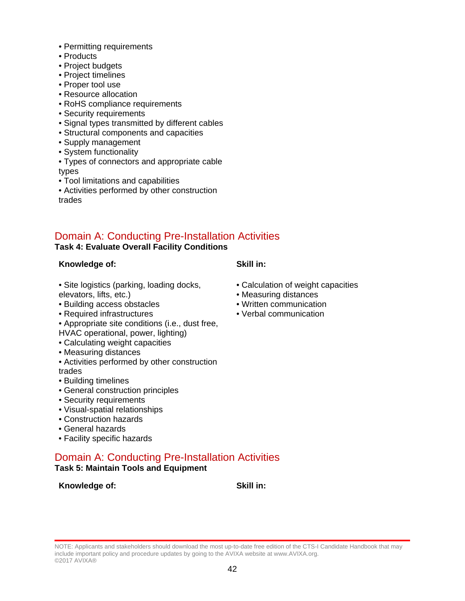- Permitting requirements
- Products
- Project budgets
- Project timelines
- Proper tool use
- Resource allocation
- RoHS compliance requirements
- Security requirements
- Signal types transmitted by different cables
- Structural components and capacities
- Supply management
- System functionality
- Types of connectors and appropriate cable types
- Tool limitations and capabilities
- Activities performed by other construction trades

## Domain A: Conducting Pre-Installation Activities

## **Task 4: Evaluate Overall Facility Conditions**

### **Knowledge of: Skill in:**

• Calculation of weight capacities

• Measuring distances • Written communication • Verbal communication

- Site logistics (parking, loading docks, elevators, lifts, etc.)
- Building access obstacles
- Required infrastructures
- Appropriate site conditions (i.e., dust free,
- HVAC operational, power, lighting)
- Calculating weight capacities
- Measuring distances
- Activities performed by other construction trades
- Building timelines
- General construction principles
- Security requirements
- Visual-spatial relationships
- Construction hazards
- General hazards
- Facility specific hazards

## Domain A: Conducting Pre-Installation Activities **Task 5: Maintain Tools and Equipment**

### **Knowledge of: Skill in:**

NOTE: Applicants and stakeholders should download the most up-to-date free edition of the CTS-I Candidate Handbook that may include important policy and procedure updates by going to the AVIXA website at www.AVIXA.org. ©2017 AVIXA®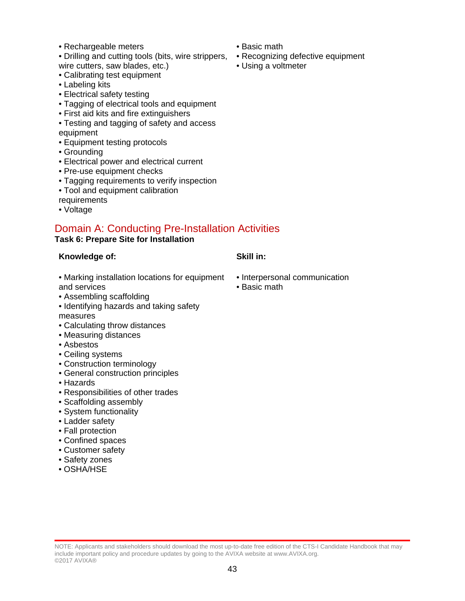• Rechargeable meters

• Drilling and cutting tools (bits, wire strippers, wire cutters, saw blades, etc.)

- Calibrating test equipment
- Labeling kits
- Electrical safety testing
- Tagging of electrical tools and equipment
- First aid kits and fire extinguishers
- Testing and tagging of safety and access equipment
- Equipment testing protocols
- Grounding
- Electrical power and electrical current
- Pre-use equipment checks
- Tagging requirements to verify inspection
- Tool and equipment calibration
- requirements
- Voltage

## Domain A: Conducting Pre-Installation Activities

## **Task 6: Prepare Site for Installation**

#### **Knowledge of: Skill in:**

- Marking installation locations for equipment and services
- Assembling scaffolding
- Identifying hazards and taking safety measures
- Calculating throw distances
- Measuring distances
- Asbestos
- Ceiling systems
- Construction terminology
- General construction principles
- Hazards
- Responsibilities of other trades
- Scaffolding assembly
- System functionality
- Ladder safety
- Fall protection
- Confined spaces
- Customer safety
- Safety zones
- OSHA/HSE
- Interpersonal communication
- Basic math

- Basic math
- Recognizing defective equipment
- Using a voltmeter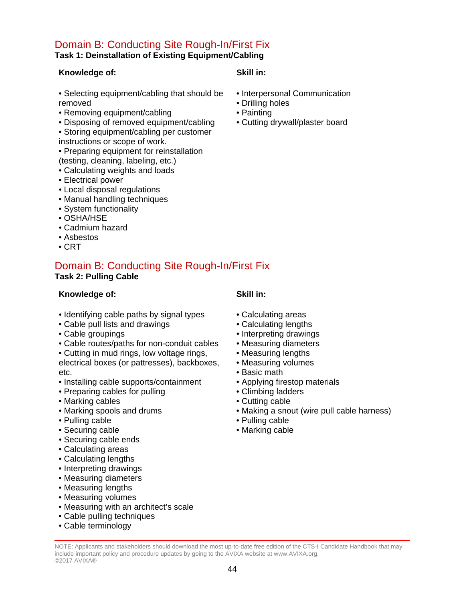## Domain B: Conducting Site Rough-In/First Fix **Task 1: Deinstallation of Existing Equipment/Cabling**

## **Knowledge of: Skill in:**

- Selecting equipment/cabling that should be removed
- Removing equipment/cabling
- Disposing of removed equipment/cabling
- Storing equipment/cabling per customer
- instructions or scope of work.
- Preparing equipment for reinstallation
- (testing, cleaning, labeling, etc.)
- Calculating weights and loads
- Electrical power
- Local disposal regulations
- Manual handling techniques
- System functionality
- OSHA/HSE
- Cadmium hazard
- Asbestos
- CRT

## Domain B: Conducting Site Rough-In/First Fix **Task 2: Pulling Cable**

### **Knowledge of: Skill in:**

- Identifying cable paths by signal types
- Cable pull lists and drawings
- Cable groupings
- Cable routes/paths for non-conduit cables
- Cutting in mud rings, low voltage rings, electrical boxes (or pattresses), backboxes, etc.
- Installing cable supports/containment
- Preparing cables for pulling
- Marking cables
- Marking spools and drums
- Pulling cable
- Securing cable
- Securing cable ends
- Calculating areas
- Calculating lengths
- Interpreting drawings
- Measuring diameters
- Measuring lengths
- Measuring volumes
- Measuring with an architect's scale
- Cable pulling techniques
- Cable terminology

- Calculating areas
- Calculating lengths
- Interpreting drawings
- Measuring diameters
- Measuring lengths
- Measuring volumes
- Basic math
- Applying firestop materials
- Climbing ladders
- Cutting cable
- Making a snout (wire pull cable harness)
- Pulling cable
- Marking cable

- 
- Interpersonal Communication
- Drilling holes
- Painting • Cutting drywall/plaster board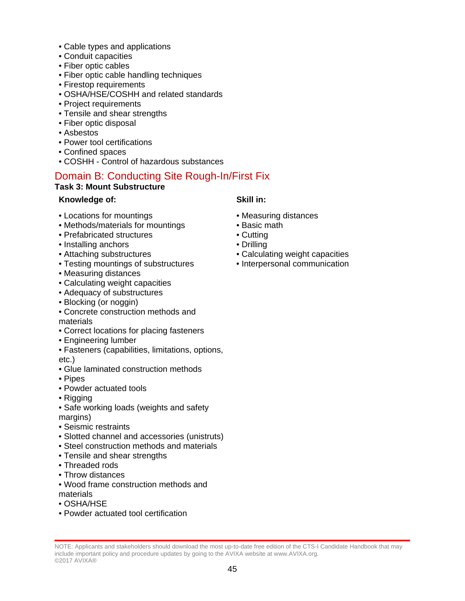- Cable types and applications
- Conduit capacities
- Fiber optic cables
- Fiber optic cable handling techniques
- Firestop requirements
- OSHA/HSE/COSHH and related standards
- Project requirements
- Tensile and shear strengths
- Fiber optic disposal
- Asbestos
- Power tool certifications
- Confined spaces
- COSHH Control of hazardous substances

## Domain B: Conducting Site Rough-In/First Fix

## **Task 3: Mount Substructure**

## **Knowledge of: Skill in:**

- Locations for mountings
- Methods/materials for mountings
- Prefabricated structures
- Installing anchors
- Attaching substructures
- Testing mountings of substructures
- Measuring distances
- Calculating weight capacities
- Adequacy of substructures
- Blocking (or noggin)
- Concrete construction methods and materials
- Correct locations for placing fasteners
- Engineering lumber
- Fasteners (capabilities, limitations, options, etc.)
- Glue laminated construction methods
- Pipes
- Powder actuated tools
- Rigging
- Safe working loads (weights and safety margins)
- Seismic restraints
- Slotted channel and accessories (unistruts)
- Steel construction methods and materials
- Tensile and shear strengths
- Threaded rods
- Throw distances
- Wood frame construction methods and materials
- OSHA/HSE
- Powder actuated tool certification

- Measuring distances
- Basic math
- Cutting
- Drilling
- Calculating weight capacities
- Interpersonal communication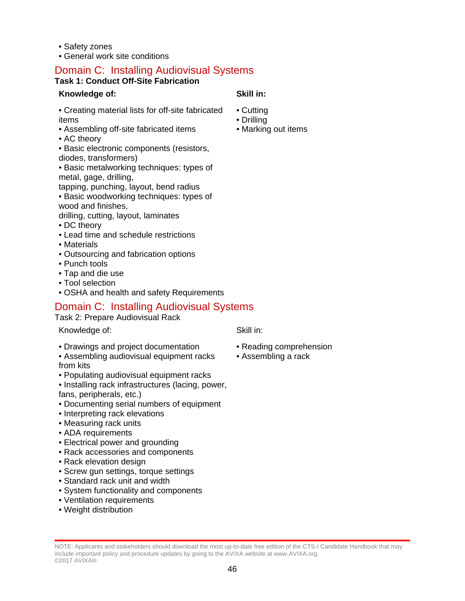- Safety zones
- General work site conditions

## **Task 1: Conduct Off-Site Fabrication**

## **Knowledge of: Skill in:**

• Cutting • Drilling

• Creating material lists for off-site fabricated items

- Assembling off-site fabricated items
- AC theory
- Basic electronic components (resistors, diodes, transformers)

• Basic metalworking techniques: types of metal, gage, drilling,

tapping, punching, layout, bend radius • Basic woodworking techniques: types of

wood and finishes,

drilling, cutting, layout, laminates

- DC theory
- Lead time and schedule restrictions
- Materials
- Outsourcing and fabrication options
- Punch tools
- Tap and die use
- Tool selection
- OSHA and health and safety Requirements

# Domain C: Installing Audiovisual Systems

Task 2: Prepare Audiovisual Rack

Knowledge of: Skill in:

- Drawings and project documentation
- Assembling audiovisual equipment racks from kits
- Populating audiovisual equipment racks
- Installing rack infrastructures (lacing, power, fans, peripherals, etc.)
- Documenting serial numbers of equipment
- Interpreting rack elevations
- Measuring rack units
- ADA requirements
- Electrical power and grounding
- Rack accessories and components
- Rack elevation design
- Screw gun settings, torque settings
- Standard rack unit and width
- System functionality and components
- Ventilation requirements
- Weight distribution

- Reading comprehension
- Assembling a rack

NOTE: Applicants and stakeholders should download the most up-to-date free edition of the CTS-I Candidate Handbook that may include important policy and procedure updates by going to the AVIXA website at www.AVIXA.org. ©2017 AVIXA®

• Marking out items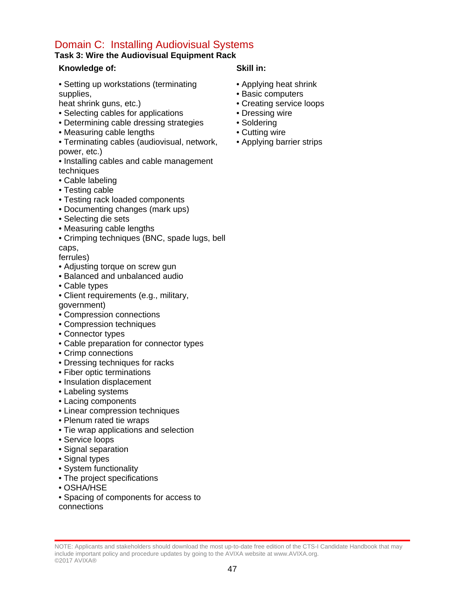## **Task 3: Wire the Audiovisual Equipment Rack**

## **Knowledge of: Skill in:**

• Setting up workstations (terminating supplies,

heat shrink guns, etc.)

- Selecting cables for applications
- Determining cable dressing strategies
- Measuring cable lengths
- Terminating cables (audiovisual, network, power, etc.)
- Installing cables and cable management techniques
- Cable labeling
- Testing cable
- Testing rack loaded components
- Documenting changes (mark ups)
- Selecting die sets
- Measuring cable lengths
- Crimping techniques (BNC, spade lugs, bell caps,

ferrules)

- Adjusting torque on screw gun
- Balanced and unbalanced audio
- Cable types
- Client requirements (e.g., military, government)
- Compression connections
- Compression techniques
- Connector types
- Cable preparation for connector types
- Crimp connections
- Dressing techniques for racks
- Fiber optic terminations
- Insulation displacement
- Labeling systems
- Lacing components
- Linear compression techniques
- Plenum rated tie wraps
- Tie wrap applications and selection
- Service loops
- Signal separation
- Signal types
- System functionality
- The project specifications
- OSHA/HSE
- Spacing of components for access to

connections

- Applying heat shrink
- Basic computers
- Creating service loops
- Dressing wire
- Soldering
- Cutting wire
- Applying barrier strips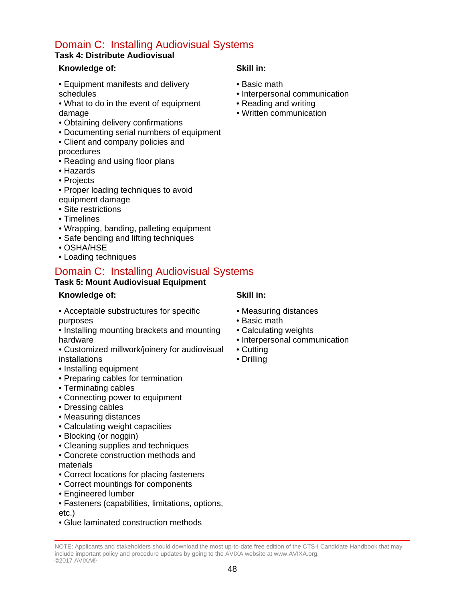## **Task 4: Distribute Audiovisual**

## **Knowledge of: Skill in:**

- Equipment manifests and delivery schedules
- What to do in the event of equipment damage
- Obtaining delivery confirmations
- Documenting serial numbers of equipment
- Client and company policies and
- procedures
- Reading and using floor plans
- Hazards
- Projects
- Proper loading techniques to avoid equipment damage
- Site restrictions
- Timelines
- Wrapping, banding, palleting equipment
- Safe bending and lifting techniques
- OSHA/HSE
- Loading techniques

# Domain C: Installing Audiovisual Systems

## **Task 5: Mount Audiovisual Equipment**

## **Knowledge of: Skill in:**

- Acceptable substructures for specific purposes
- Installing mounting brackets and mounting hardware
- Customized millwork/joinery for audiovisual installations
- Installing equipment
- Preparing cables for termination
- Terminating cables
- Connecting power to equipment
- Dressing cables
- Measuring distances
- Calculating weight capacities
- Blocking (or noggin)
- Cleaning supplies and techniques
- Concrete construction methods and materials
- Correct locations for placing fasteners
- Correct mountings for components
- Engineered lumber
- Fasteners (capabilities, limitations, options,
- etc.)
- Glue laminated construction methods

- Basic math
- Interpersonal communication
- Reading and writing
- Written communication

- 
- Measuring distances
- Basic math
- Calculating weights
- Interpersonal communication
- Cutting
- Drilling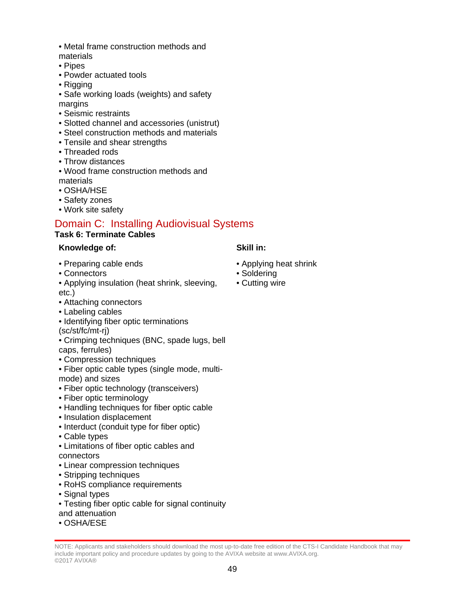- Metal frame construction methods and materials
- 
- Pipes
- Powder actuated tools
- Rigging

• Safe working loads (weights) and safety margins

- Seismic restraints
- Slotted channel and accessories (unistrut)
- Steel construction methods and materials
- Tensile and shear strengths
- Threaded rods
- Throw distances
- Wood frame construction methods and materials
- OSHA/HSE
- Safety zones
- Work site safety

## Domain C: Installing Audiovisual Systems

## **Task 6: Terminate Cables**

## **Knowledge of: Skill in:**

- Preparing cable ends
- Connectors

• Applying insulation (heat shrink, sleeving, etc.)

- Attaching connectors
- Labeling cables
- Identifying fiber optic terminations
- (sc/st/fc/mt-rj)
- Crimping techniques (BNC, spade lugs, bell caps, ferrules)
- Compression techniques
- Fiber optic cable types (single mode, multimode) and sizes
- Fiber optic technology (transceivers)
- Fiber optic terminology
- Handling techniques for fiber optic cable
- Insulation displacement
- Interduct (conduit type for fiber optic)
- Cable types
- Limitations of fiber optic cables and connectors
- Linear compression techniques
- Stripping techniques
- RoHS compliance requirements
- Signal types
- Testing fiber optic cable for signal continuity
- and attenuation
- OSHA/ESE
- Applying heat shrink
- Soldering
- Cutting wire

NOTE: Applicants and stakeholders should download the most up-to-date free edition of the CTS-I Candidate Handbook that may include important policy and procedure updates by going to the AVIXA website at www.AVIXA.org. ©2017 AVIXA®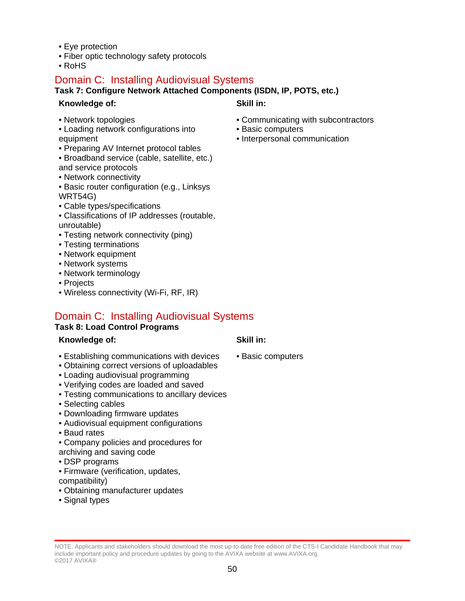- Eye protection
- Fiber optic technology safety protocols
- RoHS

## **Task 7: Configure Network Attached Components (ISDN, IP, POTS, etc.)**

## **Knowledge of: Skill in:**

- Network topologies
- Loading network configurations into equipment
- Preparing AV Internet protocol tables
- Broadband service (cable, satellite, etc.) and service protocols
- Network connectivity
- Basic router configuration (e.g., Linksys WRT54G)
- Cable types/specifications
- Classifications of IP addresses (routable, unroutable)
- Testing network connectivity (ping)
- Testing terminations
- Network equipment
- Network systems
- Network terminology
- Projects
- Wireless connectivity (Wi-Fi, RF, IR)

## Domain C: Installing Audiovisual Systems

### **Task 8: Load Control Programs**

## **Knowledge of: Skill in:**

- Establishing communications with devices
- Obtaining correct versions of uploadables
- Loading audiovisual programming
- Verifying codes are loaded and saved
- Testing communications to ancillary devices
- Selecting cables
- Downloading firmware updates
- Audiovisual equipment configurations
- Baud rates
- Company policies and procedures for
- archiving and saving code
- DSP programs
- Firmware (verification, updates, compatibility)
- Obtaining manufacturer updates
- Signal types

- Communicating with subcontractors
- Basic computers
- Interpersonal communication

• Basic computers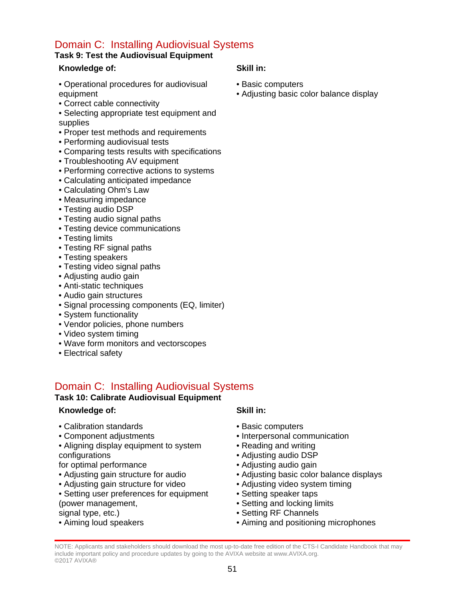## **Task 9: Test the Audiovisual Equipment**

## **Knowledge of: Skill in:**

- Operational procedures for audiovisual equipment
- Correct cable connectivity
- Selecting appropriate test equipment and supplies
- Proper test methods and requirements
- Performing audiovisual tests
- Comparing tests results with specifications
- Troubleshooting AV equipment
- Performing corrective actions to systems
- Calculating anticipated impedance
- Calculating Ohm's Law
- Measuring impedance
- Testing audio DSP
- Testing audio signal paths
- Testing device communications
- Testing limits
- Testing RF signal paths
- Testing speakers
- Testing video signal paths
- Adjusting audio gain
- Anti-static techniques
- Audio gain structures
- Signal processing components (EQ, limiter)
- System functionality
- Vendor policies, phone numbers
- Video system timing
- Wave form monitors and vectorscopes
- Electrical safety

## Domain C: Installing Audiovisual Systems

### **Task 10: Calibrate Audiovisual Equipment**

### **Knowledge of: Skill in:**

- Calibration standards
- Component adjustments
- Aligning display equipment to system configurations
- for optimal performance
- Adjusting gain structure for audio
- Adjusting gain structure for video
- Setting user preferences for equipment (power management,
- signal type, etc.)
- Aiming loud speakers

- Basic computers
- Interpersonal communication
- Reading and writing
- Adjusting audio DSP
- Adjusting audio gain
- Adjusting basic color balance displays
- Adjusting video system timing
- Setting speaker taps
- Setting and locking limits
- Setting RF Channels
- Aiming and positioning microphones

- Basic computers
- Adjusting basic color balance display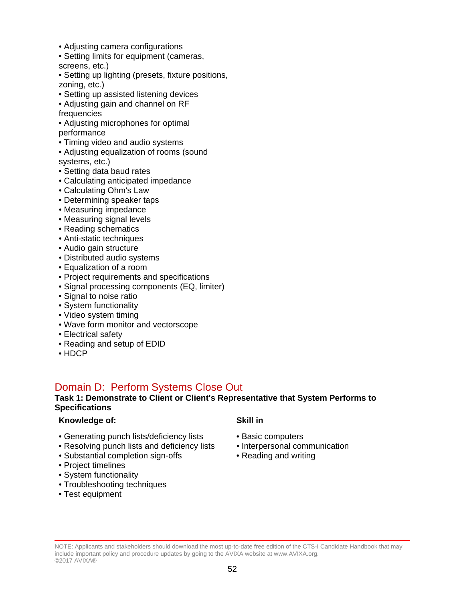- Adjusting camera configurations
- Setting limits for equipment (cameras, screens, etc.)
- Setting up lighting (presets, fixture positions, zoning, etc.)
- Setting up assisted listening devices
- Adjusting gain and channel on RF frequencies
- Adjusting microphones for optimal performance
- Timing video and audio systems
- Adjusting equalization of rooms (sound systems, etc.)
- Setting data baud rates
- Calculating anticipated impedance
- Calculating Ohm's Law
- Determining speaker taps
- Measuring impedance
- Measuring signal levels
- Reading schematics
- Anti-static techniques
- Audio gain structure
- Distributed audio systems
- Equalization of a room
- Project requirements and specifications
- Signal processing components (EQ, limiter)
- Signal to noise ratio
- System functionality
- Video system timing
- Wave form monitor and vectorscope
- Electrical safety
- Reading and setup of EDID
- HDCP

## Domain D: Perform Systems Close Out

### **Task 1: Demonstrate to Client or Client's Representative that System Performs to Specifications**

### **Knowledge of: Skill in**

- Generating punch lists/deficiency lists
- Resolving punch lists and deficiency lists
- Substantial completion sign-offs
- Project timelines
- System functionality
- Troubleshooting techniques
- Test equipment

- Basic computers
- Interpersonal communication
- Reading and writing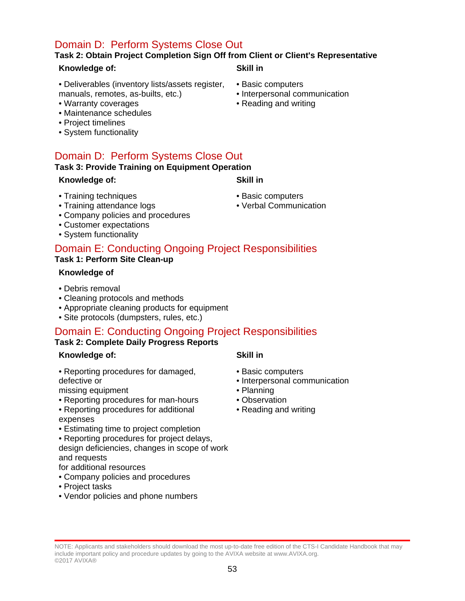# Domain D: Perform Systems Close Out

## **Task 2: Obtain Project Completion Sign Off from Client or Client's Representative**

### **Knowledge of: Skill in**

• Deliverables (inventory lists/assets register, manuals, remotes, as-builts, etc.)

- Warranty coverages
- Maintenance schedules
- Project timelines
- System functionality

# Domain D: Perform Systems Close Out

## **Task 3: Provide Training on Equipment Operation**

### **Knowledge of: Skill in**

- Training techniques
- Training attendance logs
- Company policies and procedures
- Customer expectations
- System functionality

## Domain E: Conducting Ongoing Project Responsibilities **Task 1: Perform Site Clean-up**

## **Knowledge of**

- Debris removal
- Cleaning protocols and methods
- Appropriate cleaning products for equipment
- Site protocols (dumpsters, rules, etc.)

## Domain E: Conducting Ongoing Project Responsibilities

## **Task 2: Complete Daily Progress Reports**

### **Knowledge of: Skill in**

• Reporting procedures for damaged, defective or

missing equipment

- Reporting procedures for man-hours
- Reporting procedures for additional expenses
- Estimating time to project completion

• Reporting procedures for project delays, design deficiencies, changes in scope of work and requests

for additional resources

- Company policies and procedures
- Project tasks
- Vendor policies and phone numbers

- Basic computers
- Interpersonal communication
- Planning
- Observation
- Reading and writing
- Basic computers
- Interpersonal communication
- Reading and writing

- Basic computers
- Verbal Communication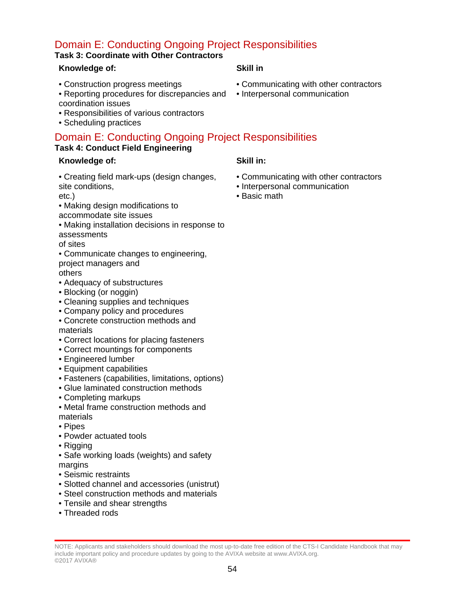# Domain E: Conducting Ongoing Project Responsibilities

## **Task 3: Coordinate with Other Contractors**

## **Knowledge of: Skill in**

- Construction progress meetings
- Reporting procedures for discrepancies and coordination issues
- Responsibilities of various contractors
- Scheduling practices

## Domain E: Conducting Ongoing Project Responsibilities **Task 4: Conduct Field Engineering**

## **Knowledge of: Skill in:**

• Creating field mark-ups (design changes, site conditions,

etc.)

- Making design modifications to
- accommodate site issues
- Making installation decisions in response to assessments

of sites

• Communicate changes to engineering, project managers and

others

- Adequacy of substructures
- Blocking (or noggin)
- Cleaning supplies and techniques
- Company policy and procedures
- Concrete construction methods and materials
- Correct locations for placing fasteners
- Correct mountings for components
- Engineered lumber
- Equipment capabilities
- Fasteners (capabilities, limitations, options)
- Glue laminated construction methods
- Completing markups
- Metal frame construction methods and materials
- Pipes
- Powder actuated tools
- Rigging
- Safe working loads (weights) and safety margins
- Seismic restraints
- Slotted channel and accessories (unistrut)
- Steel construction methods and materials
- Tensile and shear strengths
- Threaded rods

- Communicating with other contractors
- Interpersonal communication

- Communicating with other contractors
- Interpersonal communication
- Basic math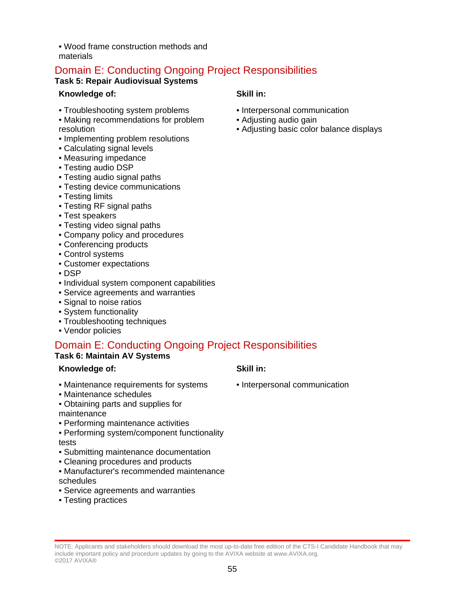• Wood frame construction methods and materials

# Domain E: Conducting Ongoing Project Responsibilities

## **Task 5: Repair Audiovisual Systems**

## **Knowledge of: Skill in:**

- Troubleshooting system problems
- Making recommendations for problem resolution
- Implementing problem resolutions
- Calculating signal levels
- Measuring impedance
- Testing audio DSP
- Testing audio signal paths
- Testing device communications
- Testing limits
- Testing RF signal paths
- Test speakers
- Testing video signal paths
- Company policy and procedures
- Conferencing products
- Control systems
- Customer expectations
- DSP
- Individual system component capabilities
- Service agreements and warranties
- Signal to noise ratios
- System functionality
- Troubleshooting techniques
- Vendor policies

# Domain E: Conducting Ongoing Project Responsibilities

## **Task 6: Maintain AV Systems**

## **Knowledge of: Skill in:**

- Maintenance requirements for systems
- Maintenance schedules
- Obtaining parts and supplies for

#### maintenance

- Performing maintenance activities
- Performing system/component functionality tests
- Submitting maintenance documentation
- Cleaning procedures and products
- Manufacturer's recommended maintenance schedules
- Service agreements and warranties
- Testing practices

- Interpersonal communication
- Adjusting audio gain
- Adjusting basic color balance displays

- Interpersonal communication
- 
-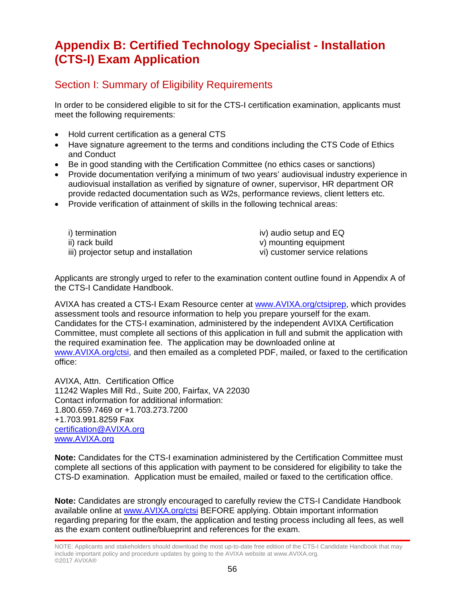# **Appendix B: Certified Technology Specialist - Installation (CTS-I) Exam Application**

## Section I: Summary of Eligibility Requirements

In order to be considered eligible to sit for the CTS-I certification examination, applicants must meet the following requirements:

- Hold current certification as a general CTS
- Have signature agreement to the terms and conditions including the CTS Code of Ethics and Conduct
- Be in good standing with the Certification Committee (no ethics cases or sanctions)
- Provide documentation verifying a minimum of two years' audiovisual industry experience in audiovisual installation as verified by signature of owner, supervisor, HR department OR provide redacted documentation such as W2s, performance reviews, client letters etc.
- Provide verification of attainment of skills in the following technical areas:

| i) termination                        | iv) audio setup and EQ         |
|---------------------------------------|--------------------------------|
| ii) rack build                        | v) mounting equipment          |
| iii) projector setup and installation | vi) customer service relations |

Applicants are strongly urged to refer to the examination content outline found in Appendix A of the CTS-I Candidate Handbook.

AVIXA has created a CTS-I Exam Resource center at [www.AVIXA.org/ctsiprep,](https://www.avixa.org/training-certification/certification/cts-i) which provides assessment tools and resource information to help you prepare yourself for the exam. Candidates for the CTS-I examination, administered by the independent AVIXA Certification Committee, must complete all sections of this application in full and submit the application with the required examination fee. The application may be downloaded online at [www.AVIXA.org/ctsi,](https://www.avixa.org/training-certification/certification/cts-i) and then emailed as a completed PDF, mailed, or faxed to the certification office:

AVIXA, Attn. Certification Office 11242 Waples Mill Rd., Suite 200, Fairfax, VA 22030 Contact information for additional information: 1.800.659.7469 or +1.703.273.7200 +1.703.991.8259 Fax [certification@AVIXA.org](mailto:certification@infocomm.org) [www.AVIXA.org](http://www.infocomm.org/)

**Note:** Candidates for the CTS-I examination administered by the Certification Committee must complete all sections of this application with payment to be considered for eligibility to take the CTS-D examination. Application must be emailed, mailed or faxed to the certification office.

**Note:** Candidates are strongly encouraged to carefully review the CTS-I Candidate Handbook available online at [www.AVIXA.org/ctsi](https://www.avixa.org/training-certification/certification/cts-i) BEFORE applying. Obtain important information regarding preparing for the exam, the application and testing process including all fees, as well as the exam content outline/blueprint and references for the exam.

NOTE: Applicants and stakeholders should download the most up-to-date free edition of the CTS-I Candidate Handbook that may include important policy and procedure updates by going to the AVIXA website at www.AVIXA.org. ©2017 AVIXA®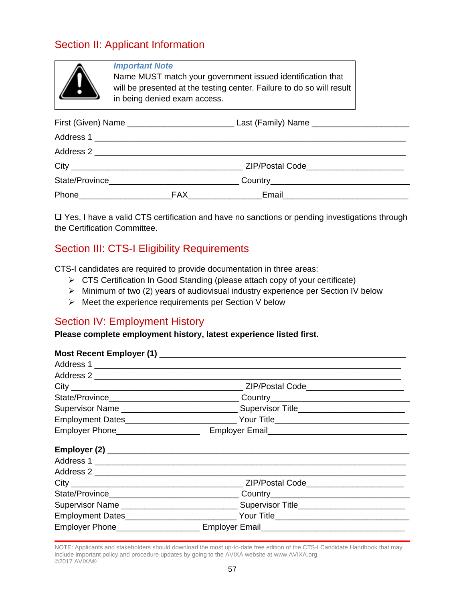# Section II: Applicant Information

| <b>Important Note</b><br>Name MUST match your government issued identification that<br>will be presented at the testing center. Failure to do so will result<br>in being denied exam access. |  |                                           |  |
|----------------------------------------------------------------------------------------------------------------------------------------------------------------------------------------------|--|-------------------------------------------|--|
|                                                                                                                                                                                              |  |                                           |  |
|                                                                                                                                                                                              |  |                                           |  |
|                                                                                                                                                                                              |  |                                           |  |
|                                                                                                                                                                                              |  | ZIP/Postal Code__________________________ |  |
|                                                                                                                                                                                              |  |                                           |  |
|                                                                                                                                                                                              |  |                                           |  |

□ Yes, I have a valid CTS certification and have no sanctions or pending investigations through the Certification Committee.

## Section III: CTS-I Eligibility Requirements

CTS-I candidates are required to provide documentation in three areas:

- CTS Certification In Good Standing (please attach copy of your certificate)
- $\triangleright$  Minimum of two (2) years of audiovisual industry experience per Section IV below
- $\triangleright$  Meet the experience requirements per Section V below

## Section IV: Employment History

**Please complete employment history, latest experience listed first.**

| Employer Phone____________________ | Employer Email<br><u>Letter and Communications</u>                               |  |
|------------------------------------|----------------------------------------------------------------------------------|--|
|                                    |                                                                                  |  |
|                                    | Address 1                                                                        |  |
|                                    |                                                                                  |  |
|                                    |                                                                                  |  |
|                                    |                                                                                  |  |
|                                    |                                                                                  |  |
|                                    | Employment Dates_____________________________Your Title_________________________ |  |
|                                    | Employer Phone_________________________ Employer Email__________________________ |  |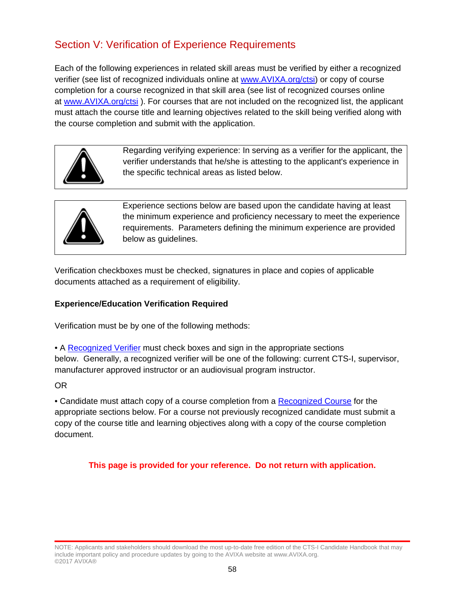# Section V: Verification of Experience Requirements

Each of the following experiences in related skill areas must be verified by either a recognized verifier (see list of recognized individuals online at [www.AVIXA.org/ctsi\)](https://www.avixa.org/training-certification/certification/cts-i) or copy of course completion for a course recognized in that skill area (see list of recognized courses online at [www.AVIXA.org/ctsi](https://www.avixa.org/training-certification/certification/cts-i) ). For courses that are not included on the recognized list, the applicant must attach the course title and learning objectives related to the skill being verified along with the course completion and submit with the application.



Regarding verifying experience: In serving as a verifier for the applicant, the verifier understands that he/she is attesting to the applicant's experience in the specific technical areas as listed below.



Experience sections below are based upon the candidate having at least the minimum experience and proficiency necessary to meet the experience requirements. Parameters defining the minimum experience are provided below as guidelines.

Verification checkboxes must be checked, signatures in place and copies of applicable documents attached as a requirement of eligibility.

### **Experience/Education Verification Required**

Verification must be by one of the following methods:

• A [Recognized Verifier](https://www.avixa.org/training-certification/certification/cts-i) must check boxes and sign in the appropriate sections

below. Generally, a recognized verifier will be one of the following: current CTS-I, supervisor, manufacturer approved instructor or an audiovisual program instructor.

OR

• Candidate must attach copy of a course completion from a [Recognized Course](https://www.avixa.org/training-certification/certification/cts-i) for the appropriate sections below. For a course not previously recognized candidate must submit a copy of the course title and learning objectives along with a copy of the course completion document.

**This page is provided for your reference. Do not return with application.**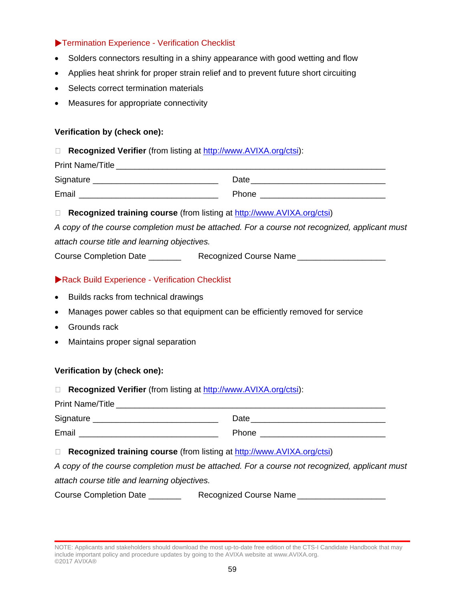## Termination Experience - Verification Checklist

- Solders connectors resulting in a shiny appearance with good wetting and flow
- Applies heat shrink for proper strain relief and to prevent future short circuiting
- Selects correct termination materials
- Measures for appropriate connectivity

## **Verification by (check one):**

**Recognized Verifier** (from listing at [http://www.AVIXA.org/ctsi\)](https://www.avixa.org/training-certification/certification/cts-i):

| <b>Print Name/Title</b> |       |
|-------------------------|-------|
| Signature               | Date  |
| Email                   | Phone |

□ **Recognized training course** (from listing at [http://www.AVIXA.org/ctsi\)](https://www.avixa.org/training-certification/certification/cts-i)

| A copy of the course completion must be attached. For a course not recognized, applicant must |  |
|-----------------------------------------------------------------------------------------------|--|
| attach course title and learning objectives.                                                  |  |

| Course Completion Date | Recognized Course Name |
|------------------------|------------------------|
|------------------------|------------------------|

## Rack Build Experience - Verification Checklist

- Builds racks from technical drawings
- Manages power cables so that equipment can be efficiently removed for service
- Grounds rack
- Maintains proper signal separation

### **Verification by (check one):**

|  | <b>Recognized Verifier</b> (from listing at http://www.AVIXA.org/ctsi): |  |  |  |  |
|--|-------------------------------------------------------------------------|--|--|--|--|
|--|-------------------------------------------------------------------------|--|--|--|--|

| <b>Print Name/Title</b> |              |
|-------------------------|--------------|
| Signature               | Date         |
| Email                   | <b>Phone</b> |

### **Recognized training course** (from listing at [http://www.AVIXA.org/ctsi\)](https://www.avixa.org/training-certification/certification/cts-i)

*A copy of the course completion must be attached. For a course not recognized, applicant must attach course title and learning objectives.*

Course Completion Date \_\_\_\_\_\_\_\_\_ Recognized Course Name \_\_\_\_\_\_\_\_\_\_\_\_\_\_\_\_\_\_\_\_\_\_\_\_

NOTE: Applicants and stakeholders should download the most up-to-date free edition of the CTS-I Candidate Handbook that may include important policy and procedure updates by going to the AVIXA website at www.AVIXA.org. ©2017 AVIXA®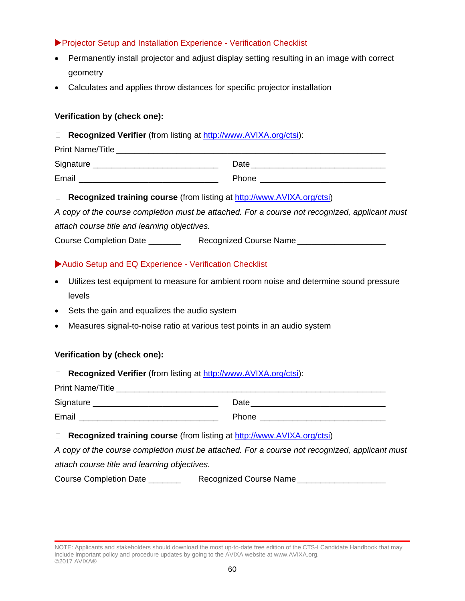## Projector Setup and Installation Experience - Verification Checklist

- Permanently install projector and adjust display setting resulting in an image with correct geometry
- Calculates and applies throw distances for specific projector installation

## **Verification by (check one):**

**Recognized Verifier** (from listing at [http://www.AVIXA.org/ctsi\)](https://www.avixa.org/training-certification/certification/cts-i):

| <b>Print Name/Title</b> |       |
|-------------------------|-------|
| Signature               | Date  |
| Email                   | Phone |

**Recognized training course** (from listing at [http://www.AVIXA.org/ctsi\)](https://www.avixa.org/training-certification/certification/cts-i)

*A copy of the course completion must be attached. For a course not recognized, applicant must attach course title and learning objectives.*

Course Completion Date \_\_\_\_\_\_\_\_\_\_\_ Recognized Course Name \_\_\_\_\_\_\_\_\_\_\_\_\_\_\_\_\_\_\_\_\_\_

## Audio Setup and EQ Experience - Verification Checklist

- Utilizes test equipment to measure for ambient room noise and determine sound pressure levels
- Sets the gain and equalizes the audio system
- Measures signal-to-noise ratio at various test points in an audio system

### **Verification by (check one):**

**Recognized Verifier** (from listing at [http://www.AVIXA.org/ctsi\)](https://www.avixa.org/training-certification/certification/cts-i):

| <b>Print Name/Title</b> |       |
|-------------------------|-------|
| Signature               | Date  |
| Email                   | Phone |

**Recognized training course** (from listing at [http://www.AVIXA.org/ctsi\)](https://www.avixa.org/training-certification/certification/cts-i)

*A copy of the course completion must be attached. For a course not recognized, applicant must attach course title and learning objectives.*

Course Completion Date \_\_\_\_\_\_\_\_\_\_\_ Recognized Course Name \_\_\_\_\_\_\_\_\_\_\_\_\_\_\_\_\_\_\_\_\_\_

NOTE: Applicants and stakeholders should download the most up-to-date free edition of the CTS-I Candidate Handbook that may include important policy and procedure updates by going to the AVIXA website at www.AVIXA.org. ©2017 AVIXA®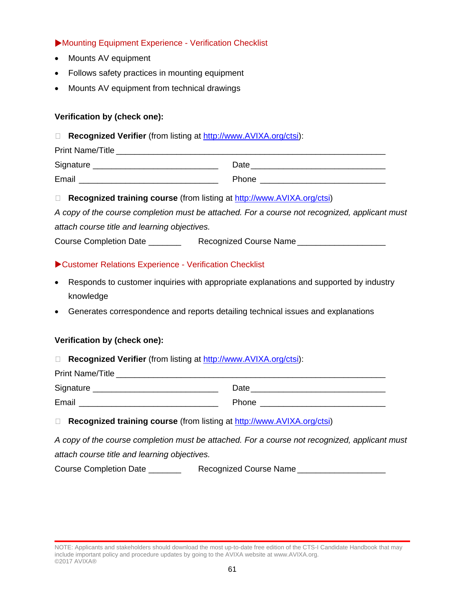## Mounting Equipment Experience - Verification Checklist

- Mounts AV equipment
- Follows safety practices in mounting equipment
- Mounts AV equipment from technical drawings

## **Verification by (check one):**

**Recognized Verifier** (from listing at [http://www.AVIXA.org/ctsi\)](https://www.avixa.org/training-certification/certification/cts-i):

| <b>Print Name/Title</b> |              |
|-------------------------|--------------|
| Signature               | Date         |
| Email                   | <b>Phone</b> |

**Recognized training course** (from listing at [http://www.AVIXA.org/ctsi\)](https://www.avixa.org/training-certification/certification/cts-i)

*A copy of the course completion must be attached. For a course not recognized, applicant must attach course title and learning objectives.*

Course Completion Date \_\_\_\_\_\_\_\_\_\_\_ Recognized Course Name \_\_\_\_\_\_\_\_\_\_\_\_\_\_\_\_\_\_\_\_\_\_

## Customer Relations Experience - Verification Checklist

- Responds to customer inquiries with appropriate explanations and supported by industry knowledge
- Generates correspondence and reports detailing technical issues and explanations

### **Verification by (check one):**

|  |  |  |  |  | <b>Recognized Verifier</b> (from listing at http://www.AVIXA.org/ctsi): |  |
|--|--|--|--|--|-------------------------------------------------------------------------|--|
|--|--|--|--|--|-------------------------------------------------------------------------|--|

| <b>Print Name/Title</b> |              |
|-------------------------|--------------|
| Signature               | Date         |
| Email                   | <b>Phone</b> |

### □ **Recognized training course** (from listing at [http://www.AVIXA.org/ctsi\)](https://www.avixa.org/training-certification/certification/cts-i)

*A copy of the course completion must be attached. For a course not recognized, applicant must attach course title and learning objectives.*

Course Completion Date \_\_\_\_\_\_\_\_\_ Recognized Course Name \_\_\_\_\_\_\_\_\_\_\_\_\_\_\_\_\_\_\_\_\_\_\_\_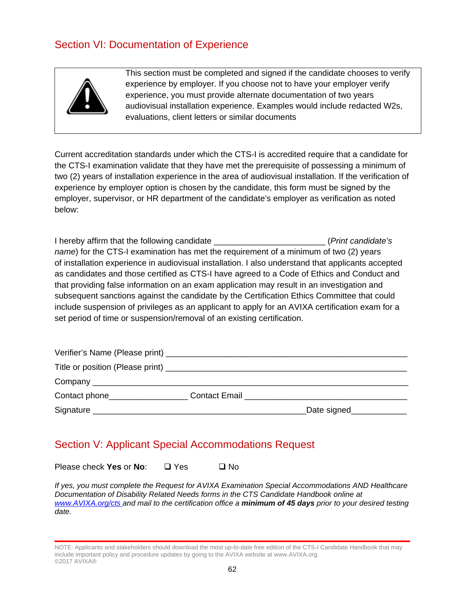# Section VI: Documentation of Experience



This section must be completed and signed if the candidate chooses to verify experience by employer. If you choose not to have your employer verify experience, you must provide alternate documentation of two years audiovisual installation experience. Examples would include redacted W2s, evaluations, client letters or similar documents

Current accreditation standards under which the CTS-I is accredited require that a candidate for the CTS-I examination validate that they have met the prerequisite of possessing a minimum of two (2) years of installation experience in the area of audiovisual installation. If the verification of experience by employer option is chosen by the candidate, this form must be signed by the employer, supervisor, or HR department of the candidate's employer as verification as noted below:

I hereby affirm that the following candidate \_\_\_\_\_\_\_\_\_\_\_\_\_\_\_\_\_\_\_\_\_\_\_\_ (*Print candidate's name*) for the CTS-I examination has met the requirement of a minimum of two (2) years of installation experience in audiovisual installation. I also understand that applicants accepted as candidates and those certified as CTS-I have agreed to a Code of Ethics and Conduct and that providing false information on an exam application may result in an investigation and subsequent sanctions against the candidate by the Certification Ethics Committee that could include suspension of privileges as an applicant to apply for an AVIXA certification exam for a set period of time or suspension/removal of an existing certification.

|                     | <b>Contact Email</b> |                |
|---------------------|----------------------|----------------|
| Signature _________ |                      | _Date signed__ |

# Section V: Applicant Special Accommodations Request

Please check **Yes** or **No**: □ Yes □ No

*If yes, you must complete the Request for AVIXA Examination Special Accommodations AND Healthcare Documentation of Disability Related Needs forms in the CTS Candidate Handbook online at [www.AVIXA.org/cts a](http://www.infocomm.org/cts)nd mail to the certification office a minimum of 45 days prior to your desired testing date.*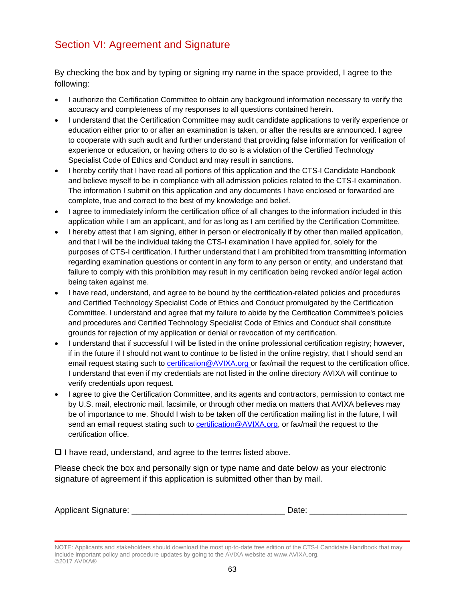# Section VI: Agreement and Signature

By checking the box and by typing or signing my name in the space provided, I agree to the following:

- I authorize the Certification Committee to obtain any background information necessary to verify the accuracy and completeness of my responses to all questions contained herein.
- I understand that the Certification Committee may audit candidate applications to verify experience or education either prior to or after an examination is taken, or after the results are announced. I agree to cooperate with such audit and further understand that providing false information for verification of experience or education, or having others to do so is a violation of the Certified Technology Specialist Code of Ethics and Conduct and may result in sanctions.
- I hereby certify that I have read all portions of this application and the CTS-I Candidate Handbook and believe myself to be in compliance with all admission policies related to the CTS-I examination. The information I submit on this application and any documents I have enclosed or forwarded are complete, true and correct to the best of my knowledge and belief.
- I agree to immediately inform the certification office of all changes to the information included in this application while I am an applicant, and for as long as I am certified by the Certification Committee.
- I hereby attest that I am signing, either in person or electronically if by other than mailed application, and that I will be the individual taking the CTS-I examination I have applied for, solely for the purposes of CTS-I certification. I further understand that I am prohibited from transmitting information regarding examination questions or content in any form to any person or entity, and understand that failure to comply with this prohibition may result in my certification being revoked and/or legal action being taken against me.
- I have read, understand, and agree to be bound by the certification-related policies and procedures and Certified Technology Specialist Code of Ethics and Conduct promulgated by the Certification Committee. I understand and agree that my failure to abide by the Certification Committee's policies and procedures and Certified Technology Specialist Code of Ethics and Conduct shall constitute grounds for rejection of my application or denial or revocation of my certification.
- I understand that if successful I will be listed in the online professional certification registry; however, if in the future if I should not want to continue to be listed in the online registry, that I should send an email request stating such to [certification@AVIXA.org o](mailto:certification@infocomm.org)r fax/mail the request to the certification office. I understand that even if my credentials are not listed in the online directory AVIXA will continue to verify credentials upon request.
- I agree to give the Certification Committee, and its agents and contractors, permission to contact me by U.S. mail, electronic mail, facsimile, or through other media on matters that AVIXA believes may be of importance to me. Should I wish to be taken off the certification mailing list in the future, I will send an email request stating such to certification @AVIXA.org, or fax/mail the request to the certification office.

 $\Box$  I have read, understand, and agree to the terms listed above.

Please check the box and personally sign or type name and date below as your electronic signature of agreement if this application is submitted other than by mail.

| <b>Applicant Signature:</b> | ⊃ate |
|-----------------------------|------|
|                             |      |

NOTE: Applicants and stakeholders should download the most up-to-date free edition of the CTS-I Candidate Handbook that may include important policy and procedure updates by going to the AVIXA website at www.AVIXA.org. ©2017 AVIXA®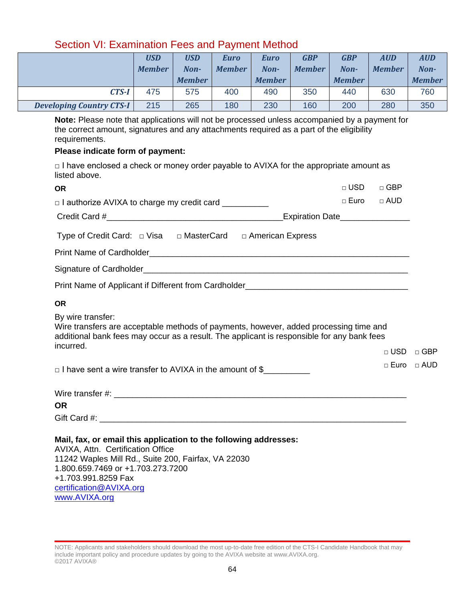|                                 | <b>USD</b><br><b>Member</b> | <b>USD</b><br>Non- | Euro<br><b>Member</b> | Euro<br>Non-  | <b>GBP</b><br><b>Member</b> | <b>GBP</b><br>Non- | <b>AUD</b><br><b>Member</b> | <b>AUD</b><br>Non- |
|---------------------------------|-----------------------------|--------------------|-----------------------|---------------|-----------------------------|--------------------|-----------------------------|--------------------|
|                                 |                             | <b>Member</b>      |                       | <b>Member</b> |                             | <b>Member</b>      |                             | <b>Member</b>      |
| <b>CTS-I</b>                    | 475                         | 575                | 400                   | 490           | 350                         | 440                | 630                         | 760                |
| <b>Developing Country CTS-I</b> | 215                         | 265                | 180                   | 230           | 160                         | 200                | 280                         | 350                |

## Section VI: Examination Fees and Payment Method

**Note:** Please note that applications will not be processed unless accompanied by a payment for the correct amount, signatures and any attachments required as a part of the eligibility requirements.

#### **Please indicate form of payment:**

[certification@AVIXA.org](mailto:certification@infocomm.org)

[www.AVIXA.org](http://www.infocomm.org/)

 $\Box$  I have enclosed a check or money order payable to AVIXA for the appropriate amount as listed above.

| <b>OR</b>                                                                                                                                                                                                                | $\Box$ USD                      | $\Box$ GBP    |              |
|--------------------------------------------------------------------------------------------------------------------------------------------------------------------------------------------------------------------------|---------------------------------|---------------|--------------|
| $\Box$ I authorize AVIXA to charge my credit card $\Box$                                                                                                                                                                 | □ Euro □ AUD                    |               |              |
|                                                                                                                                                                                                                          | Expiration Date________________ |               |              |
| Type of Credit Card: $\Box$ Visa $\Box$ MasterCard $\Box$ American Express                                                                                                                                               |                                 |               |              |
|                                                                                                                                                                                                                          |                                 |               |              |
|                                                                                                                                                                                                                          |                                 |               |              |
|                                                                                                                                                                                                                          |                                 |               |              |
| <b>OR</b>                                                                                                                                                                                                                |                                 |               |              |
| By wire transfer:<br>Wire transfers are acceptable methods of payments, however, added processing time and<br>additional bank fees may occur as a result. The applicant is responsible for any bank fees                 |                                 |               |              |
| incurred.                                                                                                                                                                                                                |                                 | $\Box$ USD    | $\Box$ GBP   |
| $\Box$ I have sent a wire transfer to AVIXA in the amount of $\$\_\_$                                                                                                                                                    |                                 | $\sqcap$ Euro | $\sqcap$ AUD |
|                                                                                                                                                                                                                          |                                 |               |              |
| <b>OR</b>                                                                                                                                                                                                                |                                 |               |              |
|                                                                                                                                                                                                                          |                                 |               |              |
| Mail, fax, or email this application to the following addresses:<br>AVIXA, Attn. Certification Office<br>11242 Waples Mill Rd., Suite 200, Fairfax, VA 22030<br>1.800.659.7469 or +1.703.273.7200<br>+1.703.991.8259 Fax |                                 |               |              |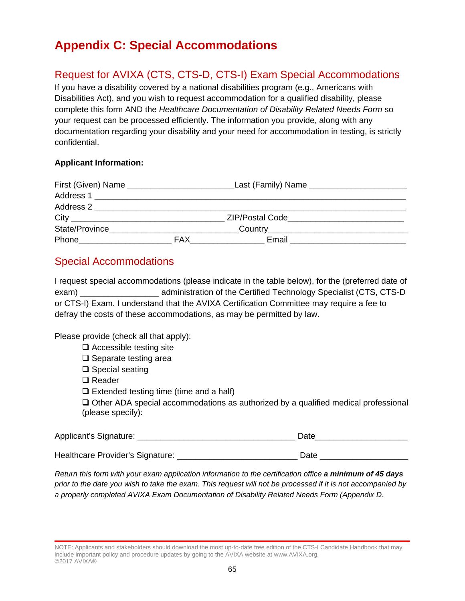# **Appendix C: Special Accommodations**

# Request for AVIXA (CTS, CTS-D, CTS-I) Exam Special Accommodations

If you have a disability covered by a national disabilities program (e.g., Americans with Disabilities Act), and you wish to request accommodation for a qualified disability, please complete this form AND the *Healthcare Documentation of Disability Related Needs Form* so your request can be processed efficiently. The information you provide, along with any documentation regarding your disability and your need for accommodation in testing, is strictly confidential.

## **Applicant Information:**

| First (Given) Name                                                                                             |            | Last (Family) Name ______________________ |  |
|----------------------------------------------------------------------------------------------------------------|------------|-------------------------------------------|--|
| Address 1 _______________________                                                                              |            |                                           |  |
| Address 2                                                                                                      |            |                                           |  |
|                                                                                                                |            | ZIP/Postal Code___________________        |  |
| State/Province                                                                                                 |            |                                           |  |
| Phone that the contract of the contract of the contract of the contract of the contract of the contract of the | <b>FAX</b> | Email                                     |  |

## Special Accommodations

I request special accommodations (please indicate in the table below), for the (preferred date of exam) \_\_\_\_\_\_\_\_\_\_\_\_\_\_\_\_\_ administration of the Certified Technology Specialist (CTS, CTS-D or CTS-I) Exam. I understand that the AVIXA Certification Committee may require a fee to defray the costs of these accommodations, as may be permitted by law.

Please provide (check all that apply):

- $\Box$  Accessible testing site
- $\square$  Separate testing area
- $\square$  Special seating
- **□** Reader
- $\Box$  Extended testing time (time and a half)

 $\Box$  Other ADA special accommodations as authorized by a qualified medical professional (please specify):

| Applicant's Signature:           | Date |
|----------------------------------|------|
|                                  |      |
| Healthcare Provider's Signature: | Date |

*Return this form with your exam application information to the certification office a minimum of 45 days prior to the date you wish to take the exam. This request will not be processed if it is not accompanied by a properly completed AVIXA Exam Documentation of Disability Related Needs Form (Appendix D*.

NOTE: Applicants and stakeholders should download the most up-to-date free edition of the CTS-I Candidate Handbook that may include important policy and procedure updates by going to the AVIXA website at www.AVIXA.org. ©2017 AVIXA®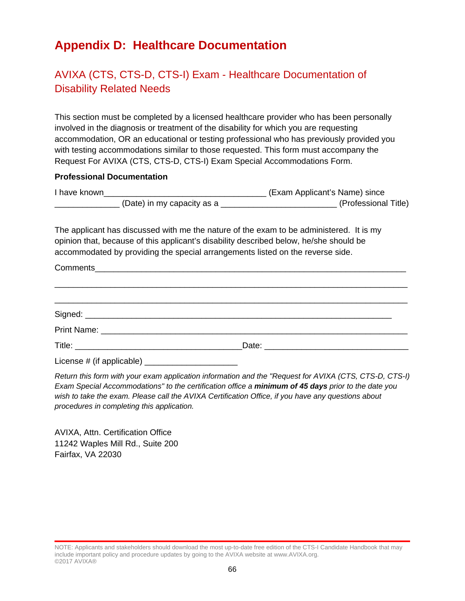# **Appendix D: Healthcare Documentation**

# AVIXA (CTS, CTS-D, CTS-I) Exam - Healthcare Documentation of Disability Related Needs

This section must be completed by a licensed healthcare provider who has been personally involved in the diagnosis or treatment of the disability for which you are requesting accommodation, OR an educational or testing professional who has previously provided you with testing accommodations similar to those requested. This form must accompany the Request For AVIXA (CTS, CTS-D, CTS-I) Exam Special Accommodations Form.

#### **Professional Documentation**

| I have known |                            | (Exam Applicant's Name) since |
|--------------|----------------------------|-------------------------------|
|              | (Date) in my capacity as a | (Professional Title)          |

The applicant has discussed with me the nature of the exam to be administered. It is my opinion that, because of this applicant's disability described below, he/she should be accommodated by providing the special arrangements listed on the reverse side.

| License # (if applicable) _________________________ |  |
|-----------------------------------------------------|--|

*Return this form with your exam application information and the "Request for AVIXA (CTS, CTS-D, CTS-I) Exam Special Accommodations" to the certification office a minimum of 45 days prior to the date you wish to take the exam. Please call the AVIXA Certification Office, if you have any questions about procedures in completing this application.*

AVIXA, Attn. Certification Office 11242 Waples Mill Rd., Suite 200 Fairfax, VA 22030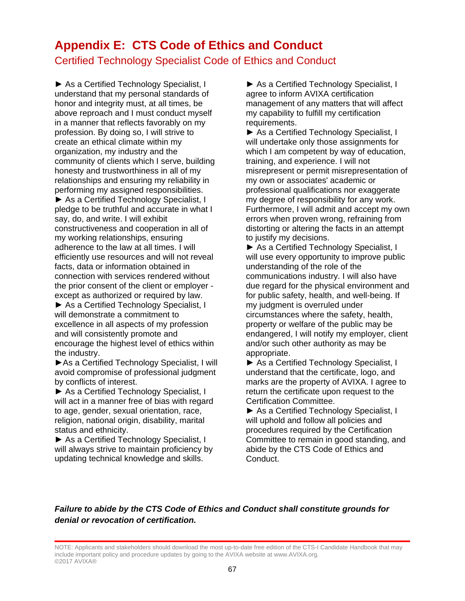# **Appendix E: CTS Code of Ethics and Conduct**

## Certified Technology Specialist Code of Ethics and Conduct

► As a Certified Technology Specialist, I understand that my personal standards of honor and integrity must, at all times, be above reproach and I must conduct myself in a manner that reflects favorably on my profession. By doing so, I will strive to create an ethical climate within my organization, my industry and the community of clients which I serve, building honesty and trustworthiness in all of my relationships and ensuring my reliability in performing my assigned responsibilities.

► As a Certified Technology Specialist, I pledge to be truthful and accurate in what I say, do, and write. I will exhibit constructiveness and cooperation in all of my working relationships, ensuring adherence to the law at all times. I will efficiently use resources and will not reveal facts, data or information obtained in connection with services rendered without the prior consent of the client or employer except as authorized or required by law.

► As a Certified Technology Specialist, I will demonstrate a commitment to excellence in all aspects of my profession and will consistently promote and encourage the highest level of ethics within the industry.

►As a Certified Technology Specialist, I will avoid compromise of professional judgment by conflicts of interest.

► As a Certified Technology Specialist, I will act in a manner free of bias with regard to age, gender, sexual orientation, race, religion, national origin, disability, marital status and ethnicity.

► As a Certified Technology Specialist, I will always strive to maintain proficiency by updating technical knowledge and skills.

► As a Certified Technology Specialist, I agree to inform AVIXA certification management of any matters that will affect my capability to fulfill my certification requirements.

► As a Certified Technology Specialist, I will undertake only those assignments for which I am competent by way of education, training, and experience. I will not misrepresent or permit misrepresentation of my own or associates' academic or professional qualifications nor exaggerate my degree of responsibility for any work. Furthermore, I will admit and accept my own errors when proven wrong, refraining from distorting or altering the facts in an attempt to justify my decisions.

► As a Certified Technology Specialist, I will use every opportunity to improve public understanding of the role of the communications industry. I will also have due regard for the physical environment and for public safety, health, and well-being. If my judgment is overruled under circumstances where the safety, health, property or welfare of the public may be endangered, I will notify my employer, client and/or such other authority as may be appropriate.

► As a Certified Technology Specialist, I understand that the certificate, logo, and marks are the property of AVIXA. I agree to return the certificate upon request to the Certification Committee.

► As a Certified Technology Specialist, I will uphold and follow all policies and procedures required by the Certification Committee to remain in good standing, and abide by the CTS Code of Ethics and Conduct.

## *Failure to abide by the CTS Code of Ethics and Conduct shall constitute grounds for denial or revocation of certification.*

NOTE: Applicants and stakeholders should download the most up-to-date free edition of the CTS-I Candidate Handbook that may include important policy and procedure updates by going to the AVIXA website at www.AVIXA.org. ©2017 AVIXA®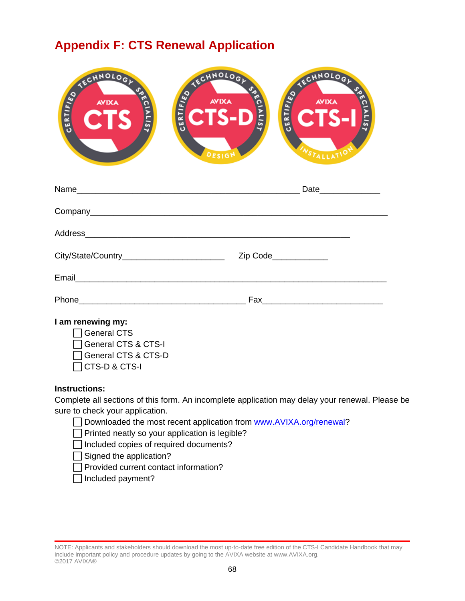# **Appendix F: CTS Renewal Application**

| ECHNOLOGY<br><b>SAECIALIST</b><br>CERTIFIED<br><b>AVIXA</b><br><b>CTS</b>                                                                                                                                                            | CHNOLOGY<br>SSECIALIST<br><b>CIS-D</b><br>DESIGN | ECHNOLOGY JAN<br><b>ELECTS-I</b><br>WSTALLATIO |
|--------------------------------------------------------------------------------------------------------------------------------------------------------------------------------------------------------------------------------------|--------------------------------------------------|------------------------------------------------|
|                                                                                                                                                                                                                                      |                                                  |                                                |
|                                                                                                                                                                                                                                      |                                                  |                                                |
|                                                                                                                                                                                                                                      |                                                  |                                                |
| City/State/Country___________________________                                                                                                                                                                                        |                                                  | Zip Code_____________                          |
| Email <b>Executive Contract Contract Contract Contract Contract Contract Contract Contract Contract Contract Contract Contract Contract Contract Contract Contract Contract Contract Contract Contract Contract Contract Contrac</b> |                                                  |                                                |
|                                                                                                                                                                                                                                      |                                                  |                                                |
| I am renewing my:<br><b>General CTS</b><br>General CTS & CTS-I<br>General CTS & CTS-D                                                                                                                                                |                                                  |                                                |

#### **Instructions:**

Complete all sections of this form. An incomplete application may delay your renewal. Please be sure to check your application.

□ Downloaded the most recent application from [www.AVIXA.org/renewal?](http://www.infocomm.org/renewal)

 $\Box$  Printed neatly so your application is legible?

⃞Included copies of required documents?

 $\Box$  Signed the application?

⃞Provided current contact information?

 $\Box$  Included payment?

⃞CTS-D & CTS-I

NOTE: Applicants and stakeholders should download the most up-to-date free edition of the CTS-I Candidate Handbook that may include important policy and procedure updates by going to the AVIXA website at www.AVIXA.org. ©2017 AVIXA®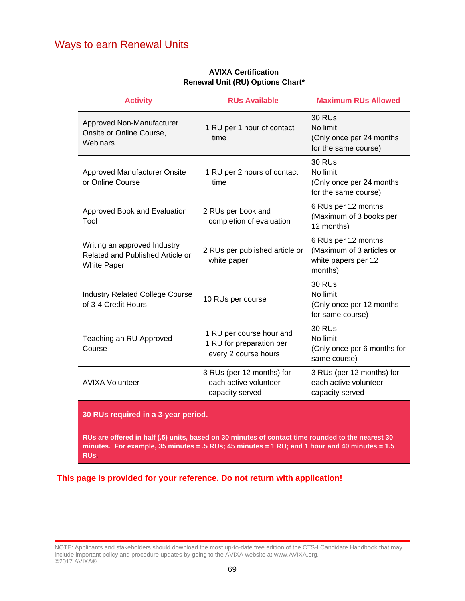## Ways to earn Renewal Units

| <b>AVIXA Certification</b><br>Renewal Unit (RU) Options Chart*                         |                                                                              |                                                                                    |  |  |  |
|----------------------------------------------------------------------------------------|------------------------------------------------------------------------------|------------------------------------------------------------------------------------|--|--|--|
| <b>Activity</b>                                                                        | <b>RUs Available</b>                                                         | <b>Maximum RUs Allowed</b>                                                         |  |  |  |
| Approved Non-Manufacturer<br>Onsite or Online Course,<br>Webinars                      | 1 RU per 1 hour of contact<br>time                                           | <b>30 RUs</b><br>No limit<br>(Only once per 24 months<br>for the same course)      |  |  |  |
| Approved Manufacturer Onsite<br>or Online Course                                       | 1 RU per 2 hours of contact<br>time                                          | <b>30 RUs</b><br>No limit<br>(Only once per 24 months<br>for the same course)      |  |  |  |
| Approved Book and Evaluation<br>Tool                                                   | 2 RUs per book and<br>completion of evaluation                               | 6 RUs per 12 months<br>(Maximum of 3 books per<br>12 months)                       |  |  |  |
| Writing an approved Industry<br>Related and Published Article or<br><b>White Paper</b> | 2 RUs per published article or<br>white paper                                | 6 RUs per 12 months<br>(Maximum of 3 articles or<br>white papers per 12<br>months) |  |  |  |
| <b>Industry Related College Course</b><br>of 3-4 Credit Hours                          | 10 RUs per course                                                            | <b>30 RUs</b><br>No limit<br>(Only once per 12 months<br>for same course)          |  |  |  |
| Teaching an RU Approved<br>Course                                                      | 1 RU per course hour and<br>1 RU for preparation per<br>every 2 course hours | <b>30 RUs</b><br>No limit<br>(Only once per 6 months for<br>same course)           |  |  |  |
| <b>AVIXA Volunteer</b>                                                                 | 3 RUs (per 12 months) for<br>each active volunteer<br>capacity served        | 3 RUs (per 12 months) for<br>each active volunteer<br>capacity served              |  |  |  |
| 30 RUs required in a 3-year period.                                                    |                                                                              |                                                                                    |  |  |  |

**RUs are offered in half (.5) units, based on 30 minutes of contact time rounded to the nearest 30 minutes. For example, 35 minutes = .5 RUs; 45 minutes = 1 RU; and 1 hour and 40 minutes = 1.5 RUs.** 

**This page is provided for your reference. Do not return with application!**

NOTE: Applicants and stakeholders should download the most up-to-date free edition of the CTS-I Candidate Handbook that may include important policy and procedure updates by going to the AVIXA website at www.AVIXA.org. ©2017 AVIXA®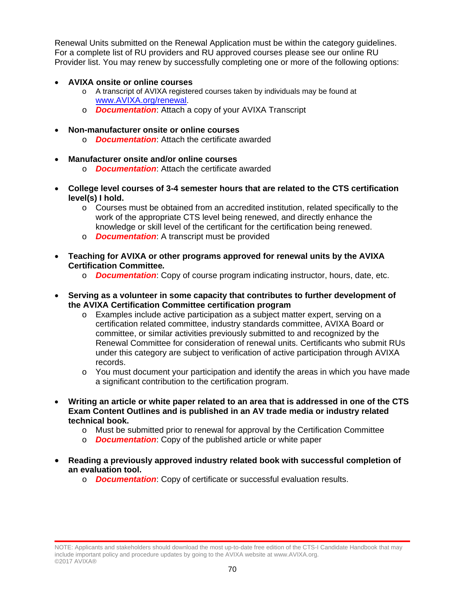Renewal Units submitted on the Renewal Application must be within the category guidelines. For a complete list of RU providers and RU approved courses please see our online RU Provider list. You may renew by successfully completing one or more of the following options:

- **AVIXA onsite or online courses** 
	- o A transcript of AVIXA registered courses taken by individuals may be found at [www.AVIXA.org/renewal.](http://www.infocomm.org/renewal)
	- o *Documentation*: Attach a copy of your AVIXA Transcript
- **Non-manufacturer onsite or online courses**
	- o *Documentation*: Attach the certificate awarded
- **Manufacturer onsite and/or online courses** 
	- o *Documentation*: Attach the certificate awarded
- **College level courses of 3-4 semester hours that are related to the CTS certification level(s) I hold.**
	- o Courses must be obtained from an accredited institution, related specifically to the work of the appropriate CTS level being renewed, and directly enhance the knowledge or skill level of the certificant for the certification being renewed.
	- o *Documentation*: A transcript must be provided
- **Teaching for AVIXA or other programs approved for renewal units by the AVIXA Certification Committee***.*
	- o *Documentation*: Copy of course program indicating instructor, hours, date, etc.
- **Serving as a volunteer in some capacity that contributes to further development of the AVIXA Certification Committee certification program**
	- o Examples include active participation as a subject matter expert, serving on a certification related committee, industry standards committee, AVIXA Board or committee, or similar activities previously submitted to and recognized by the Renewal Committee for consideration of renewal units. Certificants who submit RUs under this category are subject to verification of active participation through AVIXA records.
	- $\circ$  You must document your participation and identify the areas in which you have made a significant contribution to the certification program.
- **Writing an article or white paper related to an area that is addressed in one of the CTS Exam Content Outlines and is published in an AV trade media or industry related technical book.**
	- $\circ$  Must be submitted prior to renewal for approval by the Certification Committee
	- o *Documentation*: Copy of the published article or white paper
- **Reading a previously approved industry related book with successful completion of an evaluation tool.** 
	- o *Documentation*: Copy of certificate or successful evaluation results.

NOTE: Applicants and stakeholders should download the most up-to-date free edition of the CTS-I Candidate Handbook that may include important policy and procedure updates by going to the AVIXA website at www.AVIXA.org. ©2017 AVIXA®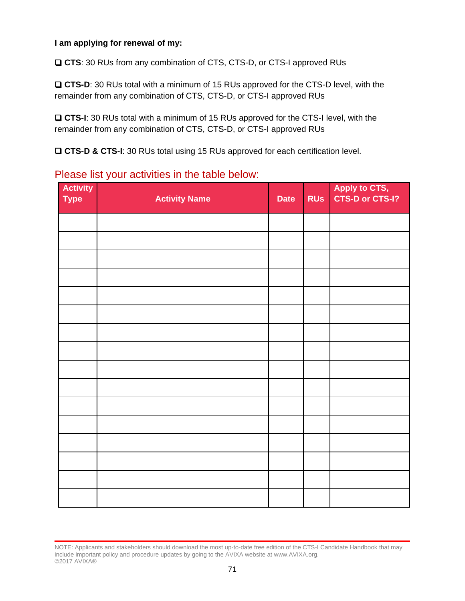### **I am applying for renewal of my:**

**CTS**: 30 RUs from any combination of CTS, CTS-D, or CTS-I approved RUs

 **CTS-D**: 30 RUs total with a minimum of 15 RUs approved for the CTS-D level, with the remainder from any combination of CTS, CTS-D, or CTS-I approved RUs

 **CTS-I**: 30 RUs total with a minimum of 15 RUs approved for the CTS-I level, with the remainder from any combination of CTS, CTS-D, or CTS-I approved RUs

**CTS-D & CTS-I**: 30 RUs total using 15 RUs approved for each certification level.

## Please list your activities in the table below:

| <b>Activity</b><br><b>Type</b> | <b>Activity Name</b> | <b>Date</b> | <b>RUS</b> | Apply to CTS,<br>CTS-D or CTS-I? |
|--------------------------------|----------------------|-------------|------------|----------------------------------|
|                                |                      |             |            |                                  |
|                                |                      |             |            |                                  |
|                                |                      |             |            |                                  |
|                                |                      |             |            |                                  |
|                                |                      |             |            |                                  |
|                                |                      |             |            |                                  |
|                                |                      |             |            |                                  |
|                                |                      |             |            |                                  |
|                                |                      |             |            |                                  |
|                                |                      |             |            |                                  |
|                                |                      |             |            |                                  |
|                                |                      |             |            |                                  |
|                                |                      |             |            |                                  |
|                                |                      |             |            |                                  |
|                                |                      |             |            |                                  |
|                                |                      |             |            |                                  |

NOTE: Applicants and stakeholders should download the most up-to-date free edition of the CTS-I Candidate Handbook that may include important policy and procedure updates by going to the AVIXA website at www.AVIXA.org. ©2017 AVIXA®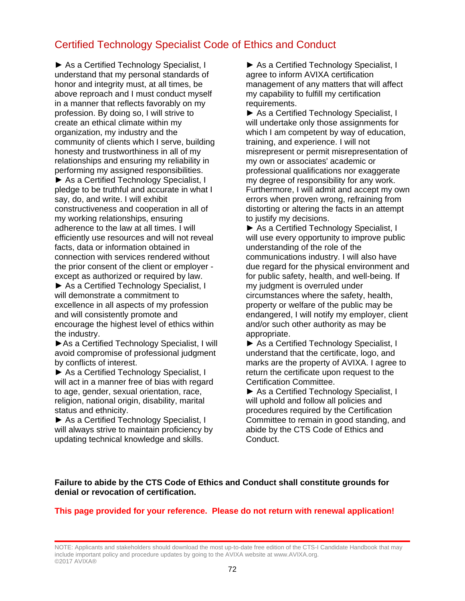## Certified Technology Specialist Code of Ethics and Conduct

► As a Certified Technology Specialist, I understand that my personal standards of honor and integrity must, at all times, be above reproach and I must conduct myself in a manner that reflects favorably on my profession. By doing so, I will strive to create an ethical climate within my organization, my industry and the community of clients which I serve, building honesty and trustworthiness in all of my relationships and ensuring my reliability in performing my assigned responsibilities.

► As a Certified Technology Specialist, I pledge to be truthful and accurate in what I say, do, and write. I will exhibit constructiveness and cooperation in all of my working relationships, ensuring adherence to the law at all times. I will efficiently use resources and will not reveal facts, data or information obtained in connection with services rendered without the prior consent of the client or employer except as authorized or required by law.

► As a Certified Technology Specialist, I will demonstrate a commitment to excellence in all aspects of my profession and will consistently promote and encourage the highest level of ethics within the industry.

►As a Certified Technology Specialist, I will avoid compromise of professional judgment by conflicts of interest.

► As a Certified Technology Specialist, I will act in a manner free of bias with regard to age, gender, sexual orientation, race, religion, national origin, disability, marital status and ethnicity.

► As a Certified Technology Specialist, I will always strive to maintain proficiency by updating technical knowledge and skills.

► As a Certified Technology Specialist, I agree to inform AVIXA certification management of any matters that will affect my capability to fulfill my certification requirements.

► As a Certified Technology Specialist, I will undertake only those assignments for which I am competent by way of education, training, and experience. I will not misrepresent or permit misrepresentation of my own or associates' academic or professional qualifications nor exaggerate my degree of responsibility for any work. Furthermore, I will admit and accept my own errors when proven wrong, refraining from distorting or altering the facts in an attempt to justify my decisions.

► As a Certified Technology Specialist, I will use every opportunity to improve public understanding of the role of the communications industry. I will also have due regard for the physical environment and for public safety, health, and well-being. If my judgment is overruled under circumstances where the safety, health, property or welfare of the public may be endangered, I will notify my employer, client and/or such other authority as may be appropriate.

► As a Certified Technology Specialist, I understand that the certificate, logo, and marks are the property of AVIXA. I agree to return the certificate upon request to the Certification Committee.

► As a Certified Technology Specialist, I will uphold and follow all policies and procedures required by the Certification Committee to remain in good standing, and abide by the CTS Code of Ethics and Conduct.

### **Failure to abide by the CTS Code of Ethics and Conduct shall constitute grounds for denial or revocation of certification.**

### **This page provided for your reference. Please do not return with renewal application!**

NOTE: Applicants and stakeholders should download the most up-to-date free edition of the CTS-I Candidate Handbook that may include important policy and procedure updates by going to the AVIXA website at www.AVIXA.org. ©2017 AVIXA®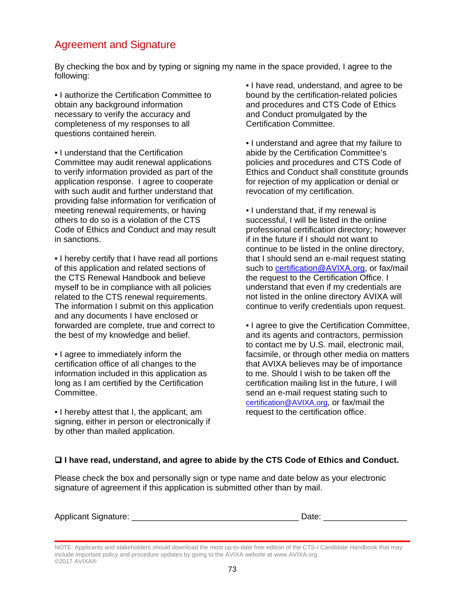# Agreement and Signature

By checking the box and by typing or signing my name in the space provided, I agree to the following:

• I authorize the Certification Committee to obtain any background information necessary to verify the accuracy and completeness of my responses to all questions contained herein.

• I understand that the Certification Committee may audit renewal applications to verify information provided as part of the application response. I agree to cooperate with such audit and further understand that providing false information for verification of meeting renewal requirements, or having others to do so is a violation of the CTS Code of Ethics and Conduct and may result in sanctions.

• I hereby certify that I have read all portions of this application and related sections of the CTS Renewal Handbook and believe myself to be in compliance with all policies related to the CTS renewal requirements. The information I submit on this application and any documents I have enclosed or forwarded are complete, true and correct to the best of my knowledge and belief.

• I agree to immediately inform the certification office of all changes to the information included in this application as long as I am certified by the Certification Committee.

• I hereby attest that I, the applicant, am signing, either in person or electronically if by other than mailed application.

• I have read, understand, and agree to be bound by the certification-related policies and procedures and CTS Code of Ethics and Conduct promulgated by the Certification Committee.

• I understand and agree that my failure to abide by the Certification Committee's policies and procedures and CTS Code of Ethics and Conduct shall constitute grounds for rejection of my application or denial or revocation of my certification.

• I understand that, if my renewal is successful, I will be listed in the online professional certification directory; however if in the future if I should not want to continue to be listed in the online directory, that I should send an e-mail request stating such to [certification@AVIXA.org,](mailto:certification@infocomm.org) or fax/mail the request to the Certification Office. I understand that even if my credentials are not listed in the online directory AVIXA will continue to verify credentials upon request.

• I agree to give the Certification Committee, and its agents and contractors, permission to contact me by U.S. mail, electronic mail, facsimile, or through other media on matters that AVIXA believes may be of importance to me. Should I wish to be taken off the certification mailing list in the future, I will send an e-mail request stating such to [certification@AVIXA.org,](mailto:certification@infocomm.org) or fax/mail the request to the certification office.

### **I have read, understand, and agree to abide by the CTS Code of Ethics and Conduct.**

Please check the box and personally sign or type name and date below as your electronic signature of agreement if this application is submitted other than by mail.

| <b>Applicant Signature:</b> |  |
|-----------------------------|--|
|-----------------------------|--|

NOTE: Applicants and stakeholders should download the most up-to-date free edition of the CTS-I Candidate Handbook that may include important policy and procedure updates by going to the AVIXA website at www.AVIXA.org. ©2017 AVIXA®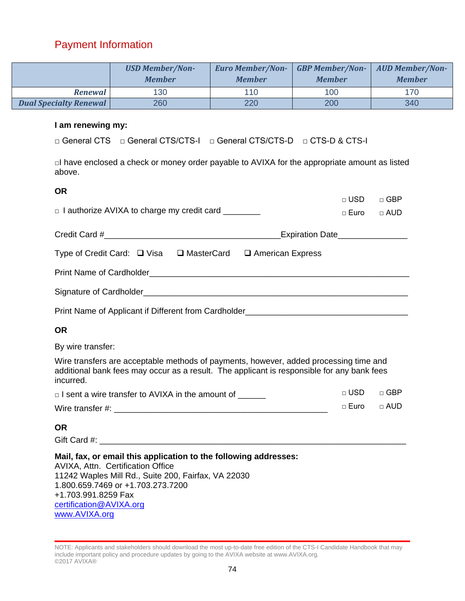## Payment Information

| <b>USD Member/Non-</b><br><b>Member</b> |     | Euro Member/Non- GBP Member/Non- AUD Member/Non-<br><b>Member</b> | <b>Member</b> | <b>Member</b> |
|-----------------------------------------|-----|-------------------------------------------------------------------|---------------|---------------|
| <b>Renewal</b>                          | 130 | 110                                                               | 100           | 170           |
| <b>Dual Specialty Renewal</b>           | 260 | 220                                                               | 200           | 340           |

### **I am renewing my:**

□ General CTS □ General CTS/CTS-I □ General CTS/CTS-D □ CTS-D & CTS-I

□I have enclosed a check or money order payable to AVIXA for the appropriate amount as listed above.

| <b>OR</b>                                                                                                                                                                                                                                                            | $\sqcap$ USD $\sqcap$  | $\sqcap$ GBP |
|----------------------------------------------------------------------------------------------------------------------------------------------------------------------------------------------------------------------------------------------------------------------|------------------------|--------------|
| $\Box$ I authorize AVIXA to charge my credit card $\Box$                                                                                                                                                                                                             | $\Box$ Euro $\Box$ AUD |              |
| Expiration Date________________                                                                                                                                                                                                                                      |                        |              |
| Type of Credit Card: □ Visa □ MasterCard □ American Express                                                                                                                                                                                                          |                        |              |
|                                                                                                                                                                                                                                                                      |                        |              |
|                                                                                                                                                                                                                                                                      |                        |              |
|                                                                                                                                                                                                                                                                      |                        |              |
| <b>OR</b>                                                                                                                                                                                                                                                            |                        |              |
| By wire transfer:                                                                                                                                                                                                                                                    |                        |              |
| Wire transfers are acceptable methods of payments, however, added processing time and<br>additional bank fees may occur as a result. The applicant is responsible for any bank fees<br>incurred.                                                                     |                        |              |
| □ I sent a wire transfer to AVIXA in the amount of                                                                                                                                                                                                                   | $\sqcap$ USD $\sqcap$  | $\sqcap$ GBP |
|                                                                                                                                                                                                                                                                      | □ Euro                 | $\Box$ AUD   |
| <b>OR</b>                                                                                                                                                                                                                                                            |                        |              |
| Mail, fax, or email this application to the following addresses:<br>AVIXA, Attn. Certification Office<br>11242 Waples Mill Rd., Suite 200, Fairfax, VA 22030<br>1.800.659.7469 or +1.703.273.7200<br>+1.703.991.8259 Fax<br>certification@AVIXA.org<br>www.AVIXA.org |                        |              |

NOTE: Applicants and stakeholders should download the most up-to-date free edition of the CTS-I Candidate Handbook that may include important policy and procedure updates by going to the AVIXA website at www.AVIXA.org. ©2017 AVIXA®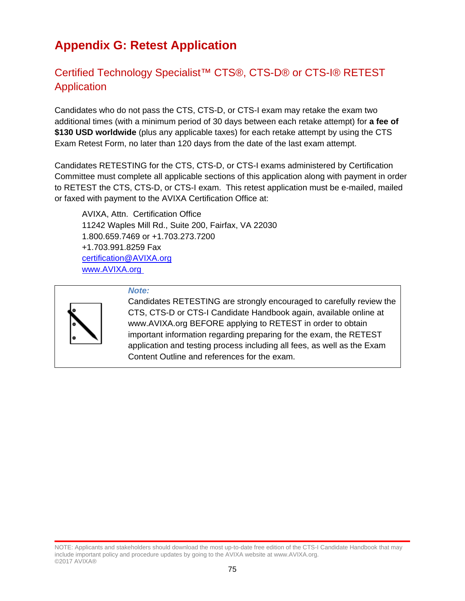# **Appendix G: Retest Application**

# Certified Technology Specialist™ CTS®, CTS-D® or CTS-I® RETEST Application

Candidates who do not pass the CTS, CTS-D, or CTS-I exam may retake the exam two additional times (with a minimum period of 30 days between each retake attempt) for **a fee of \$130 USD worldwide** (plus any applicable taxes) for each retake attempt by using the CTS Exam Retest Form, no later than 120 days from the date of the last exam attempt.

Candidates RETESTING for the CTS, CTS-D, or CTS-I exams administered by Certification Committee must complete all applicable sections of this application along with payment in order to RETEST the CTS, CTS-D, or CTS-I exam. This retest application must be e-mailed, mailed or faxed with payment to the AVIXA Certification Office at:

AVIXA, Attn. Certification Office 11242 Waples Mill Rd., Suite 200, Fairfax, VA 22030 1.800.659.7469 or +1.703.273.7200 +1.703.991.8259 Fax [certification@AVIXA.org](mailto:certification@infocomm.org) [www.AVIXA.org](http://www.infocomm.org%C2%A0)



#### *Note:*

Candidates RETESTING are strongly encouraged to carefully review the CTS, CTS-D or CTS-I Candidate Handbook again, available online at www.AVIXA.org BEFORE applying to RETEST in order to obtain important information regarding preparing for the exam, the RETEST application and testing process including all fees, as well as the Exam Content Outline and references for the exam.

NOTE: Applicants and stakeholders should download the most up-to-date free edition of the CTS-I Candidate Handbook that may include important policy and procedure updates by going to the AVIXA website at www.AVIXA.org. ©2017 AVIXA®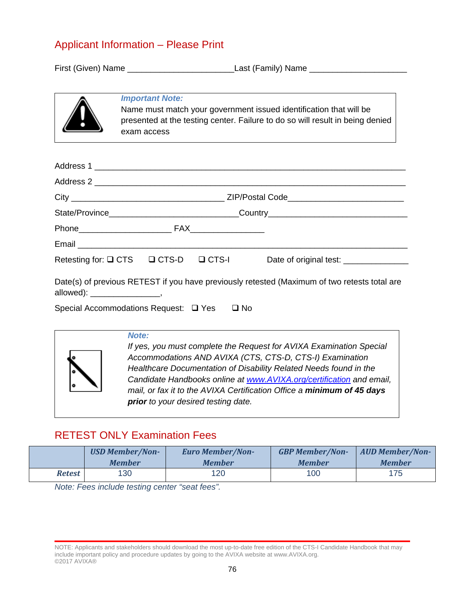### Applicant Information – Please Print

First (Given) Name \_\_\_\_\_\_\_\_\_\_\_\_\_\_\_\_\_\_\_\_\_\_\_Last (Family) Name \_\_\_\_\_\_\_\_\_\_\_\_\_\_\_\_\_\_\_\_\_



### *Important Note:*

Name must match your government issued identification that will be presented at the testing center. Failure to do so will result in being denied exam access

|                                            |  | Retesting for: Q CTS Q CTS-D Q CTS-I Date of original test: _______________                  |
|--------------------------------------------|--|----------------------------------------------------------------------------------------------|
|                                            |  | Date(s) of previous RETEST if you have previously retested (Maximum of two retests total are |
| Special Accommodations Request: □ Yes □ No |  |                                                                                              |



*If yes, you must complete the Request for AVIXA Examination Special Accommodations AND AVIXA (CTS, CTS-D, CTS-I) Examination Healthcare Documentation of Disability Related Needs found in the Candidate Handbooks online at [www.AVIXA.org/certification](http://www.infocomm.org/certification) and email, mail, or fax it to the AVIXA Certification Office a minimum of 45 days prior to your desired testing date.*

## RETEST ONLY Examination Fees

|        | <b>USD Member/Non-</b> | <b>Euro Member/Non-</b> | <b>GBP Member/Non-</b> | <b>AUD Member/Non-</b> |
|--------|------------------------|-------------------------|------------------------|------------------------|
|        | <b>Member</b>          | <b>Member</b>           | <b>Member</b>          | <b>Member</b>          |
| Retest | 130                    | 120                     | 100                    | 175                    |

*Note: Fees include testing center "seat fees".*

NOTE: Applicants and stakeholders should download the most up-to-date free edition of the CTS-I Candidate Handbook that may include important policy and procedure updates by going to the AVIXA website at www.AVIXA.org. ©2017 AVIXA®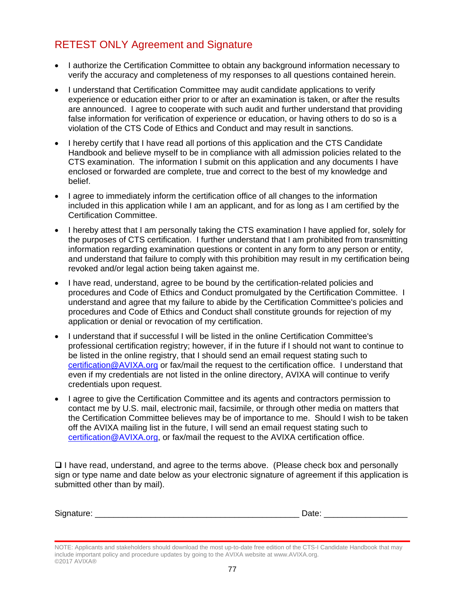# RETEST ONLY Agreement and Signature

- I authorize the Certification Committee to obtain any background information necessary to verify the accuracy and completeness of my responses to all questions contained herein.
- I understand that Certification Committee may audit candidate applications to verify experience or education either prior to or after an examination is taken, or after the results are announced. I agree to cooperate with such audit and further understand that providing false information for verification of experience or education, or having others to do so is a violation of the CTS Code of Ethics and Conduct and may result in sanctions.
- I hereby certify that I have read all portions of this application and the CTS Candidate Handbook and believe myself to be in compliance with all admission policies related to the CTS examination. The information I submit on this application and any documents I have enclosed or forwarded are complete, true and correct to the best of my knowledge and belief.
- I agree to immediately inform the certification office of all changes to the information included in this application while I am an applicant, and for as long as I am certified by the Certification Committee.
- I hereby attest that I am personally taking the CTS examination I have applied for, solely for the purposes of CTS certification. I further understand that I am prohibited from transmitting information regarding examination questions or content in any form to any person or entity, and understand that failure to comply with this prohibition may result in my certification being revoked and/or legal action being taken against me.
- I have read, understand, agree to be bound by the certification-related policies and procedures and Code of Ethics and Conduct promulgated by the Certification Committee. I understand and agree that my failure to abide by the Certification Committee's policies and procedures and Code of Ethics and Conduct shall constitute grounds for rejection of my application or denial or revocation of my certification.
- I understand that if successful I will be listed in the online Certification Committee's professional certification registry; however, if in the future if I should not want to continue to be listed in the online registry, that I should send an email request stating such to [certification@AVIXA.org](file://herod/shared/CERTIFICATION/Handbooks/EVO%20in%20Progress/certification@infocomm.org%20) or fax/mail the request to the certification office. I understand that even if my credentials are not listed in the online directory, AVIXA will continue to verify credentials upon request.
- I agree to give the Certification Committee and its agents and contractors permission to contact me by U.S. mail, electronic mail, facsimile, or through other media on matters that the Certification Committee believes may be of importance to me. Should I wish to be taken off the AVIXA mailing list in the future, I will send an email request stating such to [certification@AVIXA.org,](file://herod/shared/CERTIFICATION/Handbooks/EVO%20in%20Progress/certification@infocomm.org) or fax/mail the request to the AVIXA certification office.

 $\Box$  I have read, understand, and agree to the terms above. (Please check box and personally sign or type name and date below as your electronic signature of agreement if this application is submitted other than by mail).

| $\sim$<br>$S_1$<br>. . | . . |
|------------------------|-----|
|                        |     |

NOTE: Applicants and stakeholders should download the most up-to-date free edition of the CTS-I Candidate Handbook that may include important policy and procedure updates by going to the AVIXA website at www.AVIXA.org. ©2017 AVIXA®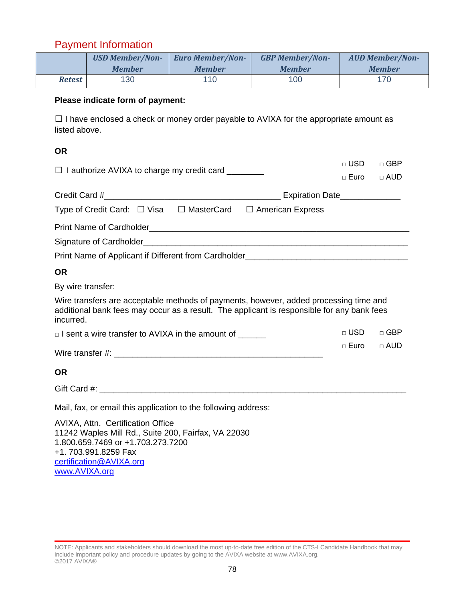# Payment Information

|               | <b>USD Member/Non-</b> | <b>Euro Member/Non-</b> | <b>GBP Member/Non-</b> | <b>AUD Member/Non-</b> |
|---------------|------------------------|-------------------------|------------------------|------------------------|
|               | <b>Member</b>          | <b>Member</b>           | <b>Member</b>          | <b>Member</b>          |
| <b>Retest</b> | 130                    | 110                     | 100                    | 170                    |

### **Please indicate form of payment:**

 $\square$  I have enclosed a check or money order payable to AVIXA for the appropriate amount as listed above.

 $-$  USD  $-$  GBD

### **OR**

| $\Box$ I authorize AVIXA to charge my credit card $\Box$                                                                                                                                         | ∟ טסט                  | רסט ⊡      |
|--------------------------------------------------------------------------------------------------------------------------------------------------------------------------------------------------|------------------------|------------|
|                                                                                                                                                                                                  | □ Euro □ AUD           |            |
|                                                                                                                                                                                                  |                        |            |
| Type of Credit Card: $\Box$ Visa $\Box$ MasterCard $\Box$ American Express                                                                                                                       |                        |            |
|                                                                                                                                                                                                  |                        |            |
|                                                                                                                                                                                                  |                        |            |
| Print Name of Applicant if Different from Cardholder <b>Carry Community Control Control of Applicant</b> Control of the                                                                          |                        |            |
| <b>OR</b>                                                                                                                                                                                        |                        |            |
| By wire transfer:                                                                                                                                                                                |                        |            |
| Wire transfers are acceptable methods of payments, however, added processing time and<br>additional bank fees may occur as a result. The applicant is responsible for any bank fees<br>incurred. |                        |            |
| □ I sent a wire transfer to AVIXA in the amount of ______                                                                                                                                        | $\square$ USD          | $\Box$ GBP |
|                                                                                                                                                                                                  | $\Box$ Euro $\Box$ AUD |            |
| <b>OR</b>                                                                                                                                                                                        |                        |            |
|                                                                                                                                                                                                  |                        |            |
| Mail, fax, or email this application to the following address:                                                                                                                                   |                        |            |
| <b>AVIXA, Attn. Certification Office</b><br>11242 Waples Mill Rd., Suite 200, Fairfax, VA 22030<br>1.800.659.7469 or +1.703.273.7200<br>+1.703.991.8259 Fax<br>certification@AVIXA.org           |                        |            |

[www.AVIXA.org](http://www.infocomm.org/)

NOTE: Applicants and stakeholders should download the most up-to-date free edition of the CTS-I Candidate Handbook that may include important policy and procedure updates by going to the AVIXA website at www.AVIXA.org. ©2017 AVIXA®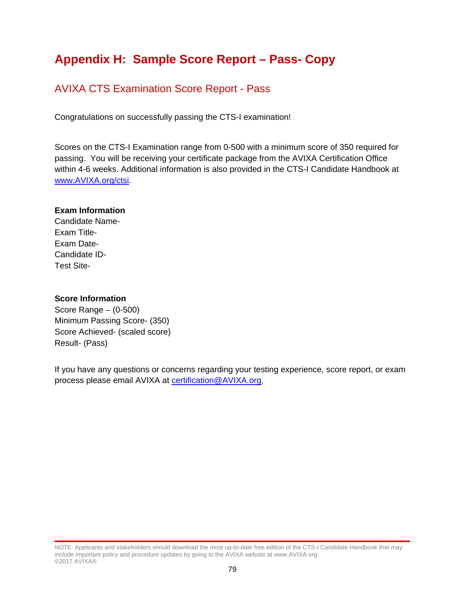# **Appendix H: Sample Score Report – Pass- Copy**

### AVIXA CTS Examination Score Report - Pass

Congratulations on successfully passing the CTS-I examination!

Scores on the CTS-I Examination range from 0-500 with a minimum score of 350 required for passing. You will be receiving your certificate package from the AVIXA Certification Office within 4-6 weeks. Additional information is also provided in the CTS-I Candidate Handbook at [www.AVIXA.org/ctsi.](https://www.avixa.org/training-certification/certification/cts-i)

### **Exam Information**

Candidate Name-Exam Title-Exam Date-Candidate ID-Test Site-

### **Score Information**

Score Range – (0-500) Minimum Passing Score- (350) Score Achieved- (scaled score) Result- (Pass)

If you have any questions or concerns regarding your testing experience, score report, or exam process please email AVIXA at [certification@AVIXA.org.](mailto:certification@infocomm.org)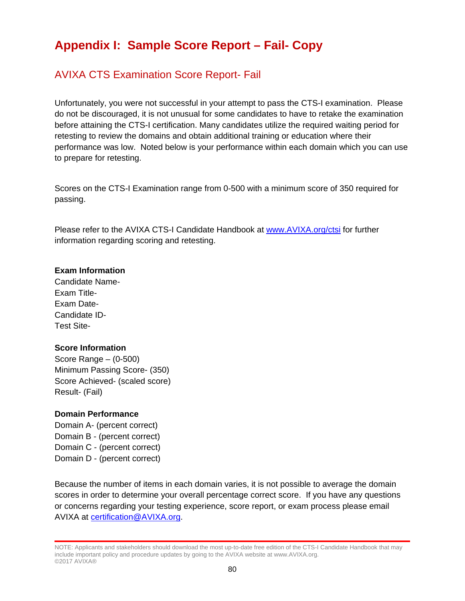# **Appendix I: Sample Score Report – Fail- Copy**

## AVIXA CTS Examination Score Report- Fail

Unfortunately, you were not successful in your attempt to pass the CTS-I examination. Please do not be discouraged, it is not unusual for some candidates to have to retake the examination before attaining the CTS-I certification. Many candidates utilize the required waiting period for retesting to review the domains and obtain additional training or education where their performance was low. Noted below is your performance within each domain which you can use to prepare for retesting.

Scores on the CTS-I Examination range from 0-500 with a minimum score of 350 required for passing.

Please refer to the AVIXA CTS-I Candidate Handbook at [www.AVIXA.org/ctsi](https://www.avixa.org/training-certification/certification/cts-i) for further information regarding scoring and retesting.

### **Exam Information**

Candidate Name-Exam Title-Exam Date-Candidate ID-Test Site-

### **Score Information**

Score Range – (0-500) Minimum Passing Score- (350) Score Achieved- (scaled score) Result- (Fail)

#### **Domain Performance**

Domain A- (percent correct) Domain B - (percent correct) Domain C - (percent correct) Domain D - (percent correct)

Because the number of items in each domain varies, it is not possible to average the domain scores in order to determine your overall percentage correct score. If you have any questions or concerns regarding your testing experience, score report, or exam process please email AVIXA at [certification@AVIXA.org.](mailto:certification@infocomm.org)

NOTE: Applicants and stakeholders should download the most up-to-date free edition of the CTS-I Candidate Handbook that may include important policy and procedure updates by going to the AVIXA website at www.AVIXA.org. ©2017 AVIXA®